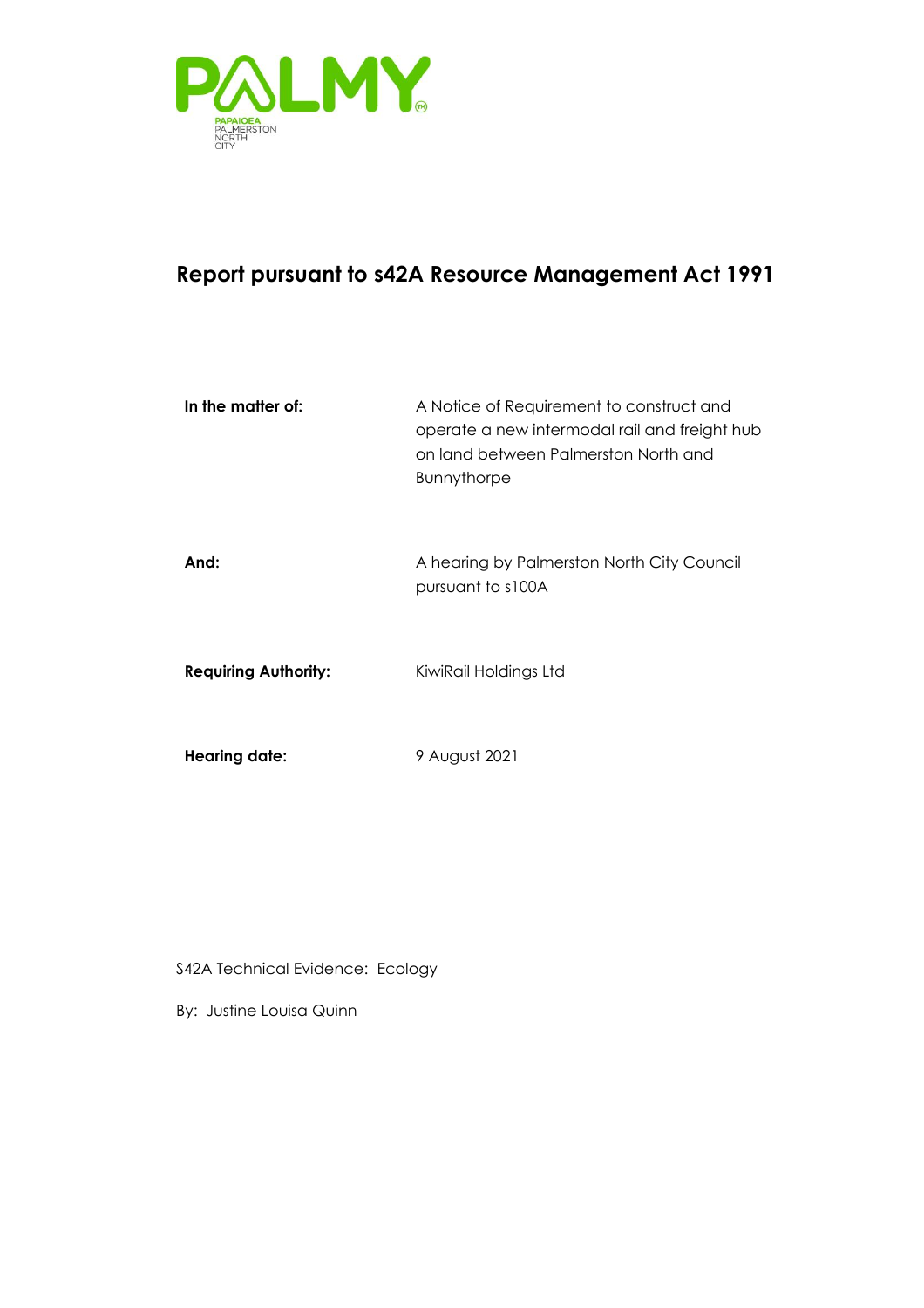

## **Report pursuant to s42A Resource Management Act 1991**

| In the matter of:           | A Notice of Requirement to construct and<br>operate a new intermodal rail and freight hub<br>on land between Palmerston North and<br><b>Bunnythorpe</b> |
|-----------------------------|---------------------------------------------------------------------------------------------------------------------------------------------------------|
| And:                        | A hearing by Palmerston North City Council<br>pursuant to s100A                                                                                         |
| <b>Requiring Authority:</b> | KiwiRail Holdings Ltd                                                                                                                                   |
| <b>Hearing date:</b>        | 9 August 2021                                                                                                                                           |

S42A Technical Evidence: Ecology

By: Justine Louisa Quinn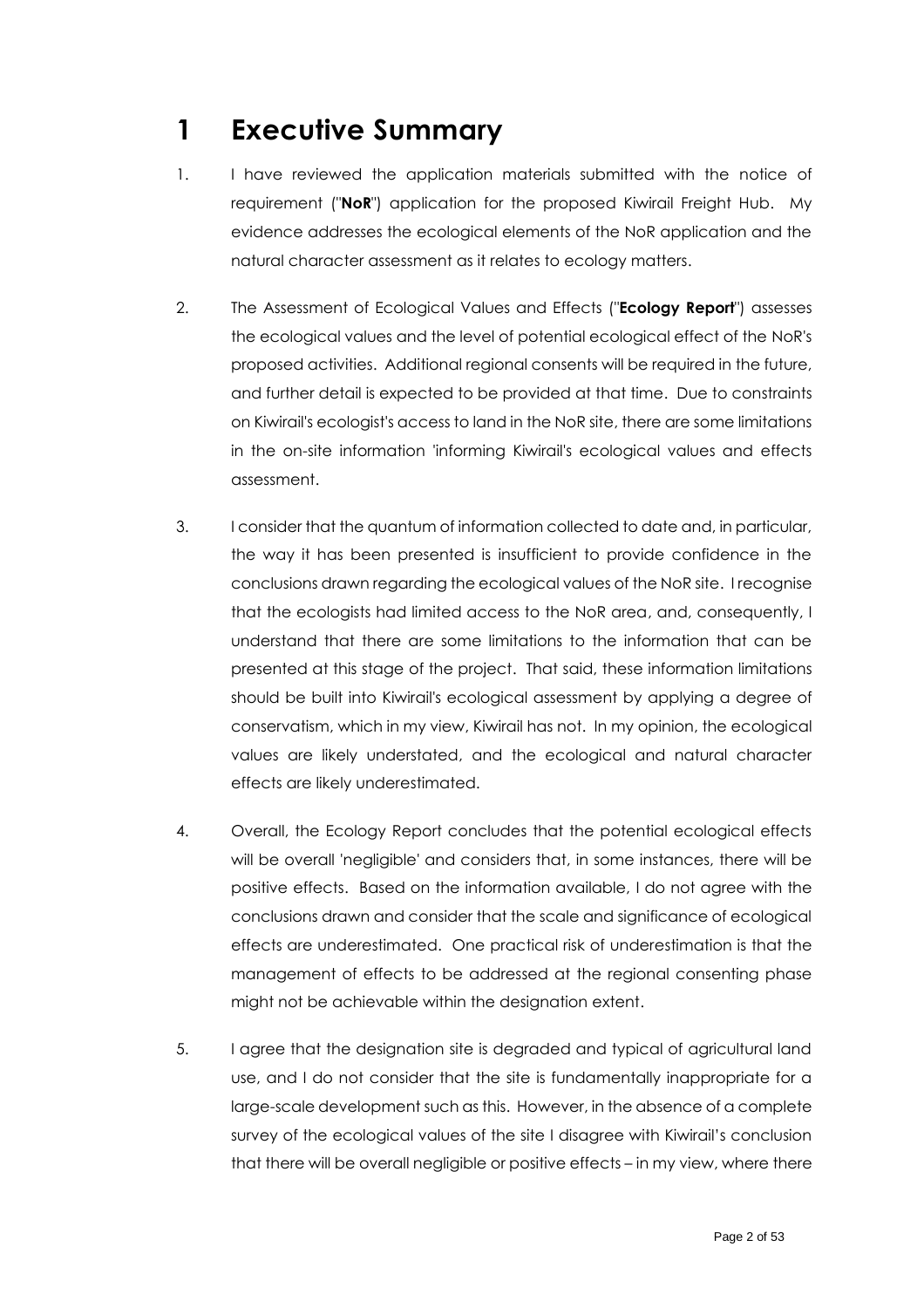# <span id="page-1-0"></span>**1 Executive Summary**

- 1. I have reviewed the application materials submitted with the notice of requirement ("**NoR**") application for the proposed Kiwirail Freight Hub. My evidence addresses the ecological elements of the NoR application and the natural character assessment as it relates to ecology matters.
- 2. The Assessment of Ecological Values and Effects ("**Ecology Report**") assesses the ecological values and the level of potential ecological effect of the NoR's proposed activities. Additional regional consents will be required in the future, and further detail is expected to be provided at that time. Due to constraints on Kiwirail's ecologist's access to land in the NoR site, there are some limitations in the on-site information 'informing Kiwirail's ecological values and effects assessment.
- 3. I consider that the quantum of information collected to date and, in particular, the way it has been presented is insufficient to provide confidence in the conclusions drawn regarding the ecological values of the NoR site. I recognise that the ecologists had limited access to the NoR area, and, consequently, I understand that there are some limitations to the information that can be presented at this stage of the project. That said, these information limitations should be built into Kiwirail's ecological assessment by applying a degree of conservatism, which in my view, Kiwirail has not. In my opinion, the ecological values are likely understated, and the ecological and natural character effects are likely underestimated.
- 4. Overall, the Ecology Report concludes that the potential ecological effects will be overall 'negligible' and considers that, in some instances, there will be positive effects. Based on the information available, I do not agree with the conclusions drawn and consider that the scale and significance of ecological effects are underestimated. One practical risk of underestimation is that the management of effects to be addressed at the regional consenting phase might not be achievable within the designation extent.
- 5. I agree that the designation site is degraded and typical of agricultural land use, and I do not consider that the site is fundamentally inappropriate for a large-scale development such as this. However, in the absence of a complete survey of the ecological values of the site I disagree with Kiwirail's conclusion that there will be overall negligible or positive effects – in my view, where there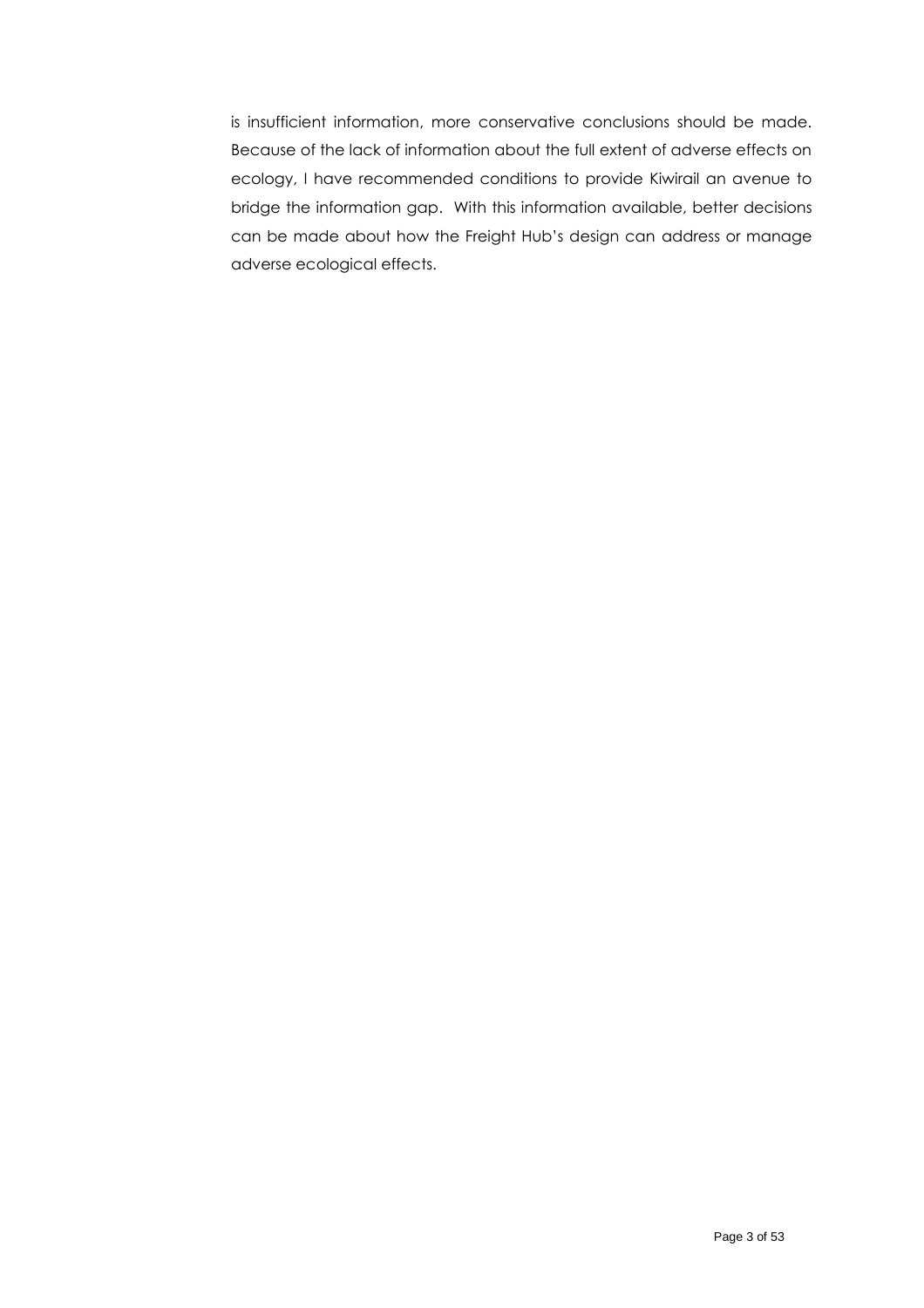is insufficient information, more conservative conclusions should be made. Because of the lack of information about the full extent of adverse effects on ecology, I have recommended conditions to provide Kiwirail an avenue to bridge the information gap. With this information available, better decisions can be made about how the Freight Hub's design can address or manage adverse ecological effects.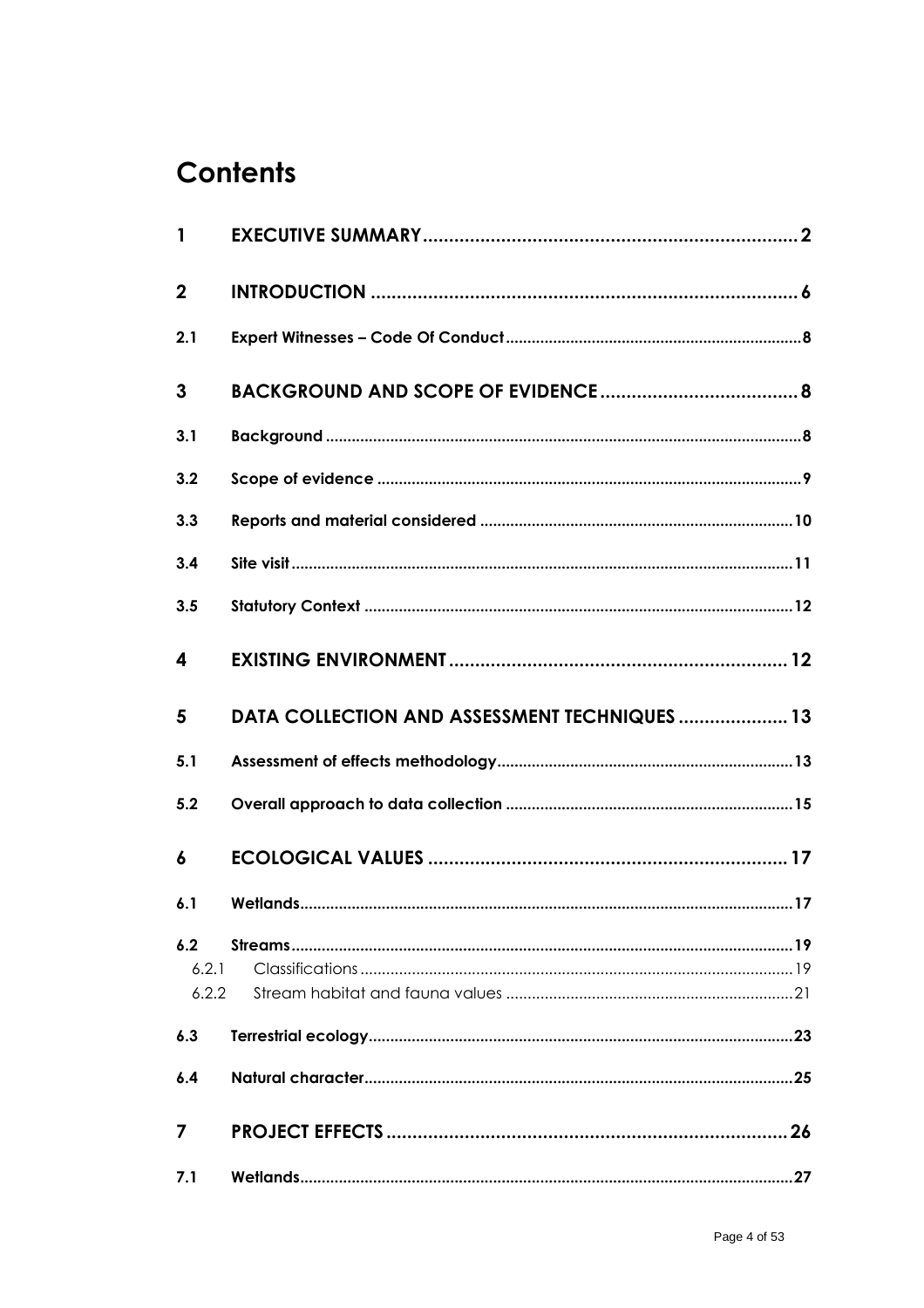# **Contents**

| $\mathbf{1}$          |                                               |
|-----------------------|-----------------------------------------------|
| $\mathbf 2$           |                                               |
| 2.1                   |                                               |
| 3                     |                                               |
| 3.1                   |                                               |
| 3.2                   |                                               |
| 3.3                   |                                               |
| 3.4                   |                                               |
| 3.5                   |                                               |
| 4                     |                                               |
| 5                     | DATA COLLECTION AND ASSESSMENT TECHNIQUES  13 |
| 5.1                   |                                               |
|                       |                                               |
| 5.2                   |                                               |
| 6                     |                                               |
| 6.1                   |                                               |
| 6.2<br>6.2.1<br>6.2.2 |                                               |
| 6.3                   |                                               |
| 6.4                   |                                               |
| 7                     | 26                                            |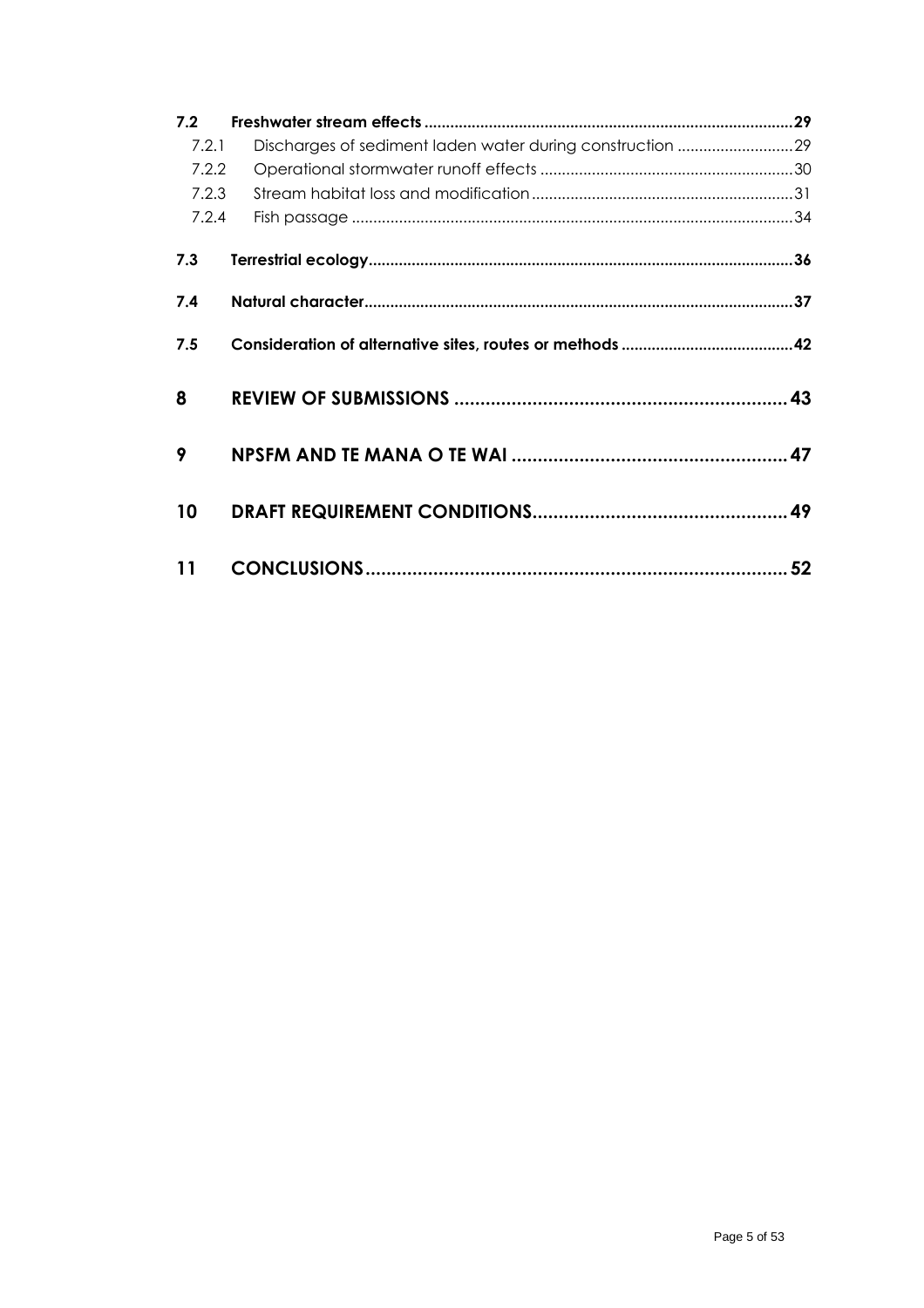| 7.2   |                                                           |    |  |  |
|-------|-----------------------------------------------------------|----|--|--|
| 7.2.1 | Discharges of sediment laden water during construction 29 |    |  |  |
| 7.2.2 |                                                           |    |  |  |
| 7.2.3 |                                                           |    |  |  |
| 7.2.4 |                                                           |    |  |  |
| 7.3   |                                                           |    |  |  |
| 7.4   |                                                           |    |  |  |
| 7.5   |                                                           |    |  |  |
| 8     |                                                           |    |  |  |
| 9     |                                                           |    |  |  |
| 10    |                                                           |    |  |  |
| 11    |                                                           | 52 |  |  |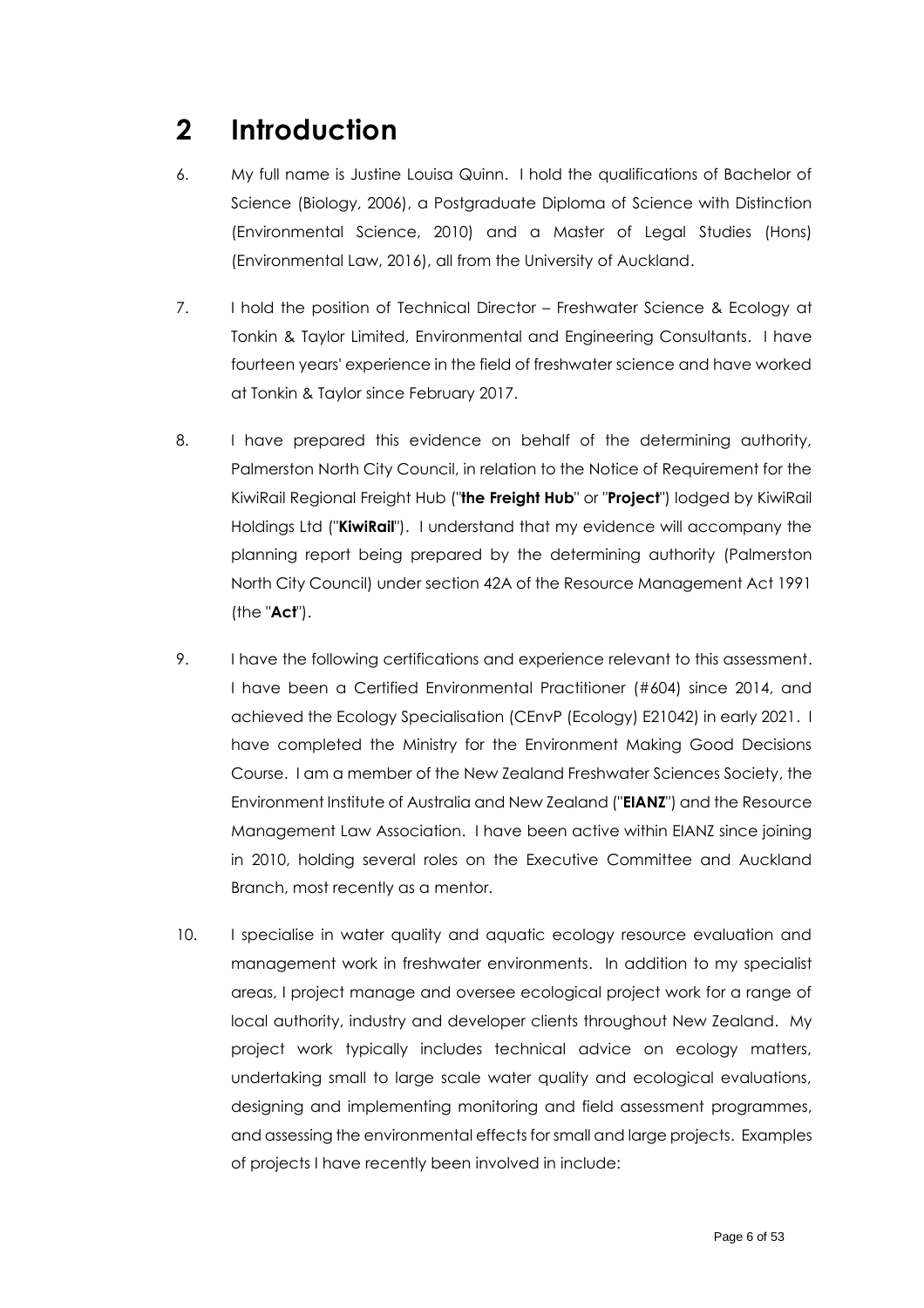## <span id="page-5-0"></span>**2 Introduction**

- 6. My full name is Justine Louisa Quinn. I hold the qualifications of Bachelor of Science (Biology, 2006), a Postgraduate Diploma of Science with Distinction (Environmental Science, 2010) and a Master of Legal Studies (Hons) (Environmental Law, 2016), all from the University of Auckland.
- 7. I hold the position of Technical Director Freshwater Science & Ecology at Tonkin & Taylor Limited, Environmental and Engineering Consultants. I have fourteen years' experience in the field of freshwater science and have worked at Tonkin & Taylor since February 2017.
- 8. I have prepared this evidence on behalf of the determining authority, Palmerston North City Council, in relation to the Notice of Requirement for the KiwiRail Regional Freight Hub ("**the Freight Hub**" or "**Project**") lodged by KiwiRail Holdings Ltd ("**KiwiRail**"). I understand that my evidence will accompany the planning report being prepared by the determining authority (Palmerston North City Council) under section 42A of the Resource Management Act 1991 (the "**Act**").
- 9. I have the following certifications and experience relevant to this assessment. I have been a Certified Environmental Practitioner (#604) since 2014, and achieved the Ecology Specialisation (CEnvP (Ecology) E21042) in early 2021. I have completed the Ministry for the Environment Making Good Decisions Course. I am a member of the New Zealand Freshwater Sciences Society, the Environment Institute of Australia and New Zealand ("**EIANZ**") and the Resource Management Law Association. I have been active within EIANZ since joining in 2010, holding several roles on the Executive Committee and Auckland Branch, most recently as a mentor.
- 10. I specialise in water quality and aquatic ecology resource evaluation and management work in freshwater environments. In addition to my specialist areas, I project manage and oversee ecological project work for a range of local authority, industry and developer clients throughout New Zealand. My project work typically includes technical advice on ecology matters, undertaking small to large scale water quality and ecological evaluations, designing and implementing monitoring and field assessment programmes, and assessing the environmental effects for small and large projects. Examples of projects I have recently been involved in include: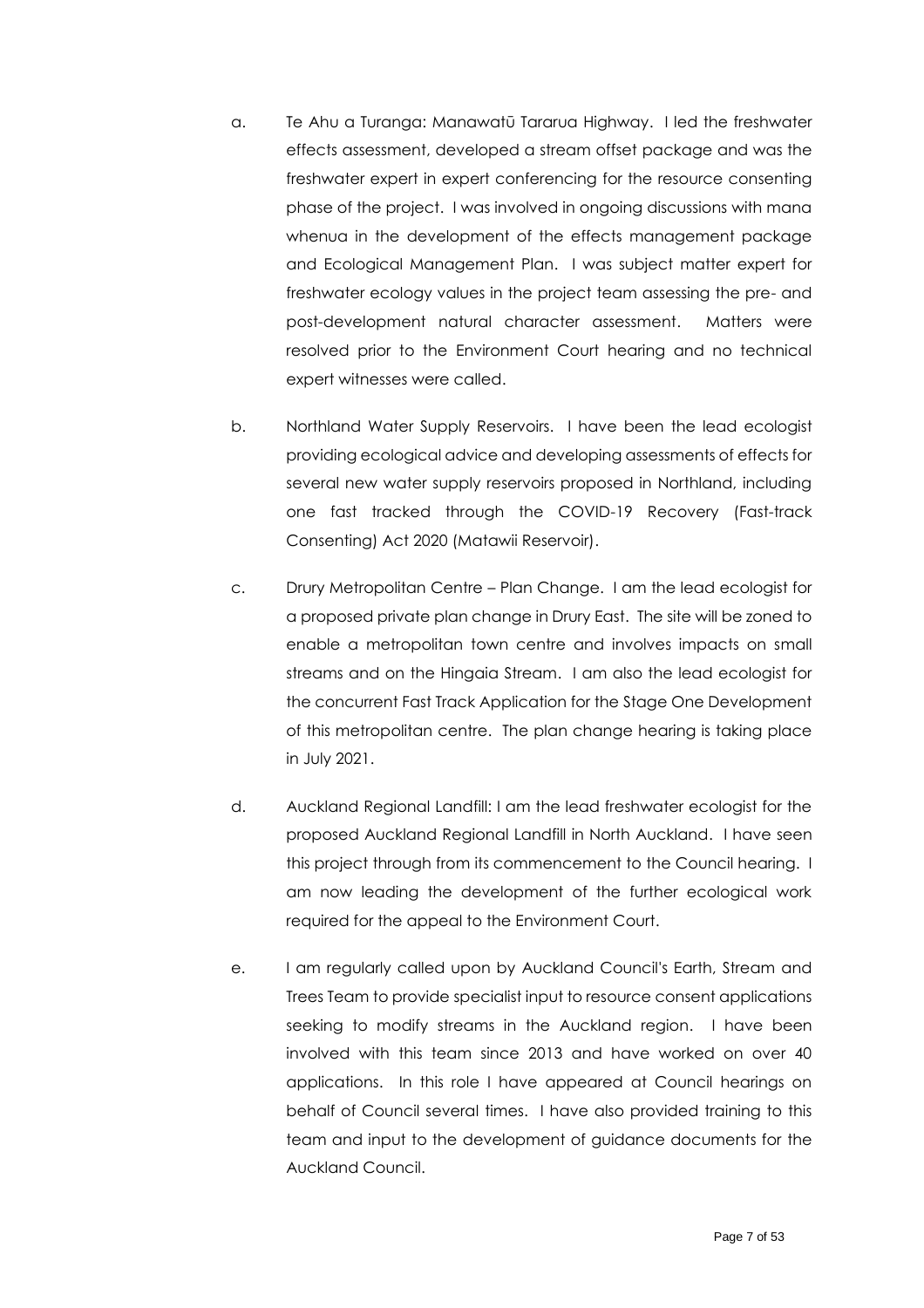- a. Te Ahu a Turanga: Manawatū Tararua Highway. I led the freshwater effects assessment, developed a stream offset package and was the freshwater expert in expert conferencing for the resource consenting phase of the project. I was involved in ongoing discussions with mana whenua in the development of the effects management package and Ecological Management Plan. I was subject matter expert for freshwater ecology values in the project team assessing the pre- and post-development natural character assessment. Matters were resolved prior to the Environment Court hearing and no technical expert witnesses were called.
- b. Northland Water Supply Reservoirs. I have been the lead ecologist providing ecological advice and developing assessments of effects for several new water supply reservoirs proposed in Northland, including one fast tracked through the COVID-19 Recovery (Fast-track Consenting) Act 2020 (Matawii Reservoir).
- c. Drury Metropolitan Centre Plan Change. I am the lead ecologist for a proposed private plan change in Drury East. The site will be zoned to enable a metropolitan town centre and involves impacts on small streams and on the Hingaia Stream. I am also the lead ecologist for the concurrent Fast Track Application for the Stage One Development of this metropolitan centre. The plan change hearing is taking place in July 2021.
- d. Auckland Regional Landfill: I am the lead freshwater ecologist for the proposed Auckland Regional Landfill in North Auckland. I have seen this project through from its commencement to the Council hearing. I am now leading the development of the further ecological work required for the appeal to the Environment Court.
- e. I am regularly called upon by Auckland Council's Earth, Stream and Trees Team to provide specialist input to resource consent applications seeking to modify streams in the Auckland region. I have been involved with this team since 2013 and have worked on over 40 applications. In this role I have appeared at Council hearings on behalf of Council several times. I have also provided training to this team and input to the development of guidance documents for the Auckland Council.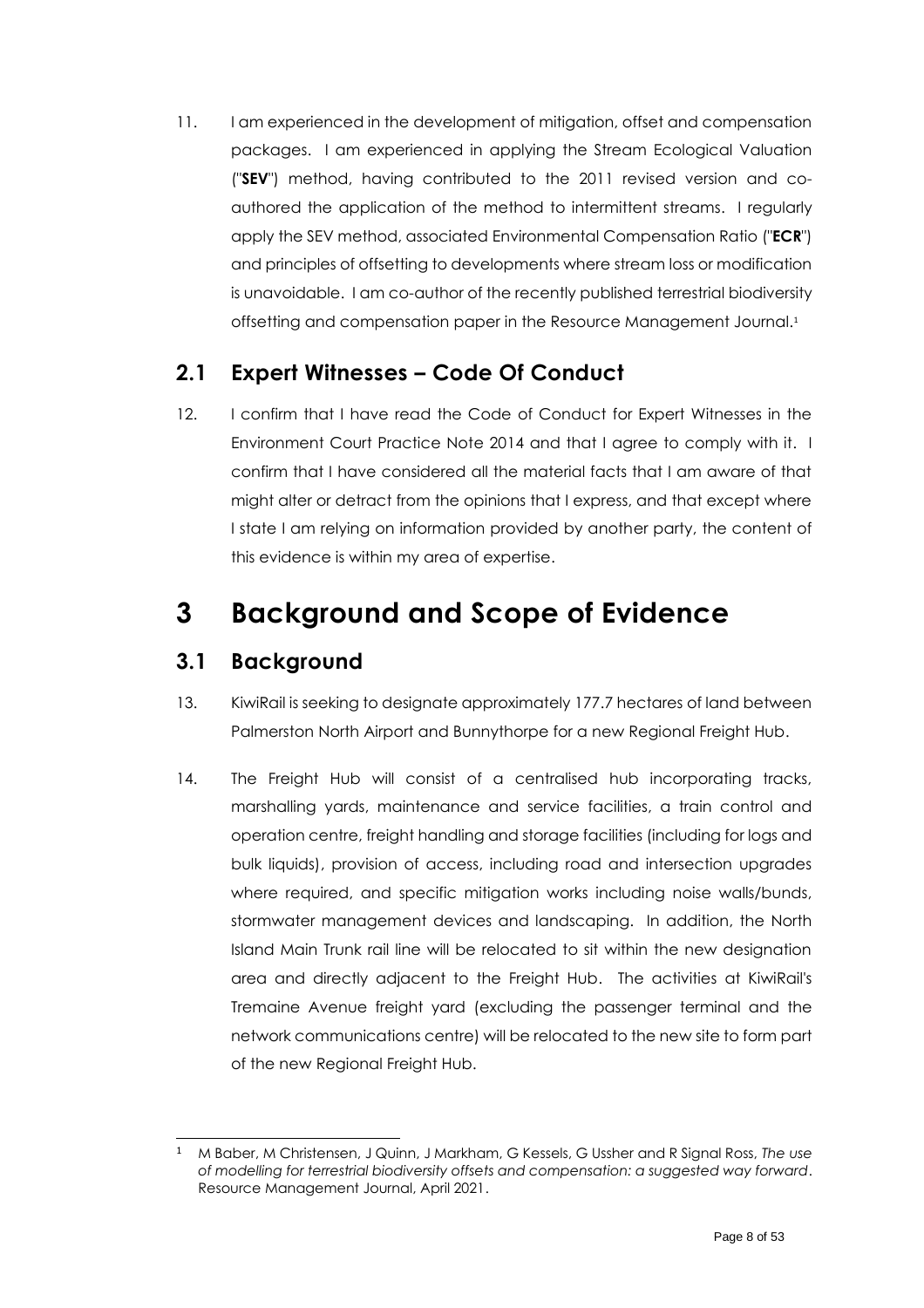11. I am experienced in the development of mitigation, offset and compensation packages. I am experienced in applying the Stream Ecological Valuation ("**SEV**") method, having contributed to the 2011 revised version and coauthored the application of the method to intermittent streams. I regularly apply the SEV method, associated Environmental Compensation Ratio ("**ECR**") and principles of offsetting to developments where stream loss or modification is unavoidable. I am co-author of the recently published terrestrial biodiversity offsetting and compensation paper in the Resource Management Journal. 1

### <span id="page-7-3"></span><span id="page-7-0"></span>**2.1 Expert Witnesses – Code Of Conduct**

12. I confirm that I have read the Code of Conduct for Expert Witnesses in the Environment Court Practice Note 2014 and that I agree to comply with it. I confirm that I have considered all the material facts that I am aware of that might alter or detract from the opinions that I express, and that except where I state I am relying on information provided by another party, the content of this evidence is within my area of expertise.

## <span id="page-7-1"></span>**3 Background and Scope of Evidence**

### <span id="page-7-2"></span>**3.1 Background**

- 13. KiwiRail is seeking to designate approximately 177.7 hectares of land between Palmerston North Airport and Bunnythorpe for a new Regional Freight Hub.
- 14. The Freight Hub will consist of a centralised hub incorporating tracks, marshalling yards, maintenance and service facilities, a train control and operation centre, freight handling and storage facilities (including for logs and bulk liquids), provision of access, including road and intersection upgrades where required, and specific mitigation works including noise walls/bunds, stormwater management devices and landscaping. In addition, the North Island Main Trunk rail line will be relocated to sit within the new designation area and directly adjacent to the Freight Hub. The activities at KiwiRail's Tremaine Avenue freight yard (excluding the passenger terminal and the network communications centre) will be relocated to the new site to form part of the new Regional Freight Hub.

<sup>1</sup> M Baber, M Christensen, J Quinn, J Markham, G Kessels, G Ussher and R Signal Ross, *The use of modelling for terrestrial biodiversity offsets and compensation: a suggested way forward*. Resource Management Journal, April 2021.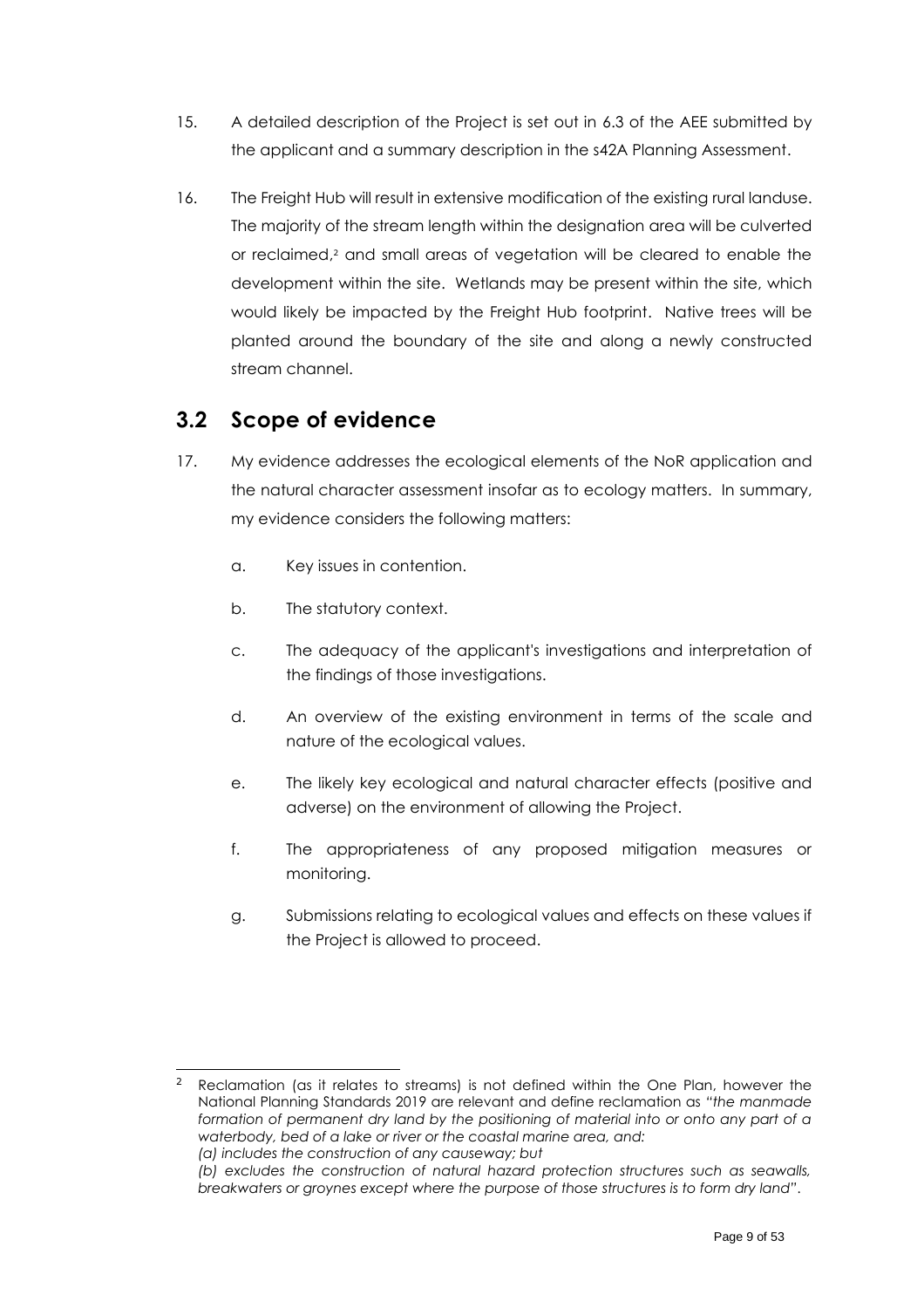- 15. A detailed description of the Project is set out in 6.3 of the AEE submitted by the applicant and a summary description in the s42A Planning Assessment.
- <span id="page-8-1"></span>16. The Freight Hub will result in extensive modification of the existing rural landuse. The majority of the stream length within the designation area will be culverted or reclaimed, <sup>2</sup> and small areas of vegetation will be cleared to enable the development within the site. Wetlands may be present within the site, which would likely be impacted by the Freight Hub footprint. Native trees will be planted around the boundary of the site and along a newly constructed stream channel.

### <span id="page-8-0"></span>**3.2 Scope of evidence**

- 17. My evidence addresses the ecological elements of the NoR application and the natural character assessment insofar as to ecology matters. In summary, my evidence considers the following matters:
	- a. Key issues in contention.
	- b. The statutory context.
	- c. The adequacy of the applicant's investigations and interpretation of the findings of those investigations.
	- d. An overview of the existing environment in terms of the scale and nature of the ecological values.
	- e. The likely key ecological and natural character effects (positive and adverse) on the environment of allowing the Project.
	- f. The appropriateness of any proposed mitigation measures or monitoring.
	- g. Submissions relating to ecological values and effects on these values if the Project is allowed to proceed.

<sup>2</sup> Reclamation (as it relates to streams) is not defined within the One Plan, however the National Planning Standards 2019 are relevant and define reclamation as *"the manmade formation of permanent dry land by the positioning of material into or onto any part of a waterbody, bed of a lake or river or the coastal marine area, and: (a) includes the construction of any causeway; but*

*<sup>(</sup>b) excludes the construction of natural hazard protection structures such as seawalls, breakwaters or groynes except where the purpose of those structures is to form dry land"*.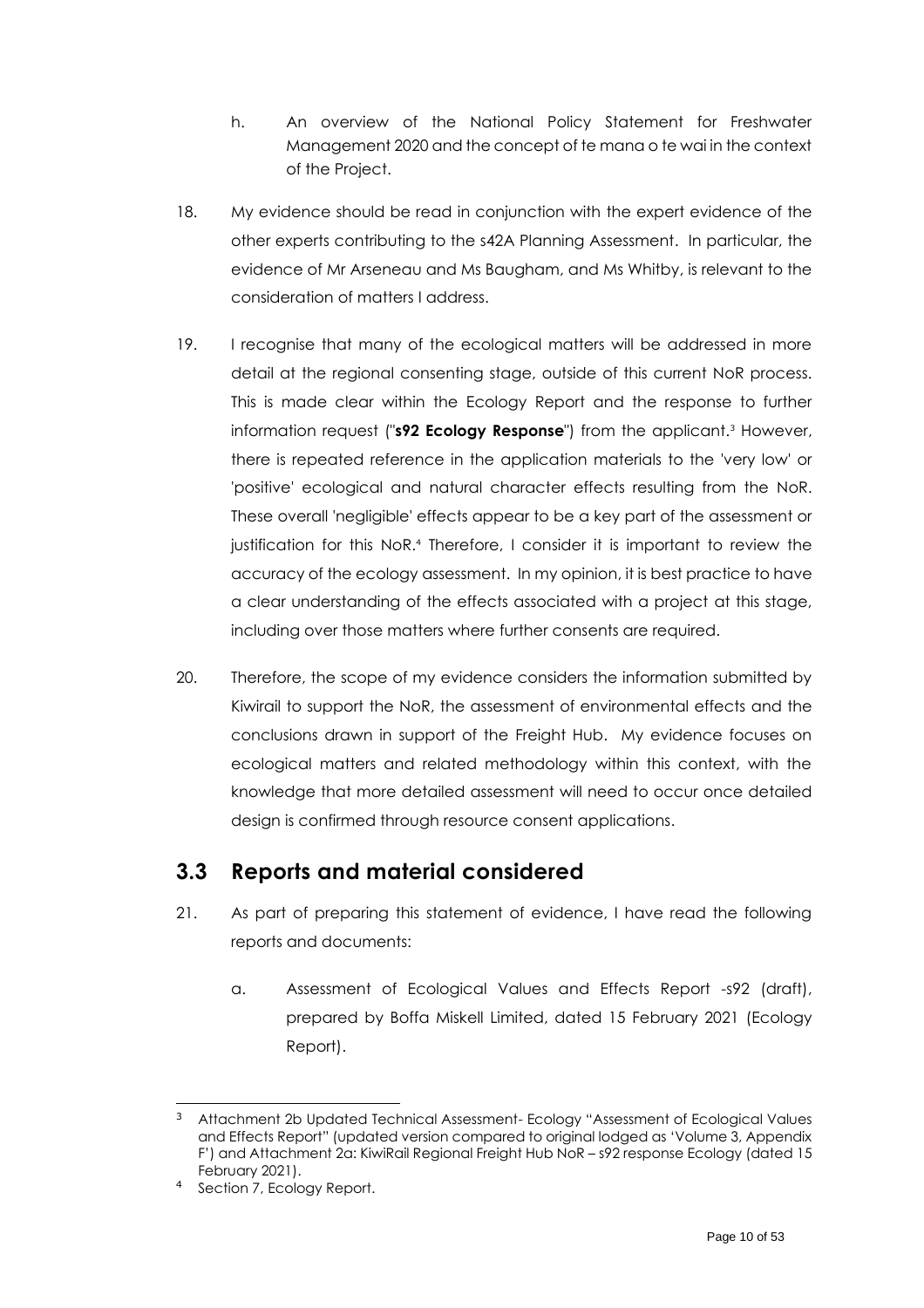- h. An overview of the National Policy Statement for Freshwater Management 2020 and the concept of te mana o te wai in the context of the Project.
- 18. My evidence should be read in conjunction with the expert evidence of the other experts contributing to the s42A Planning Assessment. In particular, the evidence of Mr Arseneau and Ms Baugham, and Ms Whitby, is relevant to the consideration of matters I address.
- 19. I recognise that many of the ecological matters will be addressed in more detail at the regional consenting stage, outside of this current NoR process. This is made clear within the Ecology Report and the response to further information request ("**s92 Ecology Response**") from the applicant.<sup>3</sup> However, there is repeated reference in the application materials to the 'very low' or 'positive' ecological and natural character effects resulting from the NoR. These overall 'negligible' effects appear to be a key part of the assessment or justification for this NoR. <sup>4</sup> Therefore, I consider it is important to review the accuracy of the ecology assessment. In my opinion, it is best practice to have a clear understanding of the effects associated with a project at this stage, including over those matters where further consents are required.
- 20. Therefore, the scope of my evidence considers the information submitted by Kiwirail to support the NoR, the assessment of environmental effects and the conclusions drawn in support of the Freight Hub. My evidence focuses on ecological matters and related methodology within this context, with the knowledge that more detailed assessment will need to occur once detailed design is confirmed through resource consent applications.

### <span id="page-9-0"></span>**3.3 Reports and material considered**

- 21. As part of preparing this statement of evidence, I have read the following reports and documents:
	- a. Assessment of Ecological Values and Effects Report -s92 (draft), prepared by Boffa Miskell Limited, dated 15 February 2021 (Ecology Report).

<sup>3</sup> Attachment 2b Updated Technical Assessment- Ecology "Assessment of Ecological Values and Effects Report" (updated version compared to original lodged as 'Volume 3, Appendix F') and Attachment 2a: KiwiRail Regional Freight Hub NoR – s92 response Ecology (dated 15 February 2021).

Section 7, Ecology Report.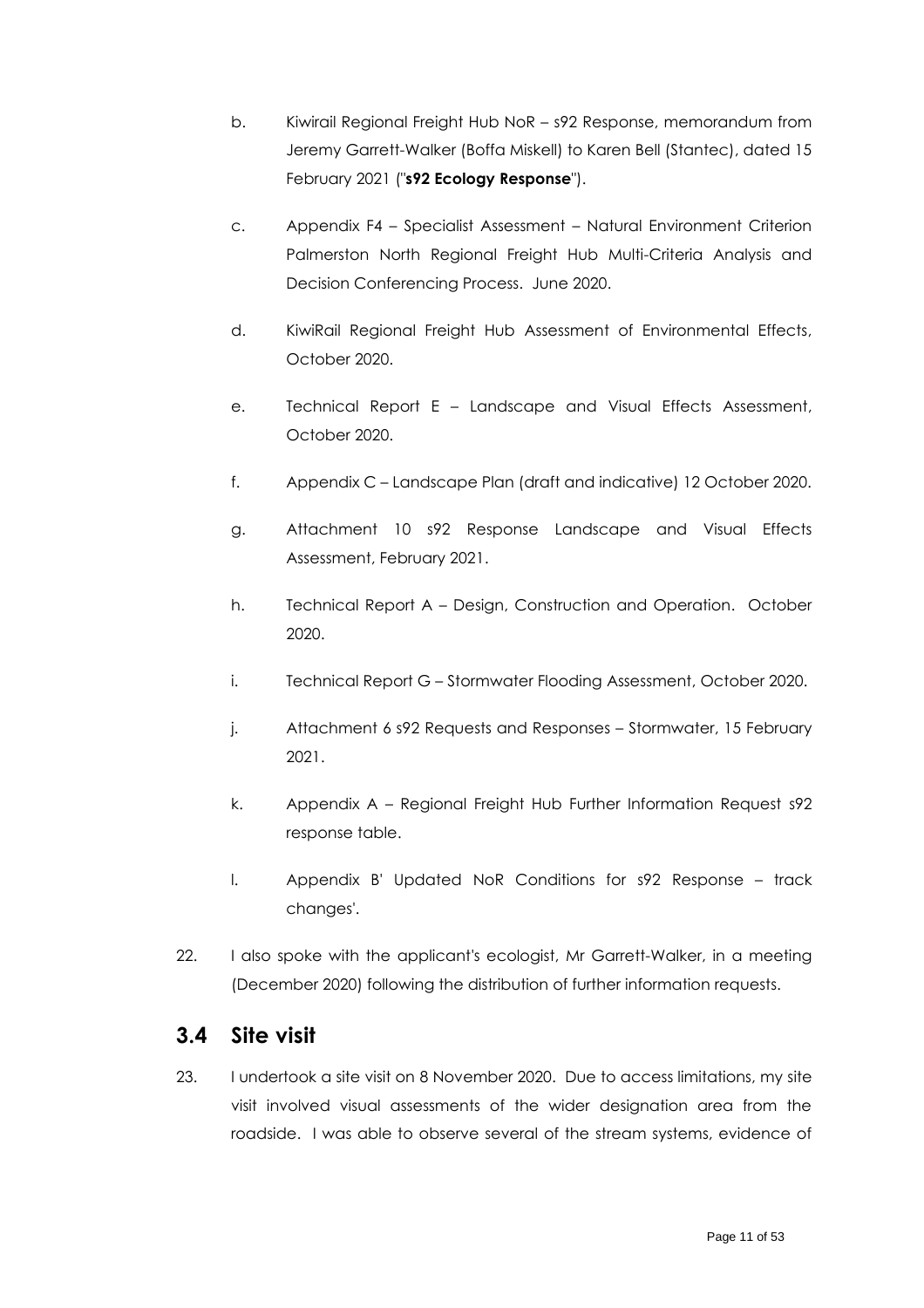- b. Kiwirail Regional Freight Hub NoR s92 Response, memorandum from Jeremy Garrett-Walker (Boffa Miskell) to Karen Bell (Stantec), dated 15 February 2021 ("**s92 Ecology Response**").
- c. Appendix F4 Specialist Assessment Natural Environment Criterion Palmerston North Regional Freight Hub Multi-Criteria Analysis and Decision Conferencing Process. June 2020.
- d. KiwiRail Regional Freight Hub Assessment of Environmental Effects, October 2020.
- e. Technical Report E Landscape and Visual Effects Assessment, October 2020.
- f. Appendix C Landscape Plan (draft and indicative) 12 October 2020.
- g. Attachment 10 s92 Response Landscape and Visual Effects Assessment, February 2021.
- h. Technical Report A Design, Construction and Operation. October 2020.
- i. Technical Report G Stormwater Flooding Assessment, October 2020.
- j. Attachment 6 s92 Requests and Responses Stormwater, 15 February 2021.
- k. Appendix A Regional Freight Hub Further Information Request s92 response table.
- l. Appendix B' Updated NoR Conditions for s92 Response track changes'.
- 22. I also spoke with the applicant's ecologist, Mr Garrett-Walker, in a meeting (December 2020) following the distribution of further information requests.

### <span id="page-10-0"></span>**3.4 Site visit**

23. I undertook a site visit on 8 November 2020. Due to access limitations, my site visit involved visual assessments of the wider designation area from the roadside. I was able to observe several of the stream systems, evidence of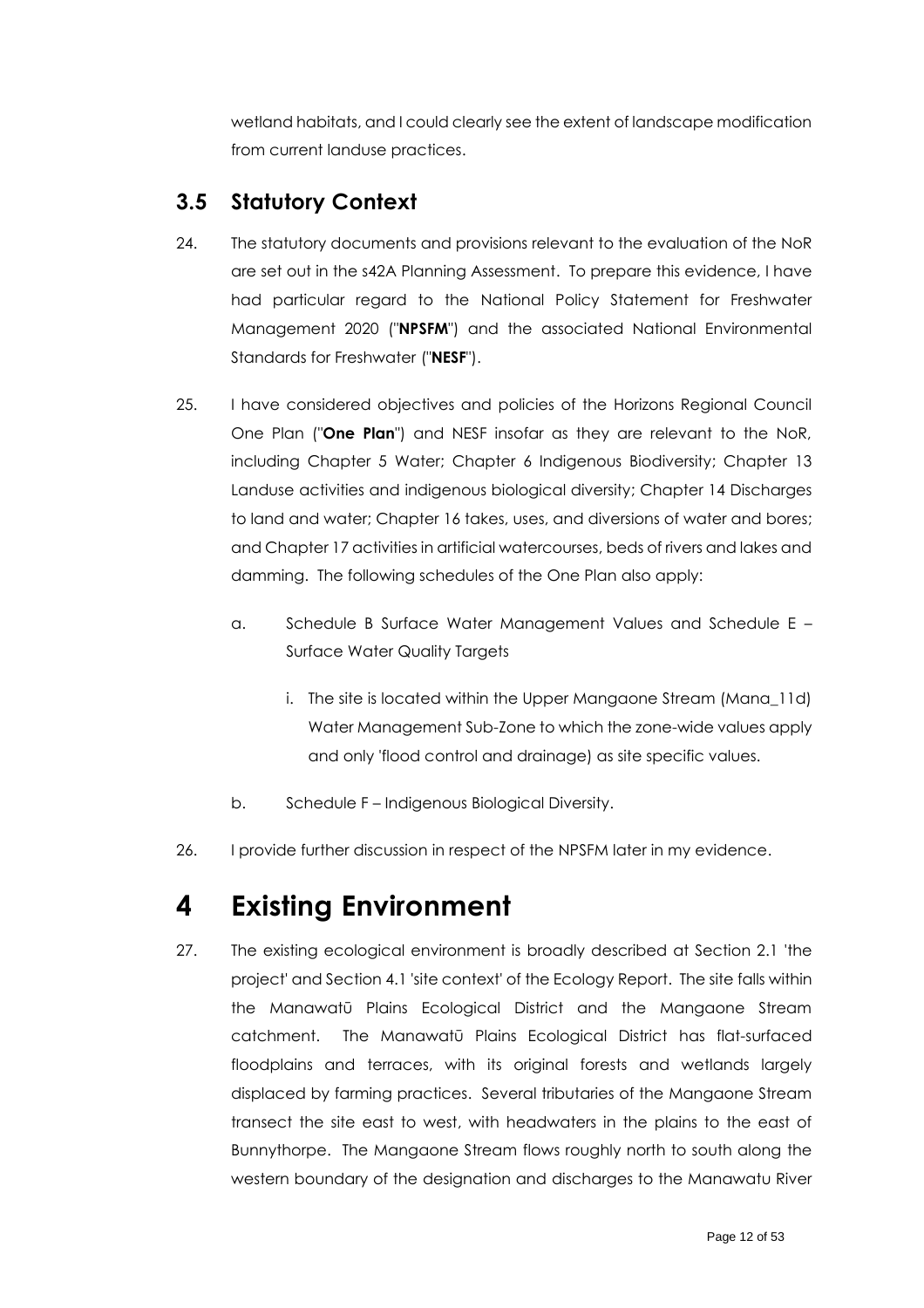wetland habitats, and I could clearly see the extent of landscape modification from current landuse practices.

### <span id="page-11-0"></span>**3.5 Statutory Context**

- 24. The statutory documents and provisions relevant to the evaluation of the NoR are set out in the s42A Planning Assessment. To prepare this evidence, I have had particular regard to the National Policy Statement for Freshwater Management 2020 ("**NPSFM**") and the associated National Environmental Standards for Freshwater ("**NESF**").
- 25. I have considered objectives and policies of the Horizons Regional Council One Plan ("**One Plan**") and NESF insofar as they are relevant to the NoR, including Chapter 5 Water; Chapter 6 Indigenous Biodiversity; Chapter 13 Landuse activities and indigenous biological diversity; Chapter 14 Discharges to land and water; Chapter 16 takes, uses, and diversions of water and bores; and Chapter 17 activities in artificial watercourses, beds of rivers and lakes and damming. The following schedules of the One Plan also apply:
	- a. Schedule B Surface Water Management Values and Schedule E Surface Water Quality Targets
		- i. The site is located within the Upper Mangaone Stream (Mana\_11d) Water Management Sub-Zone to which the zone-wide values apply and only 'flood control and drainage) as site specific values.
	- b. Schedule F Indigenous Biological Diversity.
- 26. I provide further discussion in respect of the NPSFM later in my evidence.

# <span id="page-11-1"></span>**4 Existing Environment**

27. The existing ecological environment is broadly described at Section 2.1 'the project' and Section 4.1 'site context' of the Ecology Report. The site falls within the Manawatū Plains Ecological District and the Mangaone Stream catchment. The Manawatū Plains Ecological District has flat-surfaced floodplains and terraces, with its original forests and wetlands largely displaced by farming practices. Several tributaries of the Mangaone Stream transect the site east to west, with headwaters in the plains to the east of Bunnythorpe. The Mangaone Stream flows roughly north to south along the western boundary of the designation and discharges to the Manawatu River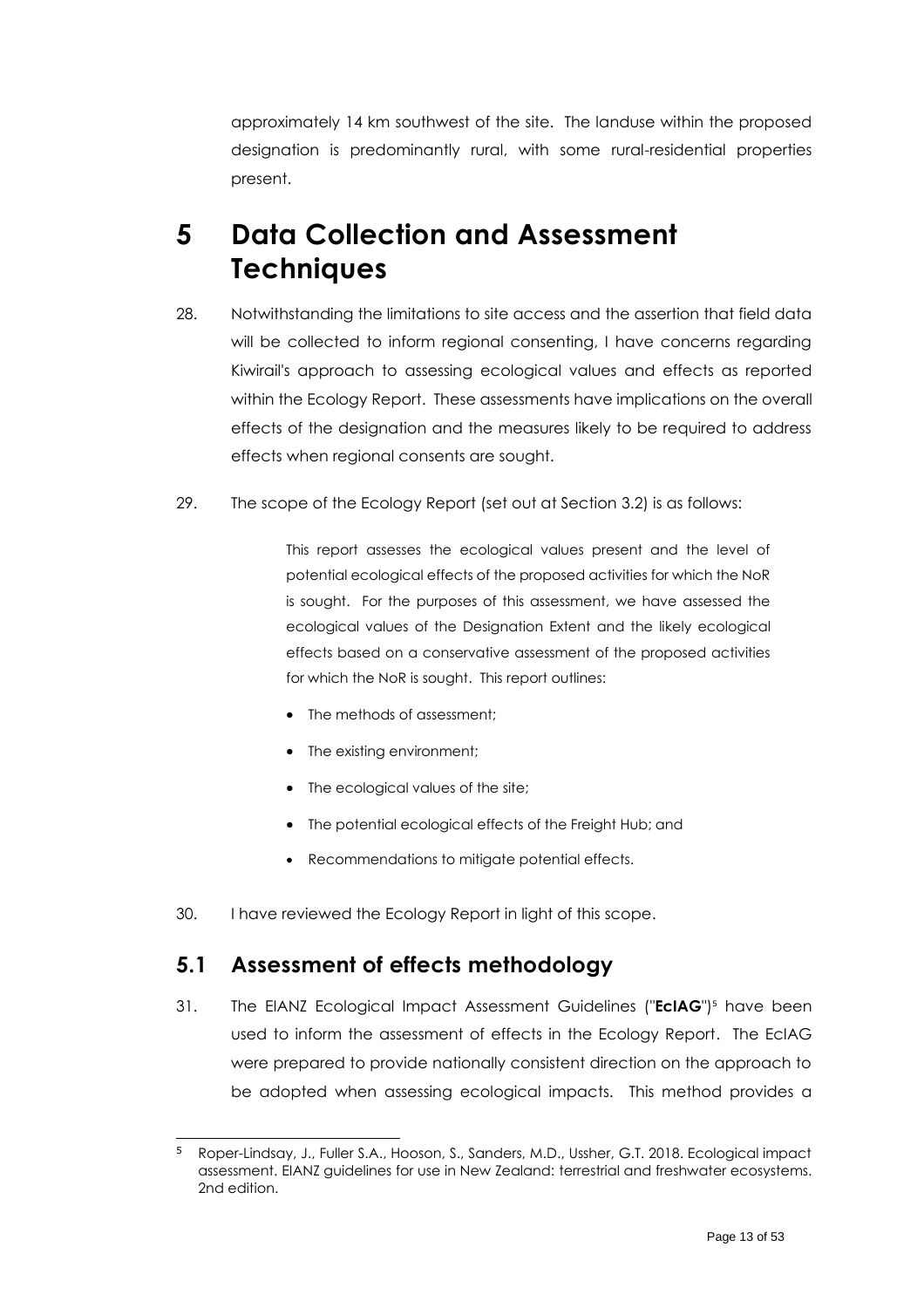approximately 14 km southwest of the site. The landuse within the proposed designation is predominantly rural, with some rural-residential properties present.

# <span id="page-12-0"></span>**5 Data Collection and Assessment Techniques**

- 28. Notwithstanding the limitations to site access and the assertion that field data will be collected to inform regional consenting, I have concerns regarding Kiwirail's approach to assessing ecological values and effects as reported within the Ecology Report. These assessments have implications on the overall effects of the designation and the measures likely to be required to address effects when regional consents are sought.
- <span id="page-12-2"></span>29. The scope of the Ecology Report (set out at Section 3.2) is as follows:

This report assesses the ecological values present and the level of potential ecological effects of the proposed activities for which the NoR is sought. For the purposes of this assessment, we have assessed the ecological values of the Designation Extent and the likely ecological effects based on a conservative assessment of the proposed activities for which the NoR is sought. This report outlines:

- The methods of assessment;
- The existing environment;
- The ecological values of the site;
- The potential ecological effects of the Freight Hub; and
- <span id="page-12-3"></span>• Recommendations to mitigate potential effects.
- 30. I have reviewed the Ecology Report in light of this scope.

### <span id="page-12-1"></span>**5.1 Assessment of effects methodology**

31. The EIANZ Ecological Impact Assessment Guidelines ("**EcIAG**") <sup>5</sup> have been used to inform the assessment of effects in the Ecology Report. The EcIAG were prepared to provide nationally consistent direction on the approach to be adopted when assessing ecological impacts. This method provides a

<sup>5</sup> Roper-Lindsay, J., Fuller S.A., Hooson, S., Sanders, M.D., Ussher, G.T. 2018. Ecological impact assessment. EIANZ guidelines for use in New Zealand: terrestrial and freshwater ecosystems. 2nd edition.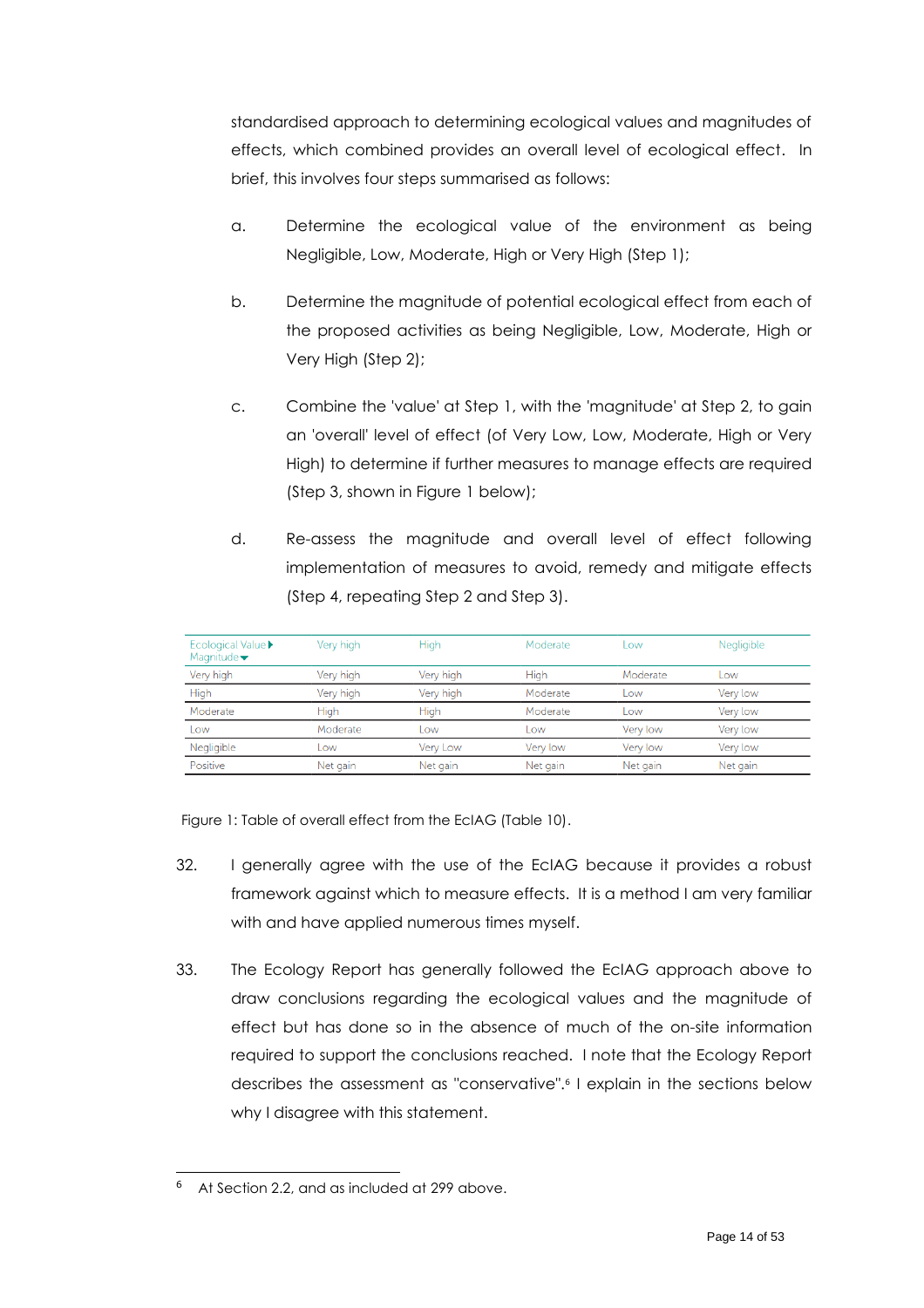standardised approach to determining ecological values and magnitudes of effects, which combined provides an overall level of ecological effect. In brief, this involves four steps summarised as follows:

- a. Determine the ecological value of the environment as being Negligible, Low, Moderate, High or Very High (Step 1);
- b. Determine the magnitude of potential ecological effect from each of the proposed activities as being Negligible, Low, Moderate, High or Very High (Step 2);
- c. Combine the 'value' at Step 1, with the 'magnitude' at Step 2, to gain an 'overall' level of effect (of Very Low, Low, Moderate, High or Very High) to determine if further measures to manage effects are required (Step 3, shown in Figure 1 below);
- d. Re-assess the magnitude and overall level of effect following implementation of measures to avoid, remedy and mitigate effects (Step 4, repeating Step 2 and Step 3).

| <b>Ecological Value</b> ▶<br>Magnitude $\blacktriangledown$ | Very high | <b>High</b> | Moderate | Low      | Negligible |
|-------------------------------------------------------------|-----------|-------------|----------|----------|------------|
| Very high                                                   | Very high | Very high   | High     | Moderate | Low        |
| High                                                        | Very high | Very high   | Moderate | LOW      | Very low   |
| Moderate                                                    | High      | <b>High</b> | Moderate | Low      | Very low   |
| Low                                                         | Moderate  | Low         | LOW      | Very low | Very low   |
| Negligible                                                  | Low       | Very Low    | Verv low | Very low | Very low   |
| Positive                                                    | Net gain  | Net gain    | Net gain | Net gain | Net gain   |

Figure 1: Table of overall effect from the EcIAG (Table 10).

- 32. I generally agree with the use of the EcIAG because it provides a robust framework against which to measure effects. It is a method I am very familiar with and have applied numerous times myself.
- 33. The Ecology Report has generally followed the EcIAG approach above to draw conclusions regarding the ecological values and the magnitude of effect but has done so in the absence of much of the on-site information required to support the conclusions reached. I note that the Ecology Report describes the assessment as "conservative". 6 I explain in the sections below why I disagree with this statement.

At Section 2.2, and as included at [299](#page-12-2) above.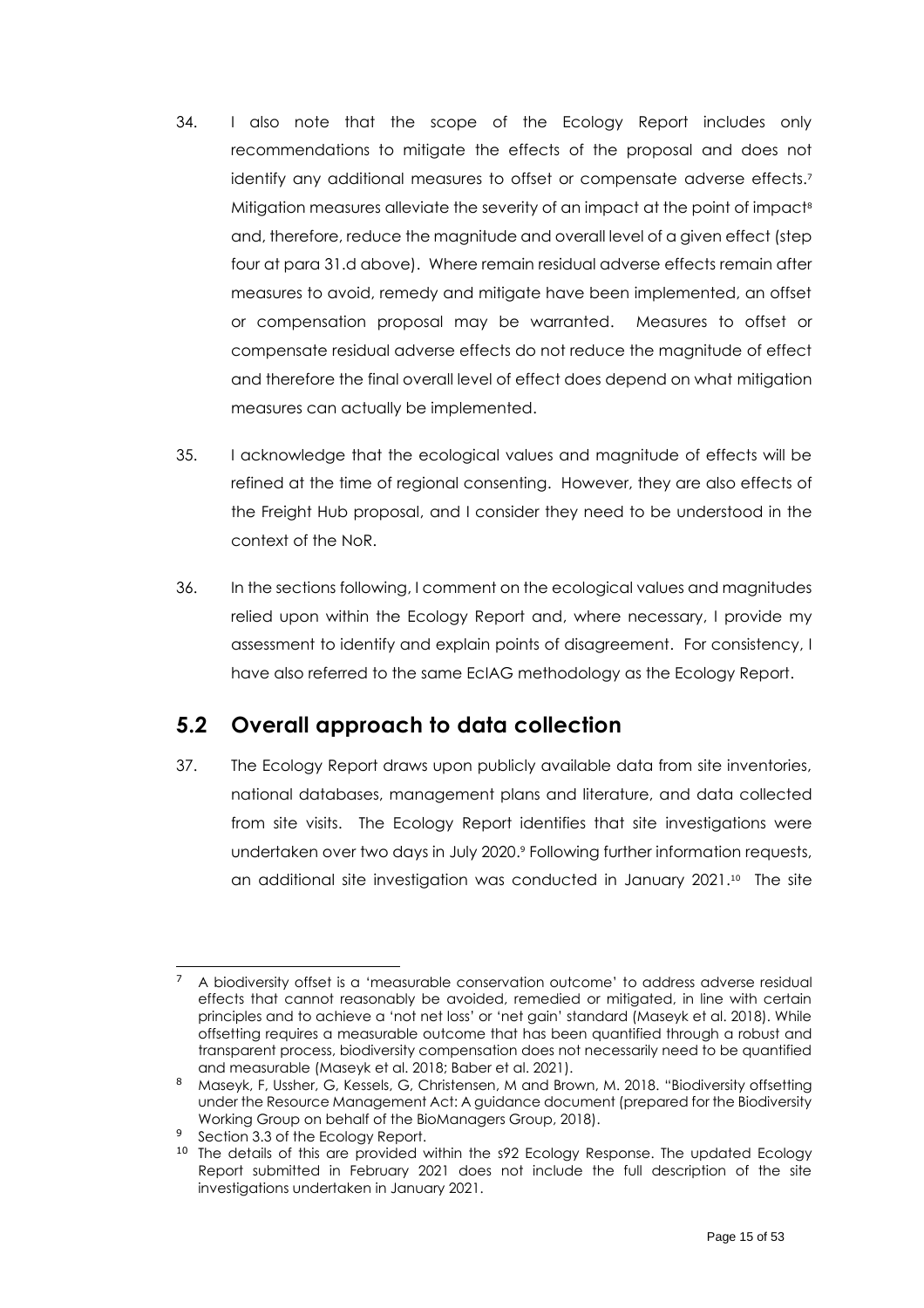- <span id="page-14-1"></span>34. I also note that the scope of the Ecology Report includes only recommendations to mitigate the effects of the proposal and does not identify any additional measures to offset or compensate adverse effects. 7 Mitigation measures alleviate the severity of an impact at the point of impact<sup>8</sup> and, therefore, reduce the magnitude and overall level of a given effect (step four at para 31.d above). Where remain residual adverse effects remain after measures to avoid, remedy and mitigate have been implemented, an offset or compensation proposal may be warranted. Measures to offset or compensate residual adverse effects do not reduce the magnitude of effect and therefore the final overall level of effect does depend on what mitigation measures can actually be implemented.
- 35. I acknowledge that the ecological values and magnitude of effects will be refined at the time of regional consenting. However, they are also effects of the Freight Hub proposal, and I consider they need to be understood in the context of the NoR.
- 36. In the sections following, I comment on the ecological values and magnitudes relied upon within the Ecology Report and, where necessary, I provide my assessment to identify and explain points of disagreement. For consistency, I have also referred to the same EcIAG methodology as the Ecology Report.

### <span id="page-14-0"></span>**5.2 Overall approach to data collection**

37. The Ecology Report draws upon publicly available data from site inventories, national databases, management plans and literature, and data collected from site visits. The Ecology Report identifies that site investigations were undertaken over two days in July 2020. <sup>9</sup> Following further information requests, an additional site investigation was conducted in January 2021. <sup>10</sup> The site

<sup>7</sup> A biodiversity offset is a 'measurable conservation outcome' to address adverse residual effects that cannot reasonably be avoided, remedied or mitigated, in line with certain principles and to achieve a 'not net loss' or 'net gain' standard (Maseyk et al. 2018). While offsetting requires a measurable outcome that has been quantified through a robust and transparent process, biodiversity compensation does not necessarily need to be quantified and measurable (Maseyk et al. 2018; Baber et al. 2021).

<sup>8</sup> Maseyk, F, Ussher, G, Kessels, G, Christensen, M and Brown, M. 2018. "Biodiversity offsetting under the Resource Management Act: A guidance document (prepared for the Biodiversity Working Group on behalf of the BioManagers Group, 2018).

<sup>&</sup>lt;sup>9</sup> Section 3.3 of the Ecology Report.

<sup>&</sup>lt;sup>10</sup> The details of this are provided within the s92 Ecology Response. The updated Ecology Report submitted in February 2021 does not include the full description of the site investigations undertaken in January 2021.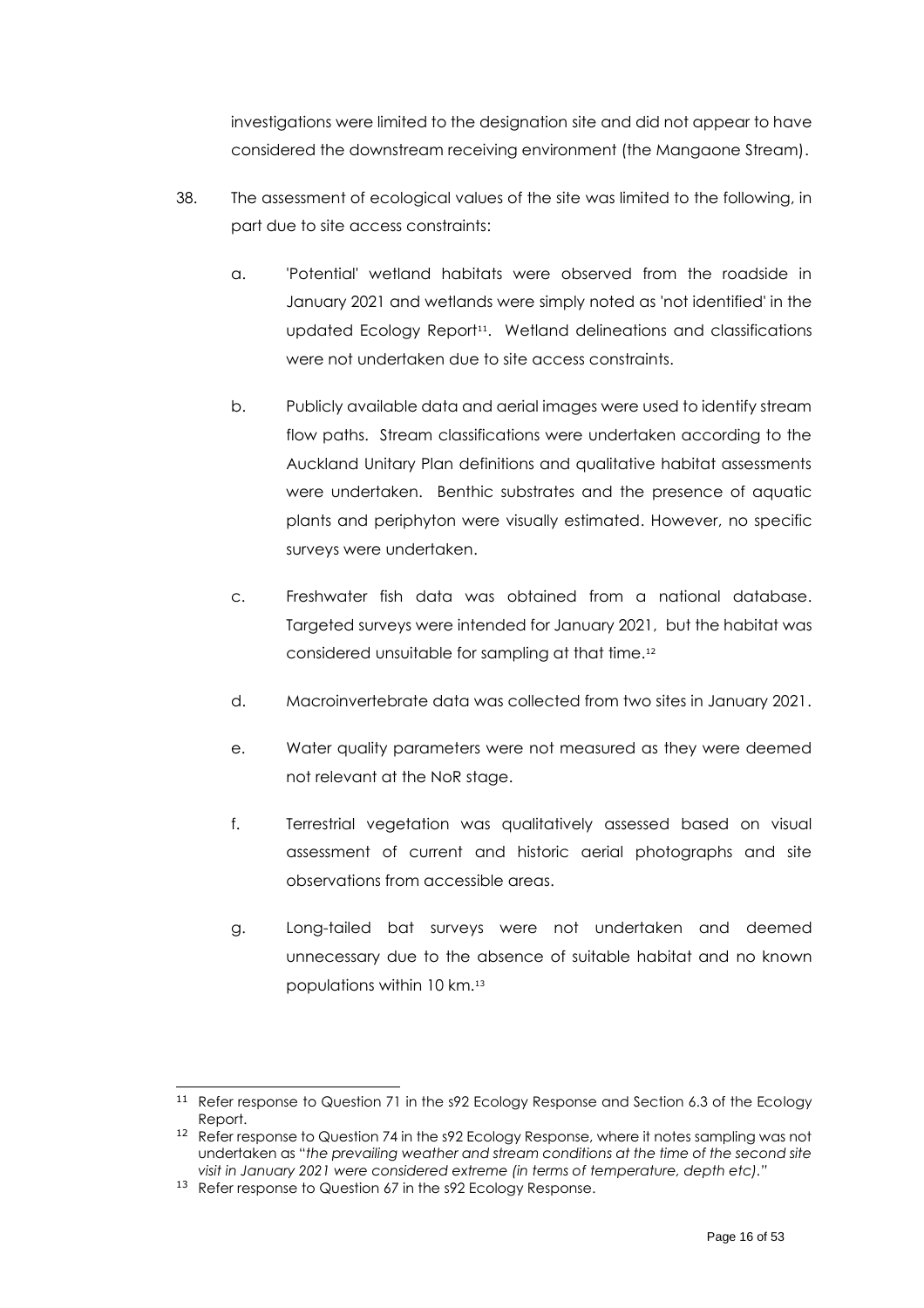investigations were limited to the designation site and did not appear to have considered the downstream receiving environment (the Mangaone Stream).

- 38. The assessment of ecological values of the site was limited to the following, in part due to site access constraints:
	- a. 'Potential' wetland habitats were observed from the roadside in January 2021 and wetlands were simply noted as 'not identified' in the updated Ecology Report<sup>11</sup> . Wetland delineations and classifications were not undertaken due to site access constraints.
	- b. Publicly available data and aerial images were used to identify stream flow paths. Stream classifications were undertaken according to the Auckland Unitary Plan definitions and qualitative habitat assessments were undertaken. Benthic substrates and the presence of aquatic plants and periphyton were visually estimated. However, no specific surveys were undertaken.
	- c. Freshwater fish data was obtained from a national database. Targeted surveys were intended for January 2021, but the habitat was considered unsuitable for sampling at that time.<sup>12</sup>
	- d. Macroinvertebrate data was collected from two sites in January 2021.
	- e. Water quality parameters were not measured as they were deemed not relevant at the NoR stage.
	- f. Terrestrial vegetation was qualitatively assessed based on visual assessment of current and historic aerial photographs and site observations from accessible areas.
	- g. Long-tailed bat surveys were not undertaken and deemed unnecessary due to the absence of suitable habitat and no known populations within 10 km.<sup>13</sup>

<sup>&</sup>lt;sup>11</sup> Refer response to Question 71 in the s92 Ecology Response and Section 6.3 of the Ecology Report.

<sup>&</sup>lt;sup>12</sup> Refer response to Question 74 in the s92 Ecology Response, where it notes sampling was not undertaken as "*the prevailing weather and stream conditions at the time of the second site visit in January 2021 were considered extreme (in terms of temperature, depth etc)."*

<sup>&</sup>lt;sup>13</sup> Refer response to Question 67 in the s92 Ecology Response.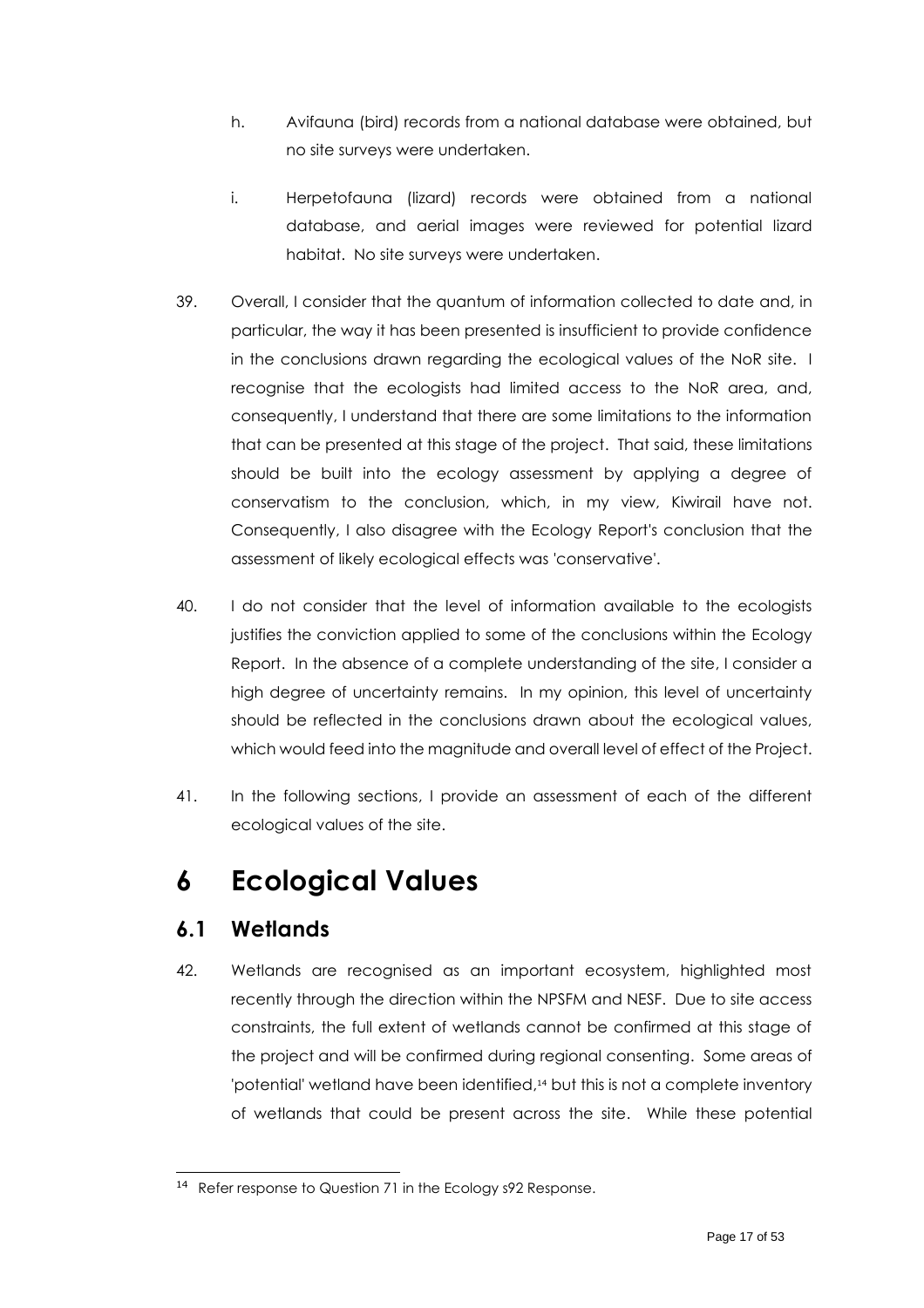- h. Avifauna (bird) records from a national database were obtained, but no site surveys were undertaken.
- i. Herpetofauna (lizard) records were obtained from a national database, and aerial images were reviewed for potential lizard habitat. No site surveys were undertaken.
- 39. Overall, I consider that the quantum of information collected to date and, in particular, the way it has been presented is insufficient to provide confidence in the conclusions drawn regarding the ecological values of the NoR site. I recognise that the ecologists had limited access to the NoR area, and, consequently, I understand that there are some limitations to the information that can be presented at this stage of the project. That said, these limitations should be built into the ecology assessment by applying a degree of conservatism to the conclusion, which, in my view, Kiwirail have not. Consequently, I also disagree with the Ecology Report's conclusion that the assessment of likely ecological effects was 'conservative'.
- 40. I do not consider that the level of information available to the ecologists justifies the conviction applied to some of the conclusions within the Ecology Report. In the absence of a complete understanding of the site, I consider a high degree of uncertainty remains. In my opinion, this level of uncertainty should be reflected in the conclusions drawn about the ecological values, which would feed into the magnitude and overall level of effect of the Project.
- 41. In the following sections, I provide an assessment of each of the different ecological values of the site.

# <span id="page-16-0"></span>**6 Ecological Values**

### <span id="page-16-1"></span>**6.1 Wetlands**

42. Wetlands are recognised as an important ecosystem, highlighted most recently through the direction within the NPSFM and NESF. Due to site access constraints, the full extent of wetlands cannot be confirmed at this stage of the project and will be confirmed during regional consenting. Some areas of 'potential' wetland have been identified, <sup>14</sup> but this is not a complete inventory of wetlands that could be present across the site. While these potential

<sup>14</sup> Refer response to Question 71 in the Ecology s92 Response.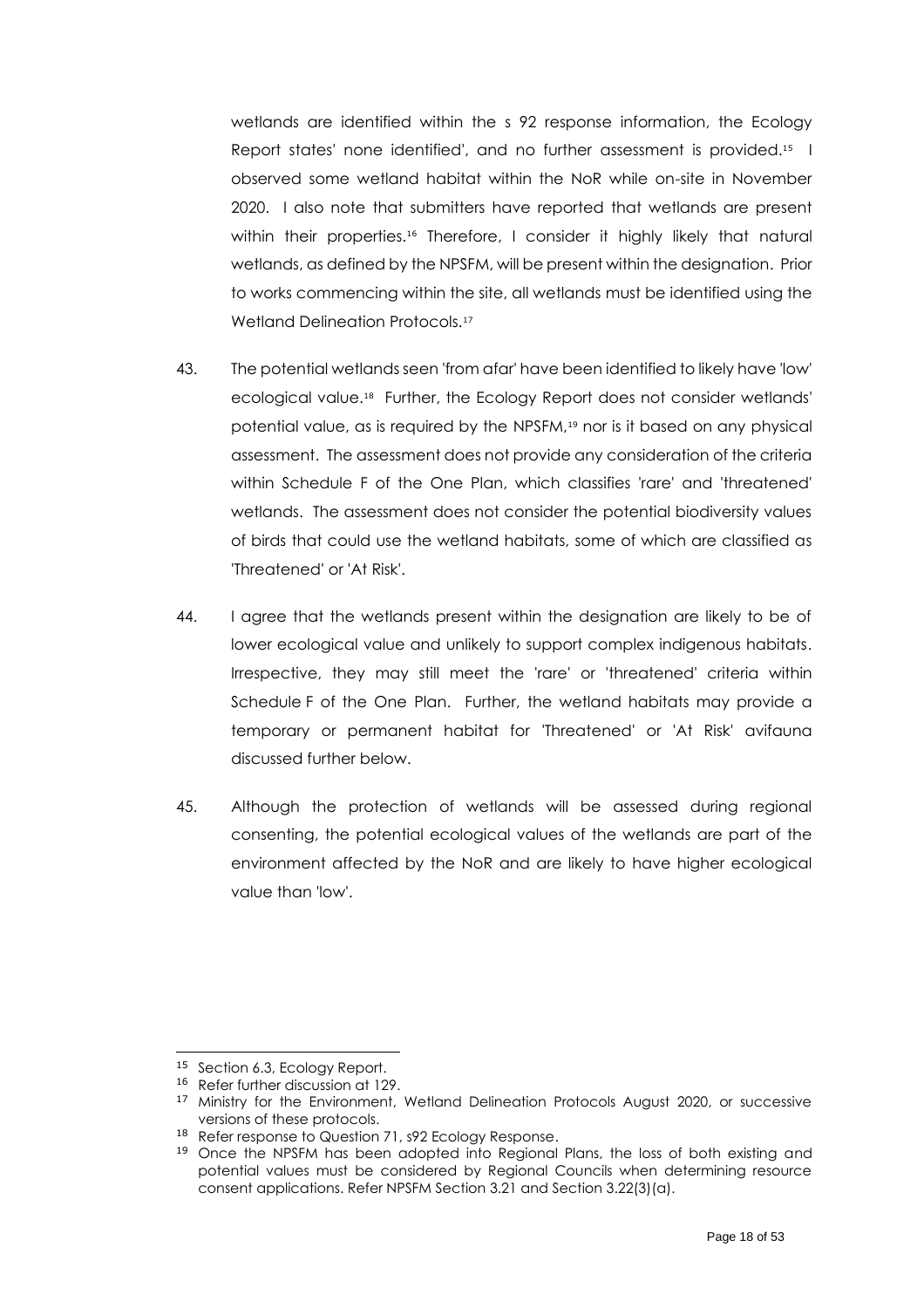wetlands are identified within the s 92 response information, the Ecology Report states' none identified', and no further assessment is provided. 15 I observed some wetland habitat within the NoR while on-site in November 2020. I also note that submitters have reported that wetlands are present within their properties.<sup>16</sup> Therefore, I consider it highly likely that natural wetlands, as defined by the NPSFM, will be present within the designation. Prior to works commencing within the site, all wetlands must be identified using the Wetland Delineation Protocols.<sup>17</sup>

- 43. The potential wetlands seen 'from afar' have been identified to likely have 'low' ecological value. 18 Further, the Ecology Report does not consider wetlands' potential value, as is required by the NPSFM, <sup>19</sup> nor is it based on any physical assessment. The assessment does not provide any consideration of the criteria within Schedule F of the One Plan, which classifies 'rare' and 'threatened' wetlands. The assessment does not consider the potential biodiversity values of birds that could use the wetland habitats, some of which are classified as 'Threatened' or 'At Risk'.
- 44. I agree that the wetlands present within the designation are likely to be of lower ecological value and unlikely to support complex indigenous habitats. Irrespective, they may still meet the 'rare' or 'threatened' criteria within Schedule F of the One Plan. Further, the wetland habitats may provide a temporary or permanent habitat for 'Threatened' or 'At Risk' avifauna discussed further below.
- 45. Although the protection of wetlands will be assessed during regional consenting, the potential ecological values of the wetlands are part of the environment affected by the NoR and are likely to have higher ecological value than 'low'.

<sup>15</sup> Section 6.3, Ecology Report.

<sup>16</sup> Refer further discussion at 129.

<sup>&</sup>lt;sup>17</sup> Ministry for the Environment, Wetland Delineation Protocols August 2020, or successive versions of these protocols.

<sup>18</sup> Refer response to Question 71, s92 Ecology Response.

<sup>&</sup>lt;sup>19</sup> Once the NPSFM has been adopted into Regional Plans, the loss of both existing and potential values must be considered by Regional Councils when determining resource consent applications. Refer NPSFM Section 3.21 and Section 3.22(3)(a).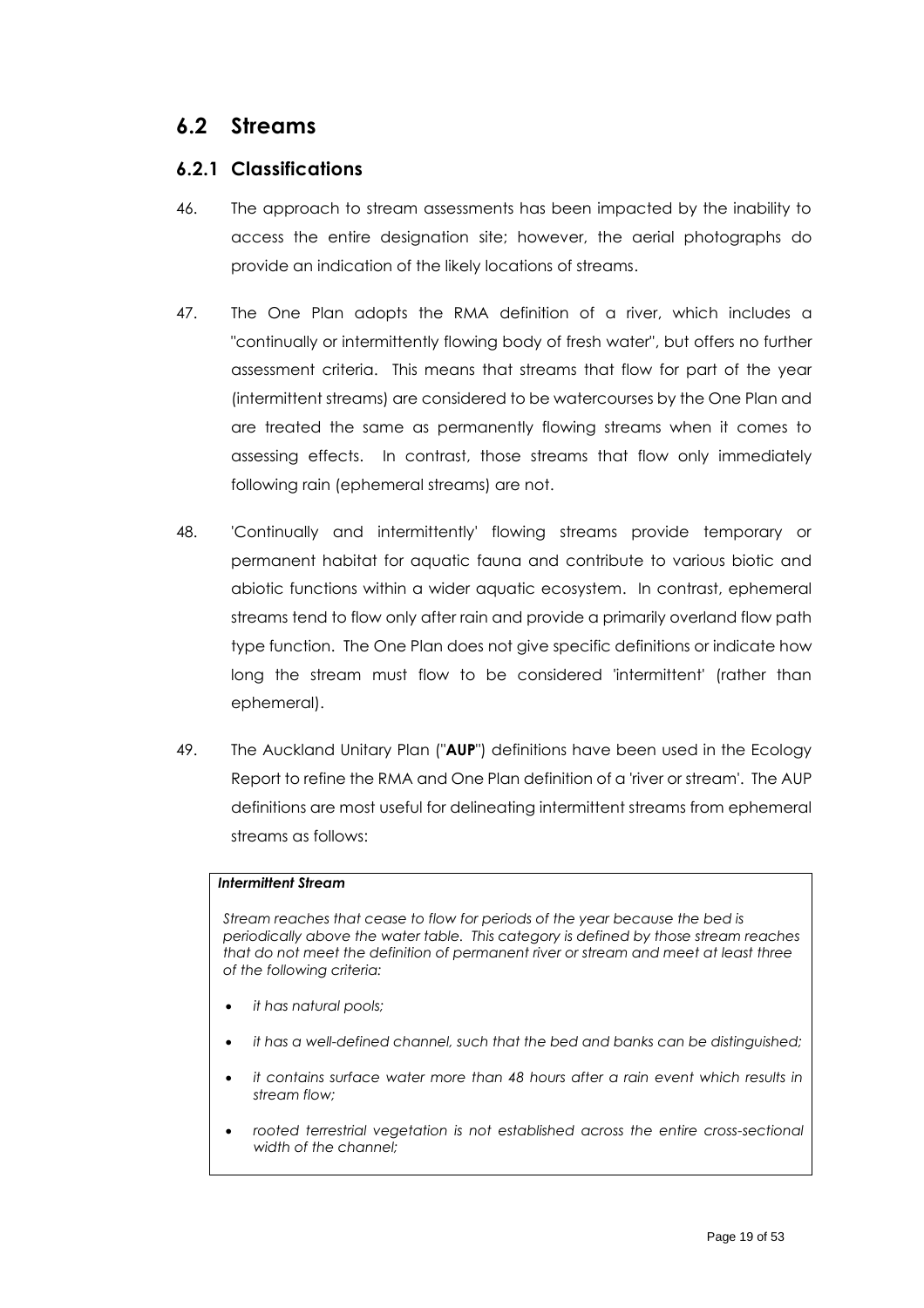### <span id="page-18-0"></span>**6.2 Streams**

#### <span id="page-18-1"></span>**6.2.1 Classifications**

- 46. The approach to stream assessments has been impacted by the inability to access the entire designation site; however, the aerial photographs do provide an indication of the likely locations of streams.
- 47. The One Plan adopts the RMA definition of a river, which includes a "continually or intermittently flowing body of fresh water", but offers no further assessment criteria. This means that streams that flow for part of the year (intermittent streams) are considered to be watercourses by the One Plan and are treated the same as permanently flowing streams when it comes to assessing effects. In contrast, those streams that flow only immediately following rain (ephemeral streams) are not.
- 48. 'Continually and intermittently' flowing streams provide temporary or permanent habitat for aquatic fauna and contribute to various biotic and abiotic functions within a wider aquatic ecosystem. In contrast, ephemeral streams tend to flow only after rain and provide a primarily overland flow path type function. The One Plan does not give specific definitions or indicate how long the stream must flow to be considered 'intermittent' (rather than ephemeral).
- 49. The Auckland Unitary Plan ("**AUP**") definitions have been used in the Ecology Report to refine the RMA and One Plan definition of a 'river or stream'. The AUP definitions are most useful for delineating intermittent streams from ephemeral streams as follows:

#### *Intermittent Stream*

*Stream reaches that cease to flow for periods of the year because the bed is periodically above the water table. This category is defined by those stream reaches that do not meet the definition of permanent river or stream and meet at least three of the following criteria:* 

- *it has natural pools;*
- *it has a well-defined channel, such that the bed and banks can be distinguished;*
- *it contains surface water more than 48 hours after a rain event which results in stream flow;*
- *rooted terrestrial vegetation is not established across the entire cross-sectional width of the channel;*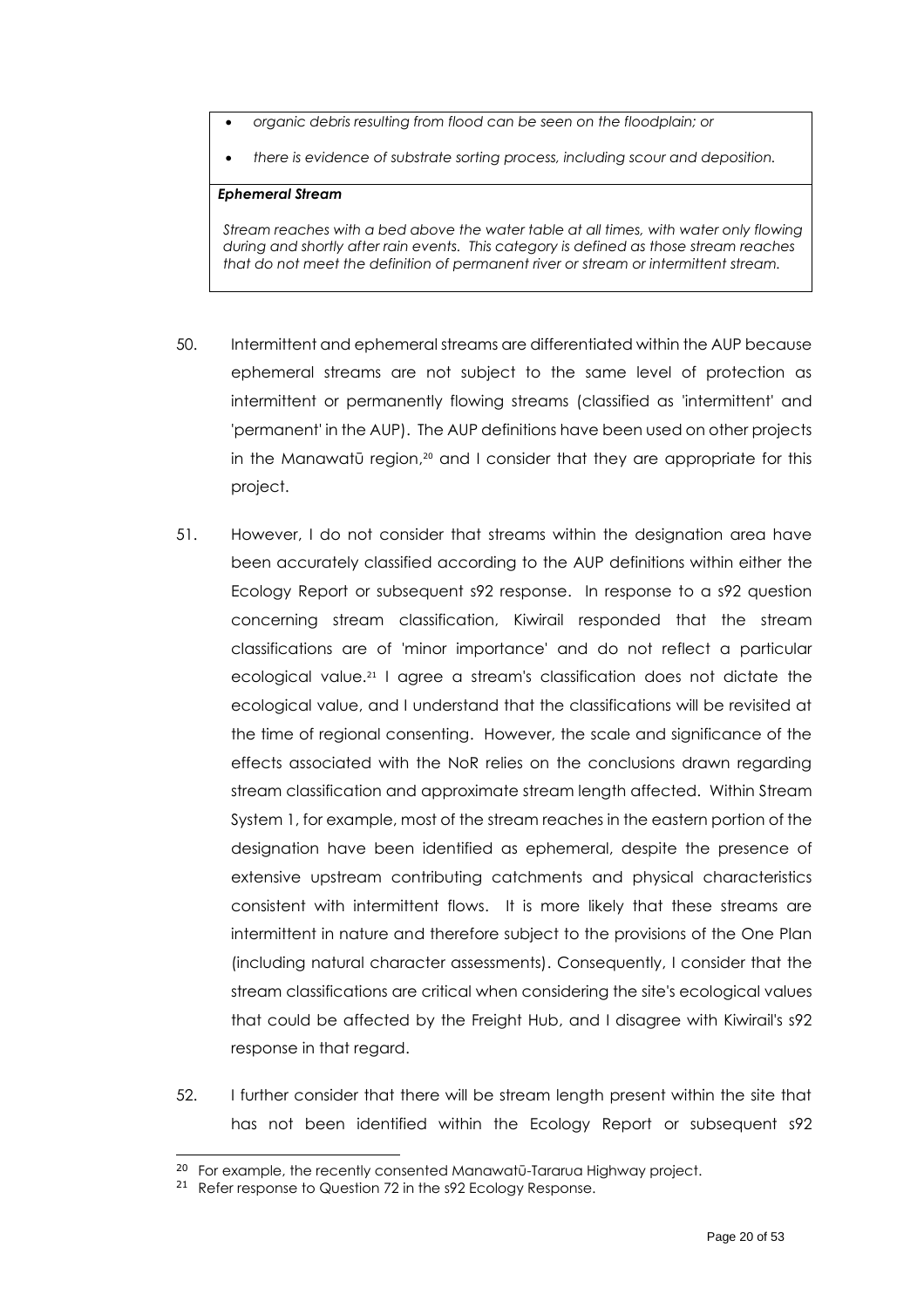- *organic debris resulting from flood can be seen on the floodplain; or*
- *there is evidence of substrate sorting process, including scour and deposition.*

#### *Ephemeral Stream*

*Stream reaches with a bed above the water table at all times, with water only flowing during and shortly after rain events. This category is defined as those stream reaches that do not meet the definition of permanent river or stream or intermittent stream.*

- 50. Intermittent and ephemeral streams are differentiated within the AUP because ephemeral streams are not subject to the same level of protection as intermittent or permanently flowing streams (classified as 'intermittent' and 'permanent' in the AUP). The AUP definitions have been used on other projects in the Manawatū region, <sup>20</sup> and I consider that they are appropriate for this project.
- 51. However, I do not consider that streams within the designation area have been accurately classified according to the AUP definitions within either the Ecology Report or subsequent s92 response. In response to a s92 question concerning stream classification, Kiwirail responded that the stream classifications are of 'minor importance' and do not reflect a particular ecological value.<sup>21</sup> I agree a stream's classification does not dictate the ecological value, and I understand that the classifications will be revisited at the time of regional consenting. However, the scale and significance of the effects associated with the NoR relies on the conclusions drawn regarding stream classification and approximate stream length affected. Within Stream System 1, for example, most of the stream reaches in the eastern portion of the designation have been identified as ephemeral, despite the presence of extensive upstream contributing catchments and physical characteristics consistent with intermittent flows. It is more likely that these streams are intermittent in nature and therefore subject to the provisions of the One Plan (including natural character assessments). Consequently, I consider that the stream classifications are critical when considering the site's ecological values that could be affected by the Freight Hub, and I disagree with Kiwirail's s92 response in that regard.
- 52. I further consider that there will be stream length present within the site that has not been identified within the Ecology Report or subsequent s92

<sup>&</sup>lt;sup>20</sup> For example, the recently consented Manawatū-Tararua Highway project.

<sup>&</sup>lt;sup>21</sup> Refer response to Question 72 in the s92 Ecology Response.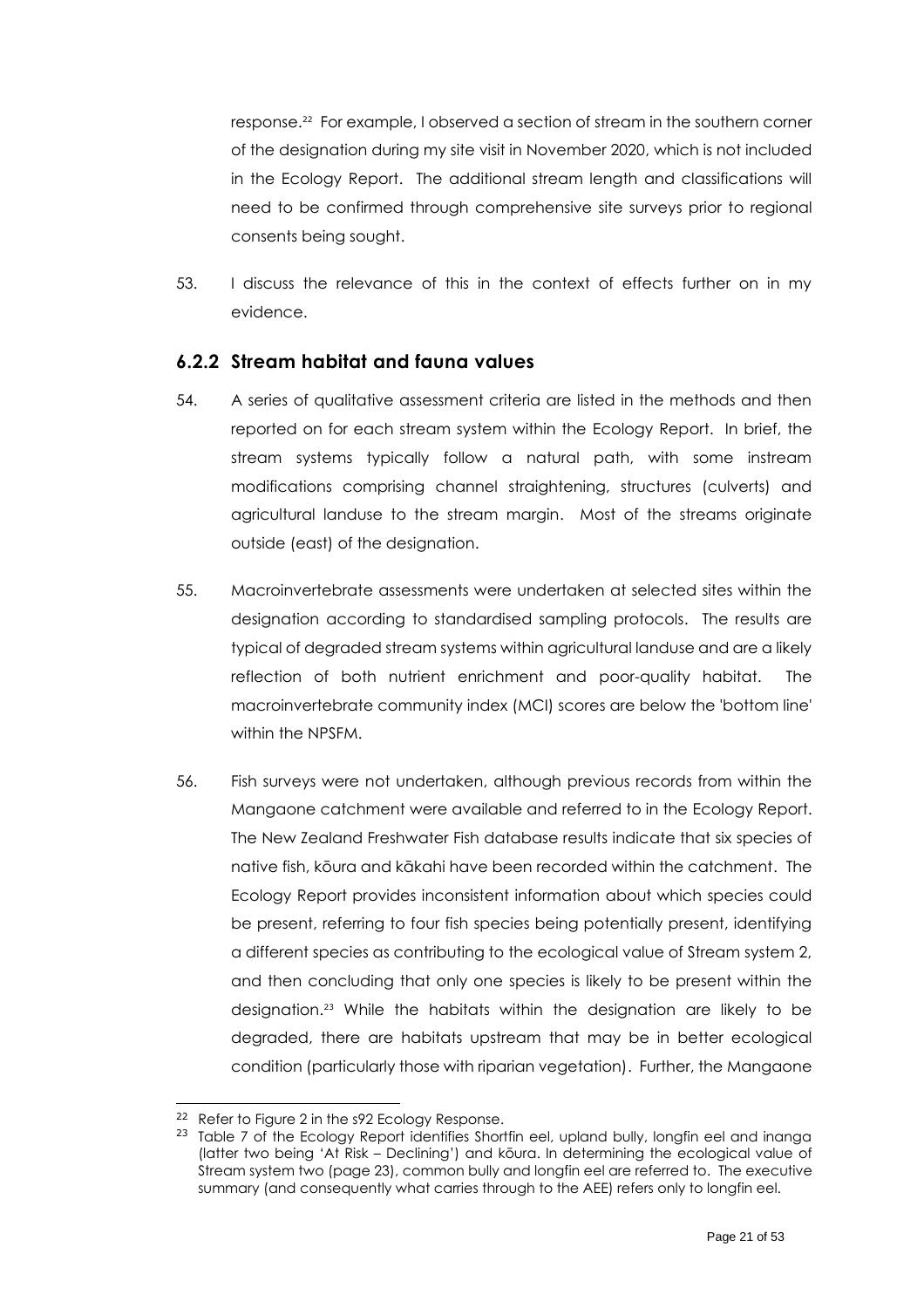response. 22 For example, I observed a section of stream in the southern corner of the designation during my site visit in November 2020, which is not included in the Ecology Report. The additional stream length and classifications will need to be confirmed through comprehensive site surveys prior to regional consents being sought.

53. I discuss the relevance of this in the context of effects further on in my evidence.

#### <span id="page-20-0"></span>**6.2.2 Stream habitat and fauna values**

- 54. A series of qualitative assessment criteria are listed in the methods and then reported on for each stream system within the Ecology Report. In brief, the stream systems typically follow a natural path, with some instream modifications comprising channel straightening, structures (culverts) and agricultural landuse to the stream margin. Most of the streams originate outside (east) of the designation.
- 55. Macroinvertebrate assessments were undertaken at selected sites within the designation according to standardised sampling protocols. The results are typical of degraded stream systems within agricultural landuse and are a likely reflection of both nutrient enrichment and poor-quality habitat. The macroinvertebrate community index (MCI) scores are below the 'bottom line' within the NPSFM.
- 56. Fish surveys were not undertaken, although previous records from within the Mangaone catchment were available and referred to in the Ecology Report. The New Zealand Freshwater Fish database results indicate that six species of native fish, kōura and kākahi have been recorded within the catchment. The Ecology Report provides inconsistent information about which species could be present, referring to four fish species being potentially present, identifying a different species as contributing to the ecological value of Stream system 2, and then concluding that only one species is likely to be present within the designation.<sup>23</sup> While the habitats within the designation are likely to be degraded, there are habitats upstream that may be in better ecological condition (particularly those with riparian vegetation). Further, the Mangaone

<sup>&</sup>lt;sup>22</sup> Refer to Figure 2 in the s92 Ecology Response.

<sup>&</sup>lt;sup>23</sup> Table 7 of the Ecology Report identifies Shortfin eel, upland bully, longfin eel and inanga (latter two being 'At Risk – Declining') and kōura. In determining the ecological value of Stream system two (page 23), common bully and longfin eel are referred to. The executive summary (and consequently what carries through to the AEE) refers only to longfin eel.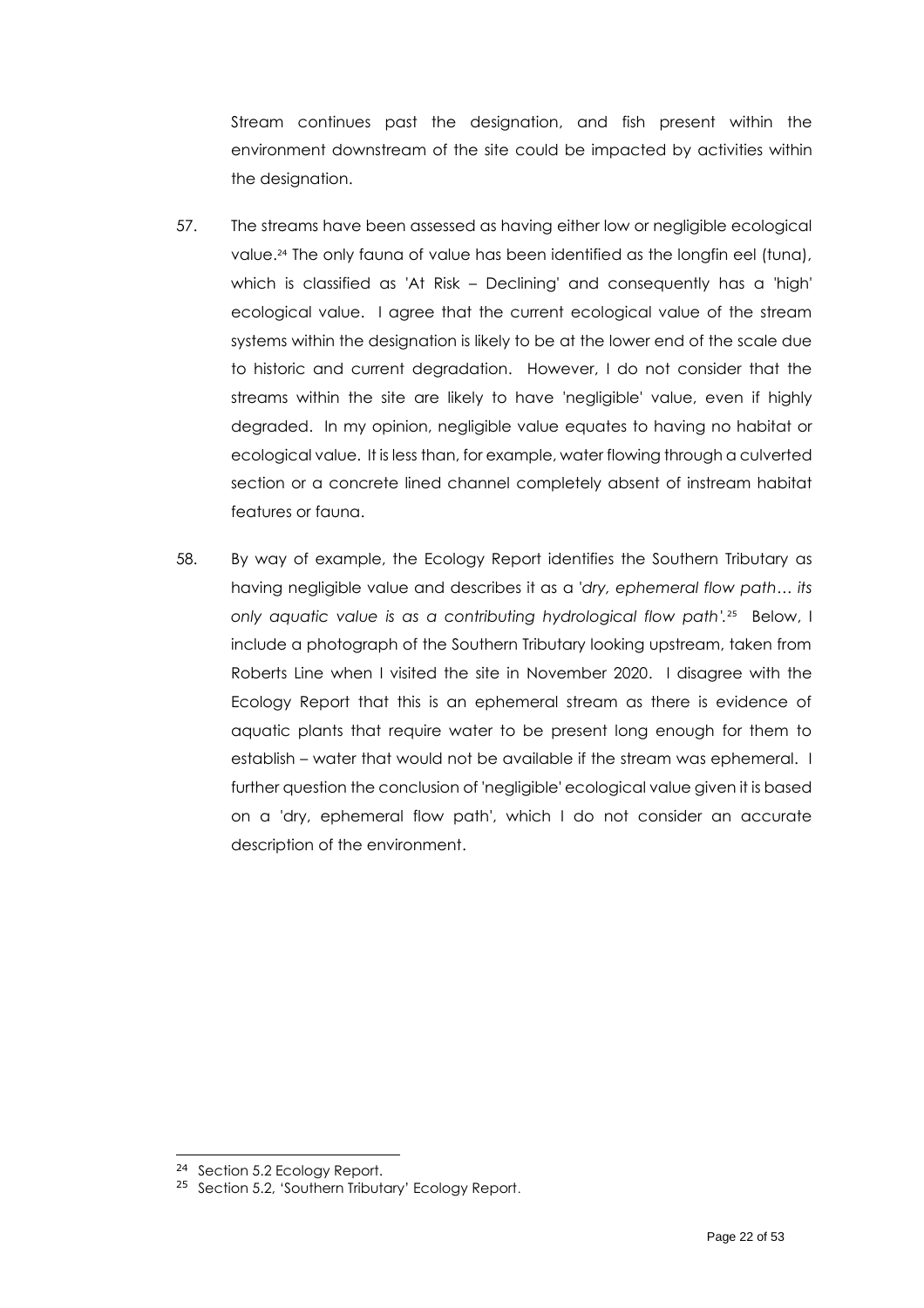Stream continues past the designation, and fish present within the environment downstream of the site could be impacted by activities within the designation.

- 57. The streams have been assessed as having either low or negligible ecological value. <sup>24</sup> The only fauna of value has been identified as the longfin eel (tuna), which is classified as 'At Risk – Declining' and consequently has a 'high' ecological value. I agree that the current ecological value of the stream systems within the designation is likely to be at the lower end of the scale due to historic and current degradation. However, I do not consider that the streams within the site are likely to have 'negligible' value, even if highly degraded. In my opinion, negligible value equates to having no habitat or ecological value. It is less than, for example, water flowing through a culverted section or a concrete lined channel completely absent of instream habitat features or fauna.
- 58. By way of example, the Ecology Report identifies the Southern Tributary as having negligible value and describes it as a '*dry, ephemeral flow path… its only aquatic value is as a contributing hydrological flow path'.* 25 Below, I include a photograph of the Southern Tributary looking upstream, taken from Roberts Line when I visited the site in November 2020. I disagree with the Ecology Report that this is an ephemeral stream as there is evidence of aquatic plants that require water to be present long enough for them to establish – water that would not be available if the stream was ephemeral. I further question the conclusion of 'negligible' ecological value given it is based on a 'dry, ephemeral flow path', which I do not consider an accurate description of the environment.

<sup>24</sup> Section 5.2 Ecology Report.

<sup>&</sup>lt;sup>25</sup> Section 5.2, 'Southern Tributary' Ecology Report.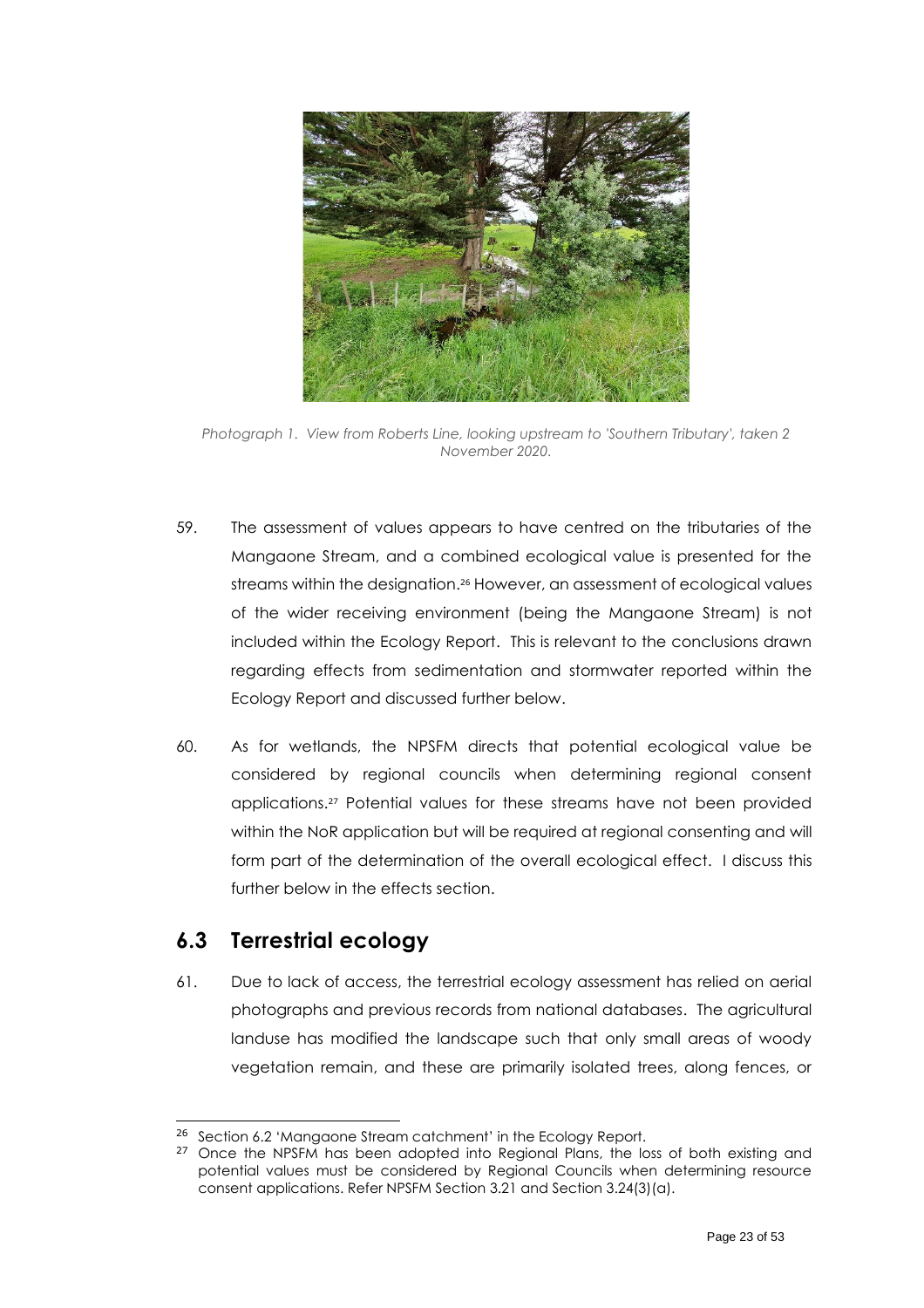

*Photograph 1. View from Roberts Line, looking upstream to 'Southern Tributary', taken 2 November 2020.*

- 59. The assessment of values appears to have centred on the tributaries of the Mangaone Stream, and a combined ecological value is presented for the streams within the designation.<sup>26</sup> However, an assessment of ecological values of the wider receiving environment (being the Mangaone Stream) is not included within the Ecology Report. This is relevant to the conclusions drawn regarding effects from sedimentation and stormwater reported within the Ecology Report and discussed further below.
- 60. As for wetlands, the NPSFM directs that potential ecological value be considered by regional councils when determining regional consent applications. <sup>27</sup> Potential values for these streams have not been provided within the NoR application but will be required at regional consenting and will form part of the determination of the overall ecological effect. I discuss this further below in the effects section.

### <span id="page-22-0"></span>**6.3 Terrestrial ecology**

61. Due to lack of access, the terrestrial ecology assessment has relied on aerial photographs and previous records from national databases. The agricultural landuse has modified the landscape such that only small areas of woody vegetation remain, and these are primarily isolated trees, along fences, or

<sup>&</sup>lt;sup>26</sup> Section 6.2 'Mangaone Stream catchment' in the Ecology Report.

<sup>&</sup>lt;sup>27</sup> Once the NPSFM has been adopted into Regional Plans, the loss of both existing and potential values must be considered by Regional Councils when determining resource consent applications. Refer NPSFM Section 3.21 and Section 3.24(3)(a).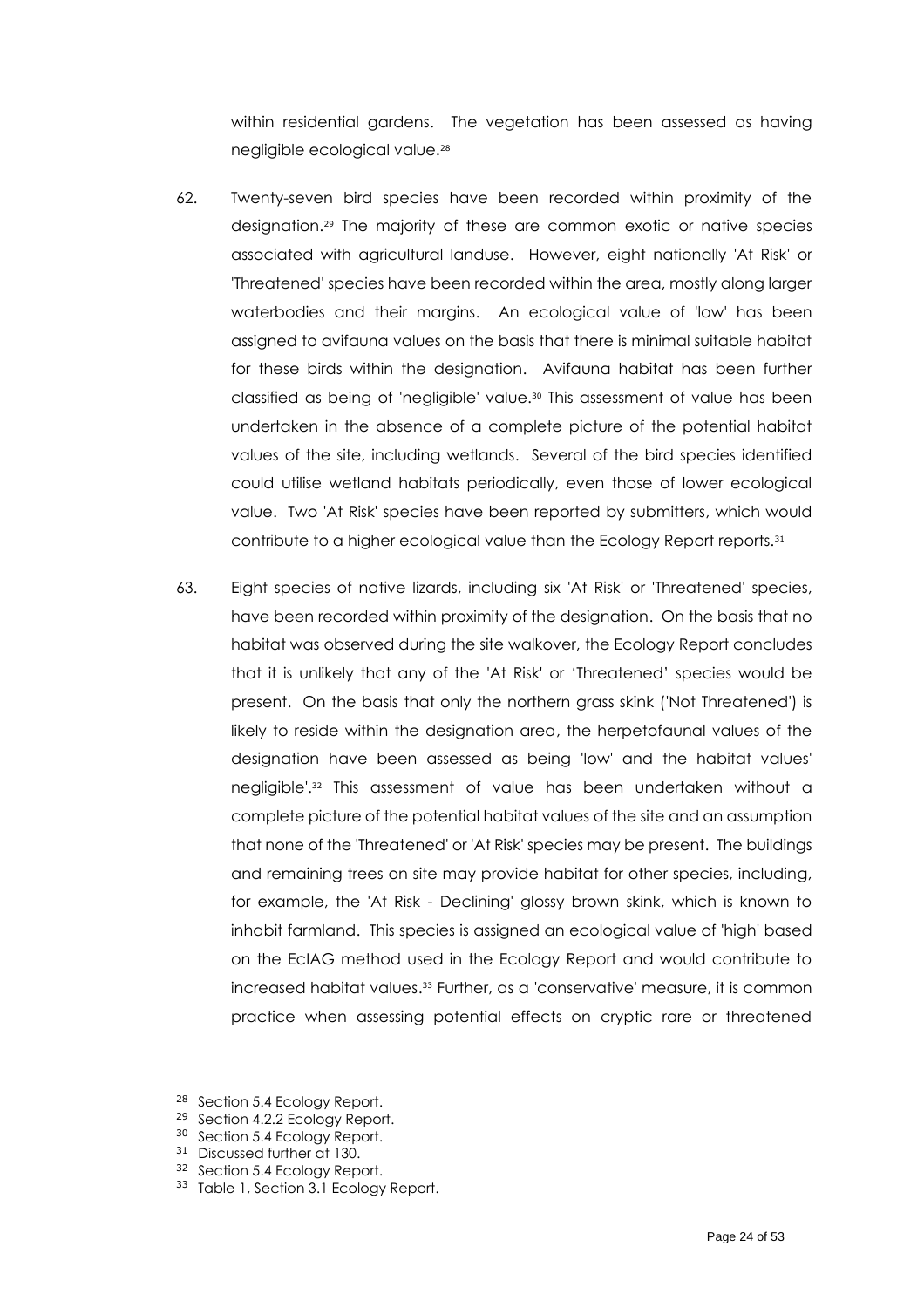within residential gardens. The vegetation has been assessed as having negligible ecological value.<sup>28</sup>

- 62. Twenty-seven bird species have been recorded within proximity of the designation. <sup>29</sup> The majority of these are common exotic or native species associated with agricultural landuse. However, eight nationally 'At Risk' or 'Threatened' species have been recorded within the area, mostly along larger waterbodies and their margins. An ecological value of 'low' has been assigned to avifauna values on the basis that there is minimal suitable habitat for these birds within the designation. Avifauna habitat has been further classified as being of 'negligible' value.<sup>30</sup> This assessment of value has been undertaken in the absence of a complete picture of the potential habitat values of the site, including wetlands. Several of the bird species identified could utilise wetland habitats periodically, even those of lower ecological value. Two 'At Risk' species have been reported by submitters, which would contribute to a higher ecological value than the Ecology Report reports. 31
- 63. Eight species of native lizards, including six 'At Risk' or 'Threatened' species, have been recorded within proximity of the designation. On the basis that no habitat was observed during the site walkover, the Ecology Report concludes that it is unlikely that any of the 'At Risk' or 'Threatened' species would be present. On the basis that only the northern grass skink ('Not Threatened') is likely to reside within the designation area, the herpetofaunal values of the designation have been assessed as being 'low' and the habitat values' negligible'. <sup>32</sup> This assessment of value has been undertaken without a complete picture of the potential habitat values of the site and an assumption that none of the 'Threatened' or 'At Risk' species may be present. The buildings and remaining trees on site may provide habitat for other species, including, for example, the 'At Risk - Declining' glossy brown skink, which is known to inhabit farmland. This species is assigned an ecological value of 'high' based on the EcIAG method used in the Ecology Report and would contribute to increased habitat values.<sup>33</sup> Further, as a 'conservative' measure, it is common practice when assessing potential effects on cryptic rare or threatened

<sup>28</sup> Section 5.4 Ecology Report.

<sup>29</sup> Section 4.2.2 Ecology Report.

<sup>&</sup>lt;sup>30</sup> Section 5.4 Ecology Report.

<sup>31</sup> Discussed further at 130.

<sup>32</sup> Section 5.4 Ecology Report.

<sup>33</sup> Table 1, Section 3.1 Ecology Report.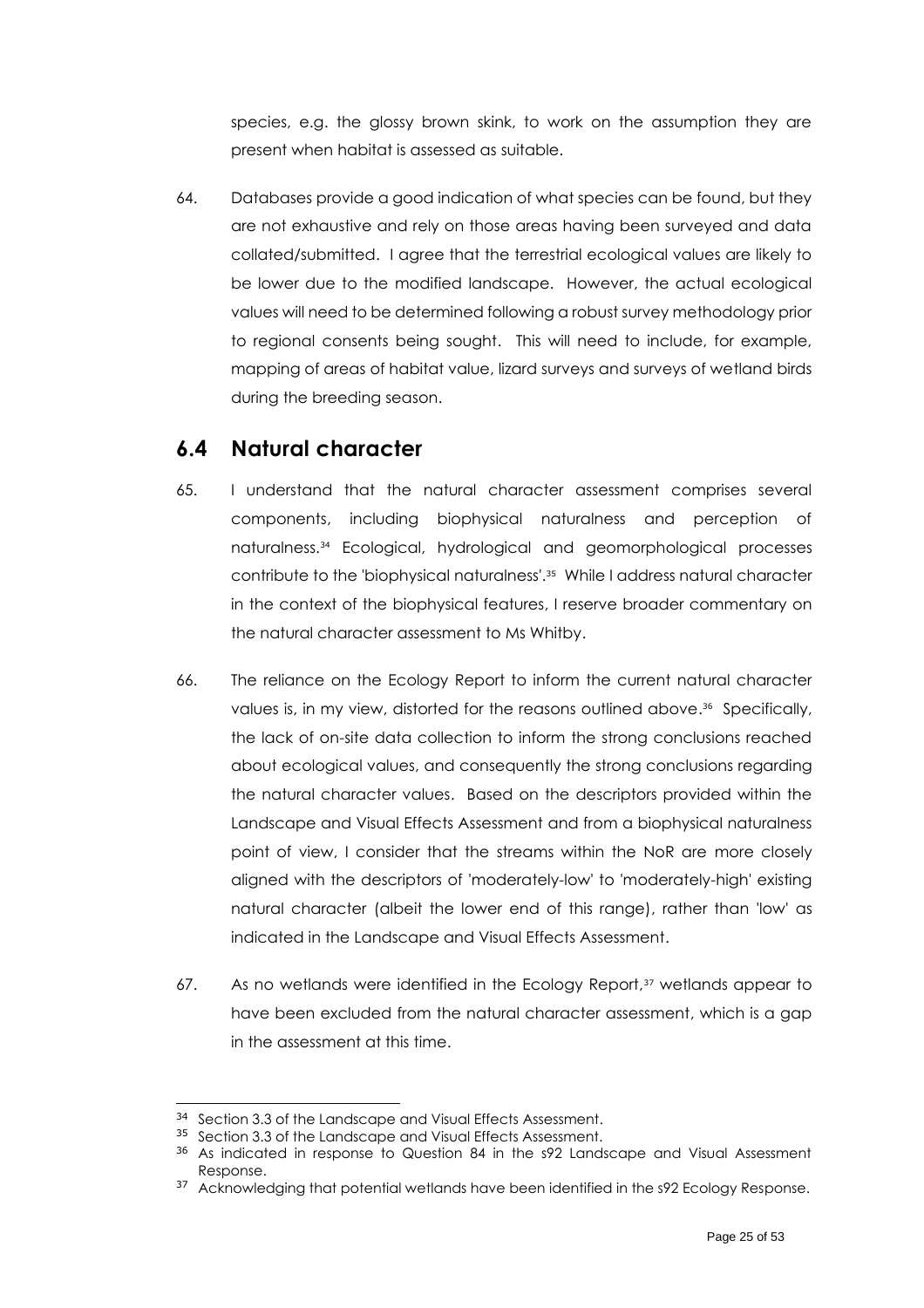species, e.g. the glossy brown skink, to work on the assumption they are present when habitat is assessed as suitable.

64. Databases provide a good indication of what species can be found, but they are not exhaustive and rely on those areas having been surveyed and data collated/submitted. I agree that the terrestrial ecological values are likely to be lower due to the modified landscape. However, the actual ecological values will need to be determined following a robust survey methodology prior to regional consents being sought. This will need to include, for example, mapping of areas of habitat value, lizard surveys and surveys of wetland birds during the breeding season.

### <span id="page-24-0"></span>**6.4 Natural character**

- 65. I understand that the natural character assessment comprises several components, including biophysical naturalness and perception of naturalness. <sup>34</sup> Ecological, hydrological and geomorphological processes contribute to the 'biophysical naturalness'. <sup>35</sup> While I address natural character in the context of the biophysical features, I reserve broader commentary on the natural character assessment to Ms Whitby.
- 66. The reliance on the Ecology Report to inform the current natural character values is, in my view, distorted for the reasons outlined above. 36 Specifically, the lack of on-site data collection to inform the strong conclusions reached about ecological values, and consequently the strong conclusions regarding the natural character values. Based on the descriptors provided within the Landscape and Visual Effects Assessment and from a biophysical naturalness point of view, I consider that the streams within the NoR are more closely aligned with the descriptors of 'moderately-low' to 'moderately-high' existing natural character (albeit the lower end of this range), rather than 'low' as indicated in the Landscape and Visual Effects Assessment.
- 67. As no wetlands were identified in the Ecology Report,<sup>37</sup> wetlands appear to have been excluded from the natural character assessment, which is a gap in the assessment at this time.

<sup>&</sup>lt;sup>34</sup> Section 3.3 of the Landscape and Visual Effects Assessment.

<sup>35</sup> Section 3.3 of the Landscape and Visual Effects Assessment.

<sup>&</sup>lt;sup>36</sup> As indicated in response to Question 84 in the s92 Landscape and Visual Assessment Response.

<sup>&</sup>lt;sup>37</sup> Acknowledging that potential wetlands have been identified in the s92 Ecology Response.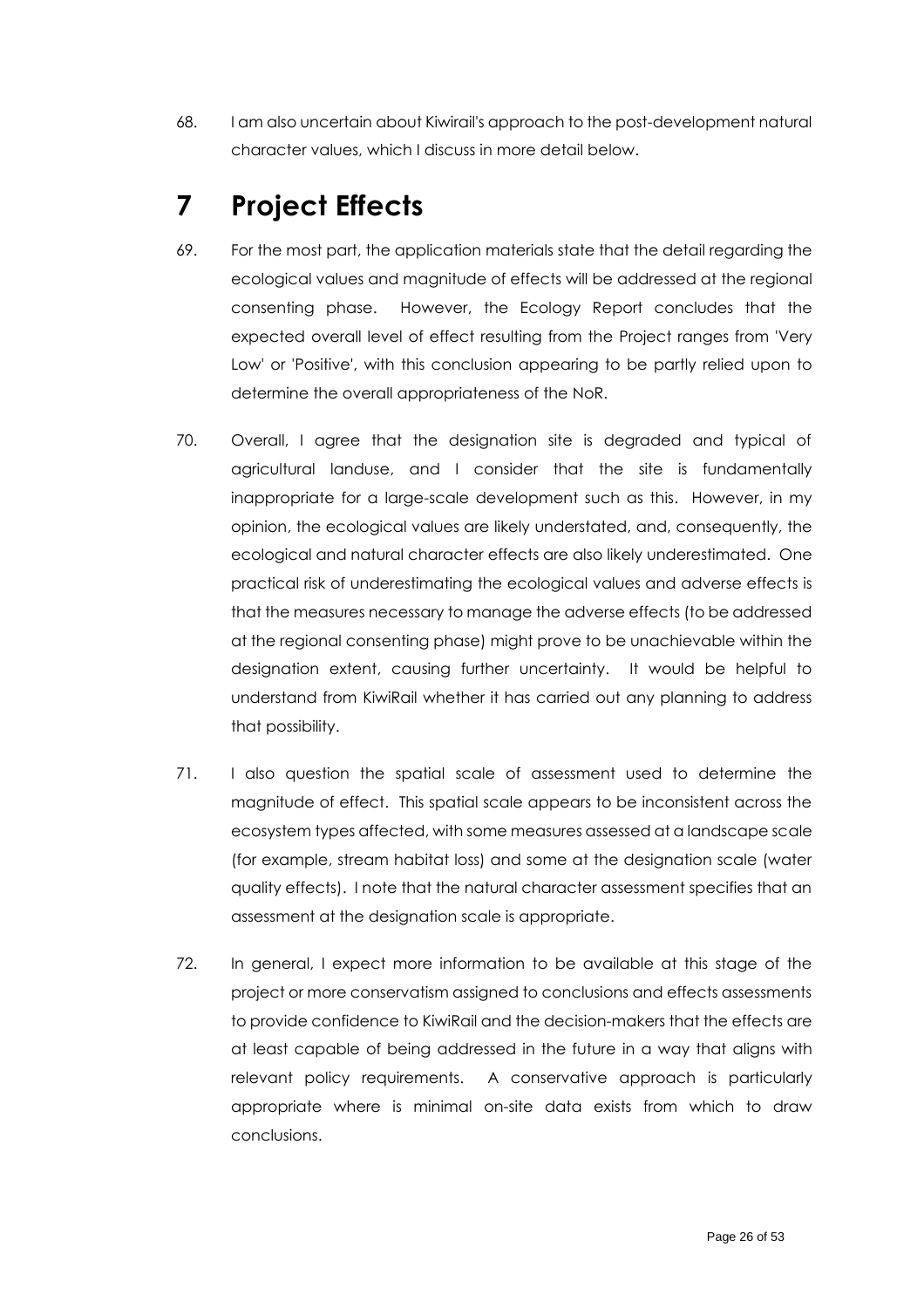68. I am also uncertain about Kiwirail's approach to the post-development natural character values, which I discuss in more detail below.

# <span id="page-25-0"></span>**7 Project Effects**

- 69. For the most part, the application materials state that the detail regarding the ecological values and magnitude of effects will be addressed at the regional consenting phase. However, the Ecology Report concludes that the expected overall level of effect resulting from the Project ranges from 'Very Low' or 'Positive', with this conclusion appearing to be partly relied upon to determine the overall appropriateness of the NoR.
- 70. Overall, I agree that the designation site is degraded and typical of agricultural landuse, and I consider that the site is fundamentally inappropriate for a large-scale development such as this. However, in my opinion, the ecological values are likely understated, and, consequently, the ecological and natural character effects are also likely underestimated. One practical risk of underestimating the ecological values and adverse effects is that the measures necessary to manage the adverse effects (to be addressed at the regional consenting phase) might prove to be unachievable within the designation extent, causing further uncertainty. It would be helpful to understand from KiwiRail whether it has carried out any planning to address that possibility.
- 71. I also question the spatial scale of assessment used to determine the magnitude of effect. This spatial scale appears to be inconsistent across the ecosystem types affected, with some measures assessed at a landscape scale (for example, stream habitat loss) and some at the designation scale (water quality effects). I note that the natural character assessment specifies that an assessment at the designation scale is appropriate.
- 72. In general, I expect more information to be available at this stage of the project or more conservatism assigned to conclusions and effects assessments to provide confidence to KiwiRail and the decision-makers that the effects are at least capable of being addressed in the future in a way that aligns with relevant policy requirements. A conservative approach is particularly appropriate where is minimal on-site data exists from which to draw conclusions.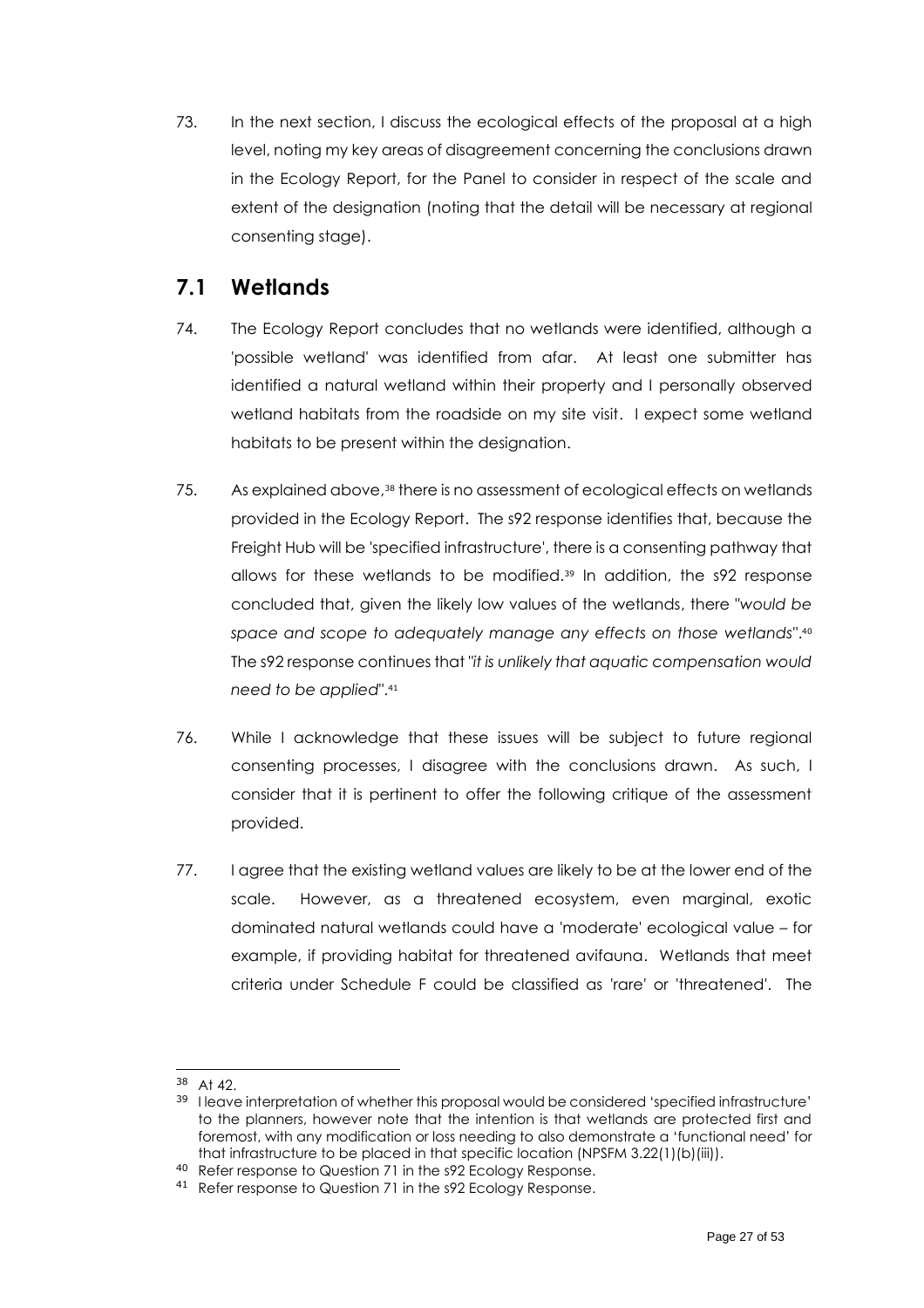73. In the next section, I discuss the ecological effects of the proposal at a high level, noting my key areas of disagreement concerning the conclusions drawn in the Ecology Report, for the Panel to consider in respect of the scale and extent of the designation (noting that the detail will be necessary at regional consenting stage).

### <span id="page-26-0"></span>**7.1 Wetlands**

- 74. The Ecology Report concludes that no wetlands were identified, although a 'possible wetland' was identified from afar. At least one submitter has identified a natural wetland within their property and I personally observed wetland habitats from the roadside on my site visit. I expect some wetland habitats to be present within the designation.
- 75. As explained above, <sup>38</sup> there is no assessment of ecological effects on wetlands provided in the Ecology Report. The s92 response identifies that, because the Freight Hub will be 'specified infrastructure', there is a consenting pathway that allows for these wetlands to be modified. <sup>39</sup> In addition, the s92 response concluded that, given the likely low values of the wetlands, there "*would be space and scope to adequately manage any effects on those wetlands*". 40 The s92 response continues that "*it is unlikely that aquatic compensation would need to be applied*". 41
- 76. While I acknowledge that these issues will be subject to future regional consenting processes, I disagree with the conclusions drawn. As such, I consider that it is pertinent to offer the following critique of the assessment provided.
- 77. I agree that the existing wetland values are likely to be at the lower end of the scale. However, as a threatened ecosystem, even marginal, exotic dominated natural wetlands could have a 'moderate' ecological value – for example, if providing habitat for threatened avifauna. Wetlands that meet criteria under Schedule F could be classified as 'rare' or 'threatened'. The

<sup>38</sup> At 42.

<sup>&</sup>lt;sup>39</sup> I leave interpretation of whether this proposal would be considered 'specified infrastructure' to the planners, however note that the intention is that wetlands are protected first and foremost, with any modification or loss needing to also demonstrate a 'functional need' for that infrastructure to be placed in that specific location (NPSFM 3.22(1)(b)(iii)).

<sup>40</sup> Refer response to Question 71 in the s92 Ecology Response.

<sup>41</sup> Refer response to Question 71 in the s92 Ecology Response.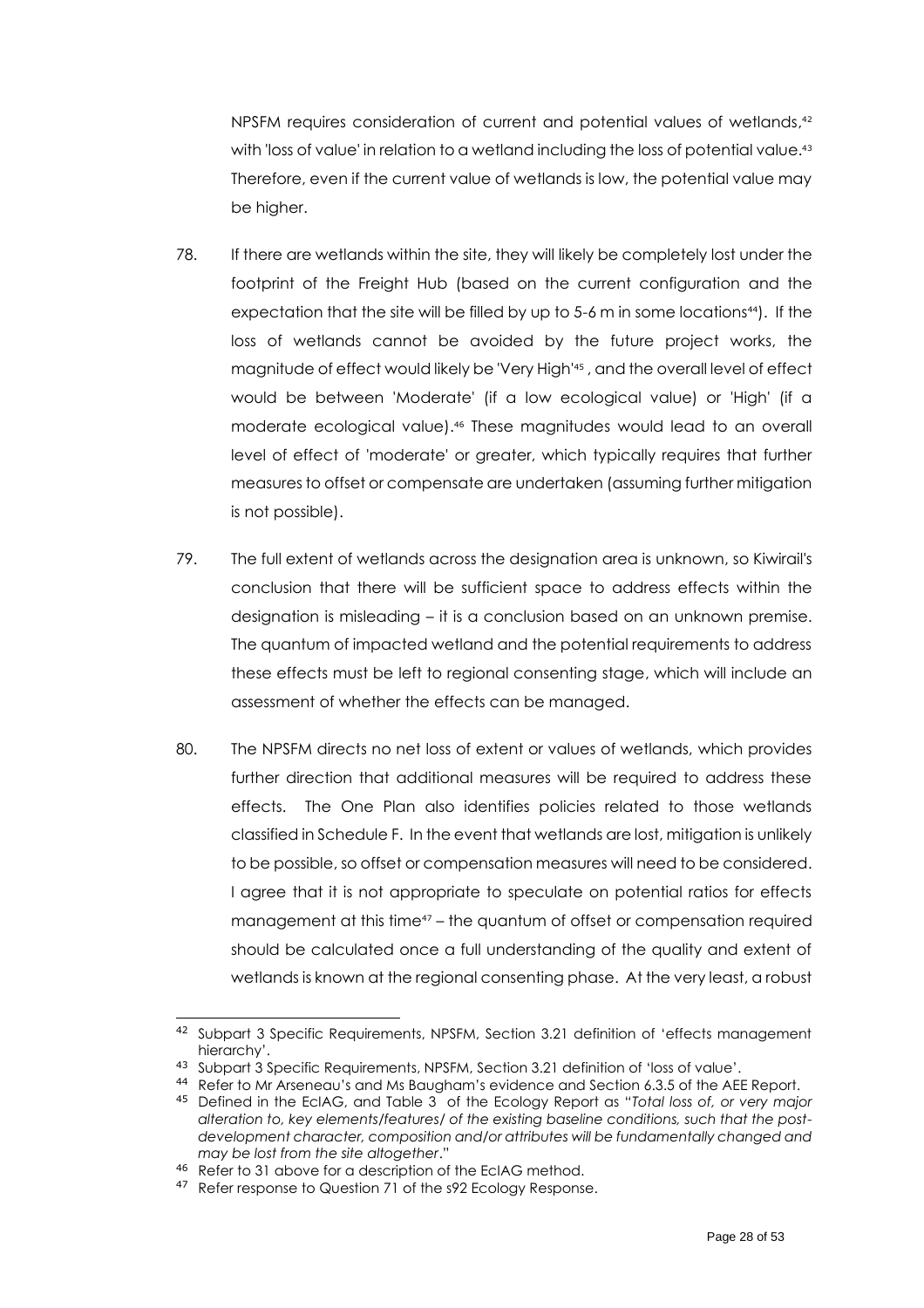NPSFM requires consideration of current and potential values of wetlands, 42 with 'loss of value' in relation to a wetland including the loss of potential value. 43 Therefore, even if the current value of wetlands is low, the potential value may be higher.

- 78. If there are wetlands within the site, they will likely be completely lost under the footprint of the Freight Hub (based on the current configuration and the expectation that the site will be filled by up to  $5-6$  m in some locations<sup>44</sup>). If the loss of wetlands cannot be avoided by the future project works, the magnitude of effect would likely be 'Very High' 45 , and the overall level of effect would be between 'Moderate' (if a low ecological value) or 'High' (if a moderate ecological value). <sup>46</sup> These magnitudes would lead to an overall level of effect of 'moderate' or greater, which typically requires that further measures to offset or compensate are undertaken (assuming further mitigation is not possible).
- 79. The full extent of wetlands across the designation area is unknown, so Kiwirail's conclusion that there will be sufficient space to address effects within the designation is misleading – it is a conclusion based on an unknown premise. The quantum of impacted wetland and the potential requirements to address these effects must be left to regional consenting stage, which will include an assessment of whether the effects can be managed.
- 80. The NPSFM directs no net loss of extent or values of wetlands, which provides further direction that additional measures will be required to address these effects. The One Plan also identifies policies related to those wetlands classified in Schedule F. In the event that wetlands are lost, mitigation is unlikely to be possible, so offset or compensation measures will need to be considered. I agree that it is not appropriate to speculate on potential ratios for effects management at this time<sup>47</sup> – the quantum of offset or compensation required should be calculated once a full understanding of the quality and extent of wetlands is known at the regional consenting phase. At the very least, a robust

<sup>42</sup> Subpart 3 Specific Requirements, NPSFM, Section 3.21 definition of 'effects management hierarchy'.

<sup>43</sup> Subpart 3 Specific Requirements, NPSFM, Section 3.21 definition of 'loss of value'.

<sup>44</sup> Refer to Mr Arseneau's and Ms Baugham's evidence and Section 6.3.5 of the AEE Report.

<sup>45</sup> Defined in the EcIAG, and Table 3 of the Ecology Report as "*Total loss of, or very major alteration to, key elements/features/ of the existing baseline conditions, such that the postdevelopment character, composition and/or attributes will be fundamentally changed and may be lost from the site altogether*."

<sup>46</sup> Refer to 31 above for a description of the EcIAG method.

<sup>47</sup> Refer response to Question 71 of the s92 Ecology Response.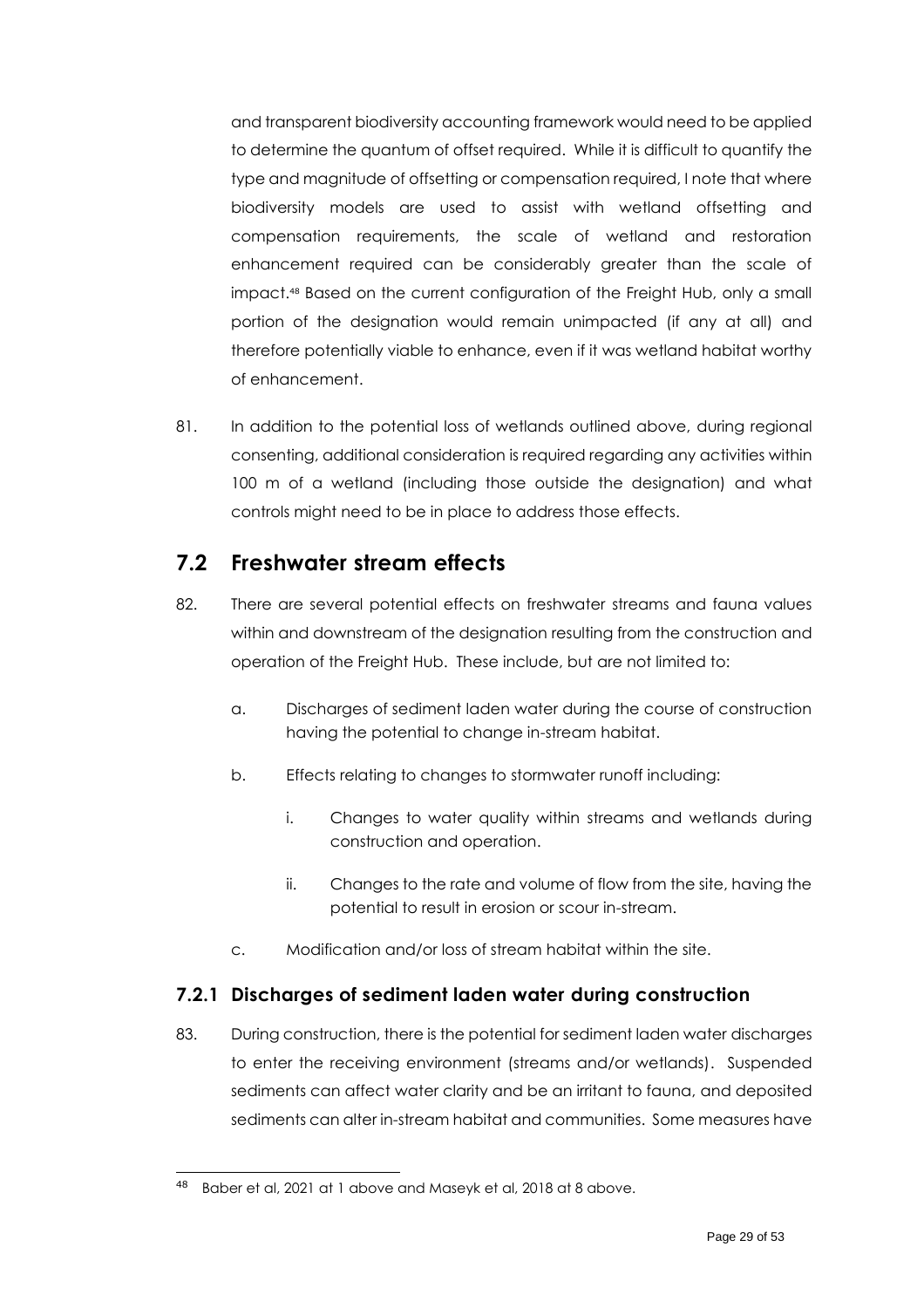and transparent biodiversity accounting framework would need to be applied to determine the quantum of offset required. While it is difficult to quantify the type and magnitude of offsetting or compensation required, I note that where biodiversity models are used to assist with wetland offsetting and compensation requirements, the scale of wetland and restoration enhancement required can be considerably greater than the scale of impact. <sup>48</sup> Based on the current configuration of the Freight Hub, only a small portion of the designation would remain unimpacted (if any at all) and therefore potentially viable to enhance, even if it was wetland habitat worthy of enhancement.

81. In addition to the potential loss of wetlands outlined above, during regional consenting, additional consideration is required regarding any activities within 100 m of a wetland (including those outside the designation) and what controls might need to be in place to address those effects.

### <span id="page-28-0"></span>**7.2 Freshwater stream effects**

- 82. There are several potential effects on freshwater streams and fauna values within and downstream of the designation resulting from the construction and operation of the Freight Hub. These include, but are not limited to:
	- a. Discharges of sediment laden water during the course of construction having the potential to change in-stream habitat.
	- b. Effects relating to changes to stormwater runoff including:
		- i. Changes to water quality within streams and wetlands during construction and operation.
		- ii. Changes to the rate and volume of flow from the site, having the potential to result in erosion or scour in-stream.
	- c. Modification and/or loss of stream habitat within the site.

### <span id="page-28-1"></span>**7.2.1 Discharges of sediment laden water during construction**

83. During construction, there is the potential for sediment laden water discharges to enter the receiving environment (streams and/or wetlands). Suspended sediments can affect water clarity and be an irritant to fauna, and deposited sediments can alter in-stream habitat and communities. Some measures have

Baber et al, 2021 at [1](#page-7-3) above and Maseyk et al, 2018 at [8](#page-14-1) above.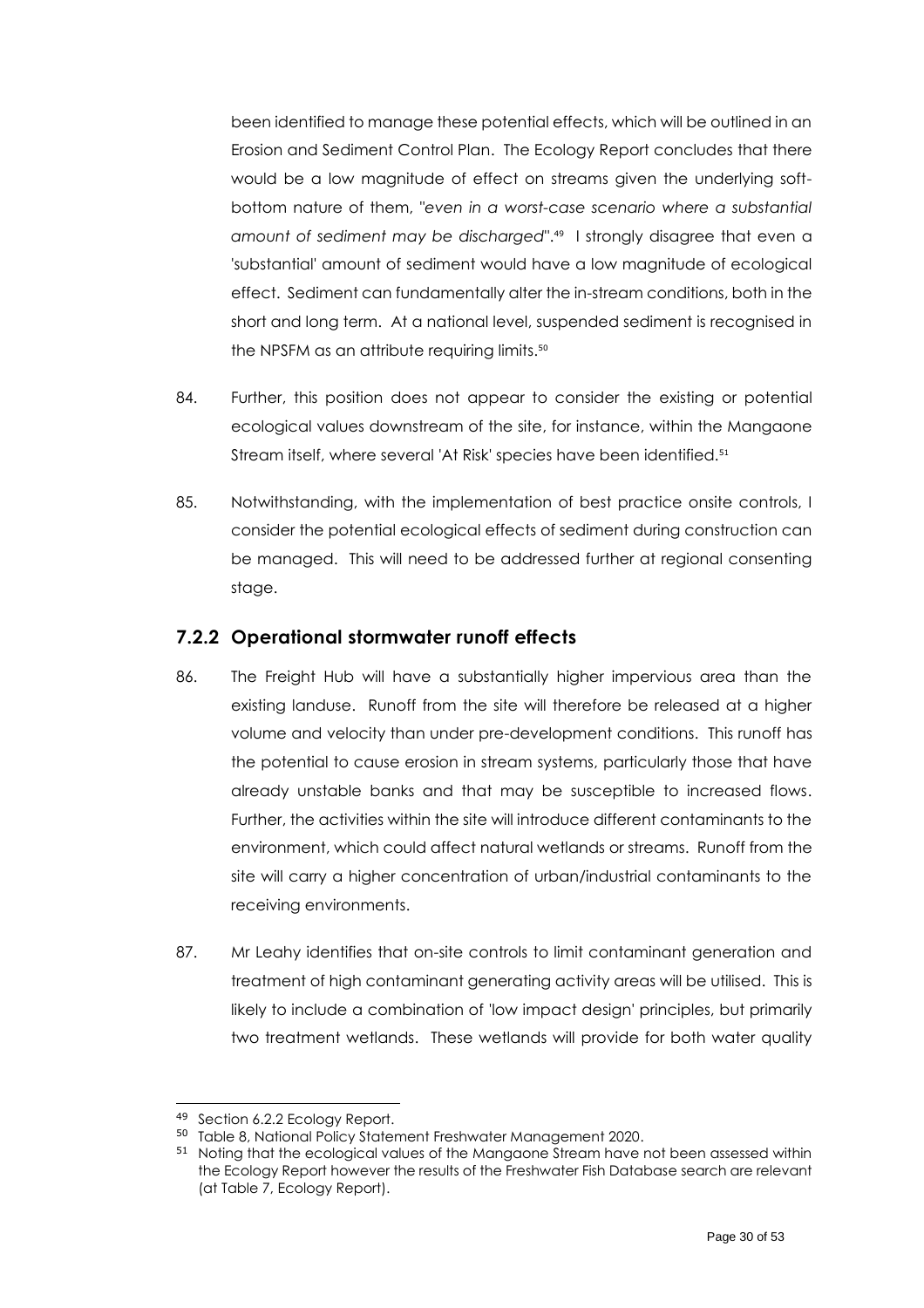been identified to manage these potential effects, which will be outlined in an Erosion and Sediment Control Plan. The Ecology Report concludes that there would be a low magnitude of effect on streams given the underlying softbottom nature of them, "*even in a worst-case scenario where a substantial amount of sediment may be discharged*". <sup>49</sup> I strongly disagree that even a 'substantial' amount of sediment would have a low magnitude of ecological effect. Sediment can fundamentally alter the in-stream conditions, both in the short and long term. At a national level, suspended sediment is recognised in the NPSFM as an attribute requiring limits. 50

- 84. Further, this position does not appear to consider the existing or potential ecological values downstream of the site, for instance, within the Mangaone Stream itself, where several 'At Risk' species have been identified.<sup>51</sup>
- 85. Notwithstanding, with the implementation of best practice onsite controls, I consider the potential ecological effects of sediment during construction can be managed. This will need to be addressed further at regional consenting stage.

#### <span id="page-29-0"></span>**7.2.2 Operational stormwater runoff effects**

- 86. The Freight Hub will have a substantially higher impervious area than the existing landuse. Runoff from the site will therefore be released at a higher volume and velocity than under pre-development conditions. This runoff has the potential to cause erosion in stream systems, particularly those that have already unstable banks and that may be susceptible to increased flows. Further, the activities within the site will introduce different contaminants to the environment, which could affect natural wetlands or streams. Runoff from the site will carry a higher concentration of urban/industrial contaminants to the receiving environments.
- 87. Mr Leahy identifies that on-site controls to limit contaminant generation and treatment of high contaminant generating activity areas will be utilised. This is likely to include a combination of 'low impact design' principles, but primarily two treatment wetlands. These wetlands will provide for both water quality

<sup>49</sup> Section 6.2.2 Ecology Report.

<sup>50</sup> Table 8, National Policy Statement Freshwater Management 2020.

<sup>51</sup> Noting that the ecological values of the Mangaone Stream have not been assessed within the Ecology Report however the results of the Freshwater Fish Database search are relevant (at Table 7, Ecology Report).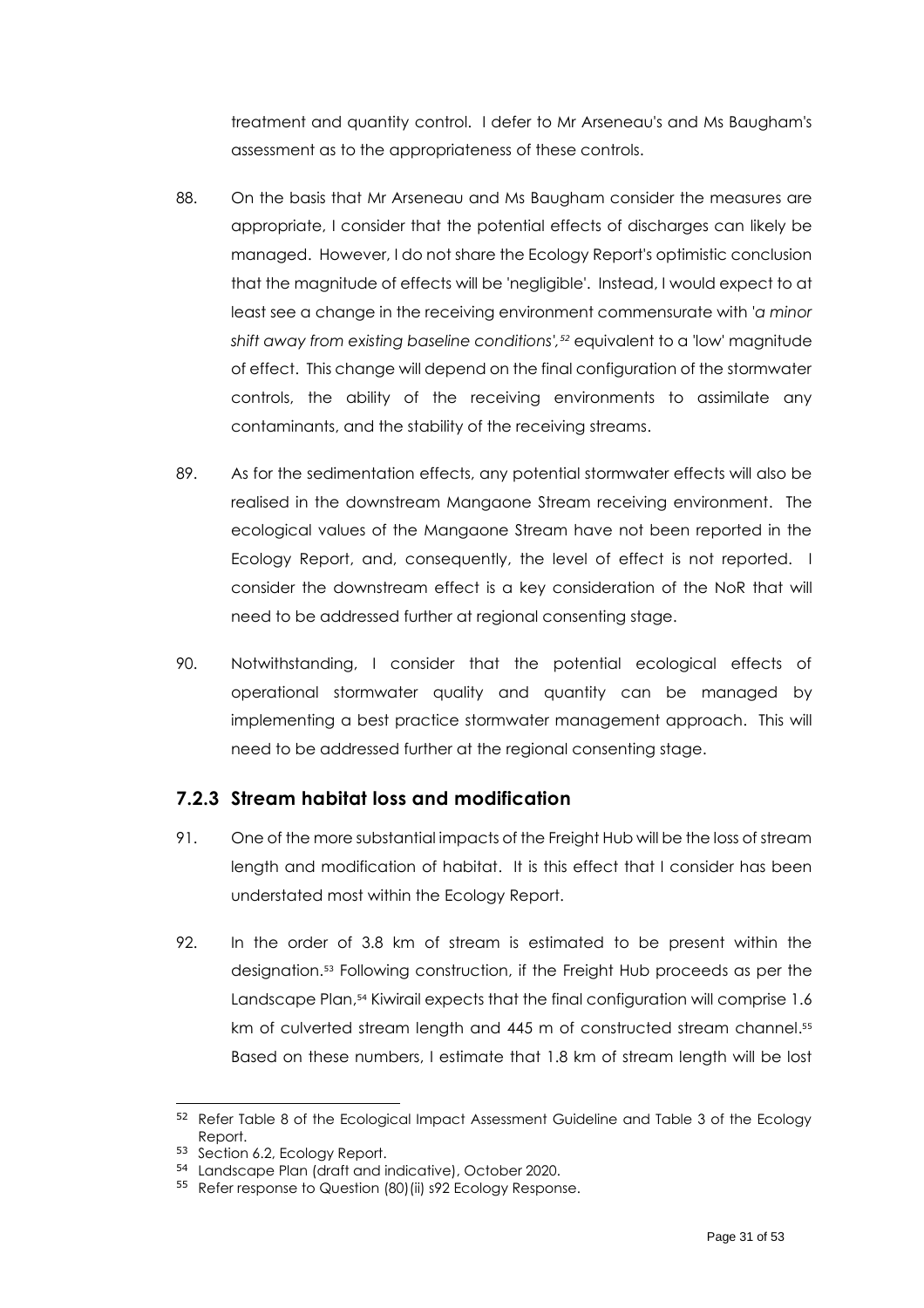treatment and quantity control. I defer to Mr Arseneau's and Ms Baugham's assessment as to the appropriateness of these controls.

- 88. On the basis that Mr Arseneau and Ms Baugham consider the measures are appropriate, I consider that the potential effects of discharges can likely be managed. However, I do not share the Ecology Report's optimistic conclusion that the magnitude of effects will be 'negligible'. Instead, I would expect to at least see a change in the receiving environment commensurate with '*a minor shift away from existing baseline conditions', <sup>52</sup>* equivalent to a 'low' magnitude of effect. This change will depend on the final configuration of the stormwater controls, the ability of the receiving environments to assimilate any contaminants, and the stability of the receiving streams.
- 89. As for the sedimentation effects, any potential stormwater effects will also be realised in the downstream Mangaone Stream receiving environment. The ecological values of the Mangaone Stream have not been reported in the Ecology Report, and, consequently, the level of effect is not reported. I consider the downstream effect is a key consideration of the NoR that will need to be addressed further at regional consenting stage.
- 90. Notwithstanding, I consider that the potential ecological effects of operational stormwater quality and quantity can be managed by implementing a best practice stormwater management approach. This will need to be addressed further at the regional consenting stage.

#### <span id="page-30-0"></span>**7.2.3 Stream habitat loss and modification**

- 91. One of the more substantial impacts of the Freight Hub will be the loss of stream length and modification of habitat. It is this effect that I consider has been understated most within the Ecology Report.
- 92. In the order of 3.8 km of stream is estimated to be present within the designation.<sup>53</sup> Following construction, if the Freight Hub proceeds as per the Landscape Plan, <sup>54</sup> Kiwirail expects that the final configuration will comprise 1.6 km of culverted stream length and 445 m of constructed stream channel. 55 Based on these numbers, I estimate that 1.8 km of stream length will be lost

<sup>52</sup> Refer Table 8 of the Ecological Impact Assessment Guideline and Table 3 of the Ecology Report.

<sup>53</sup> Section 6.2, Ecology Report.

<sup>54</sup> Landscape Plan (draft and indicative), October 2020.

<sup>55</sup> Refer response to Question (80) (ii) s92 Ecology Response.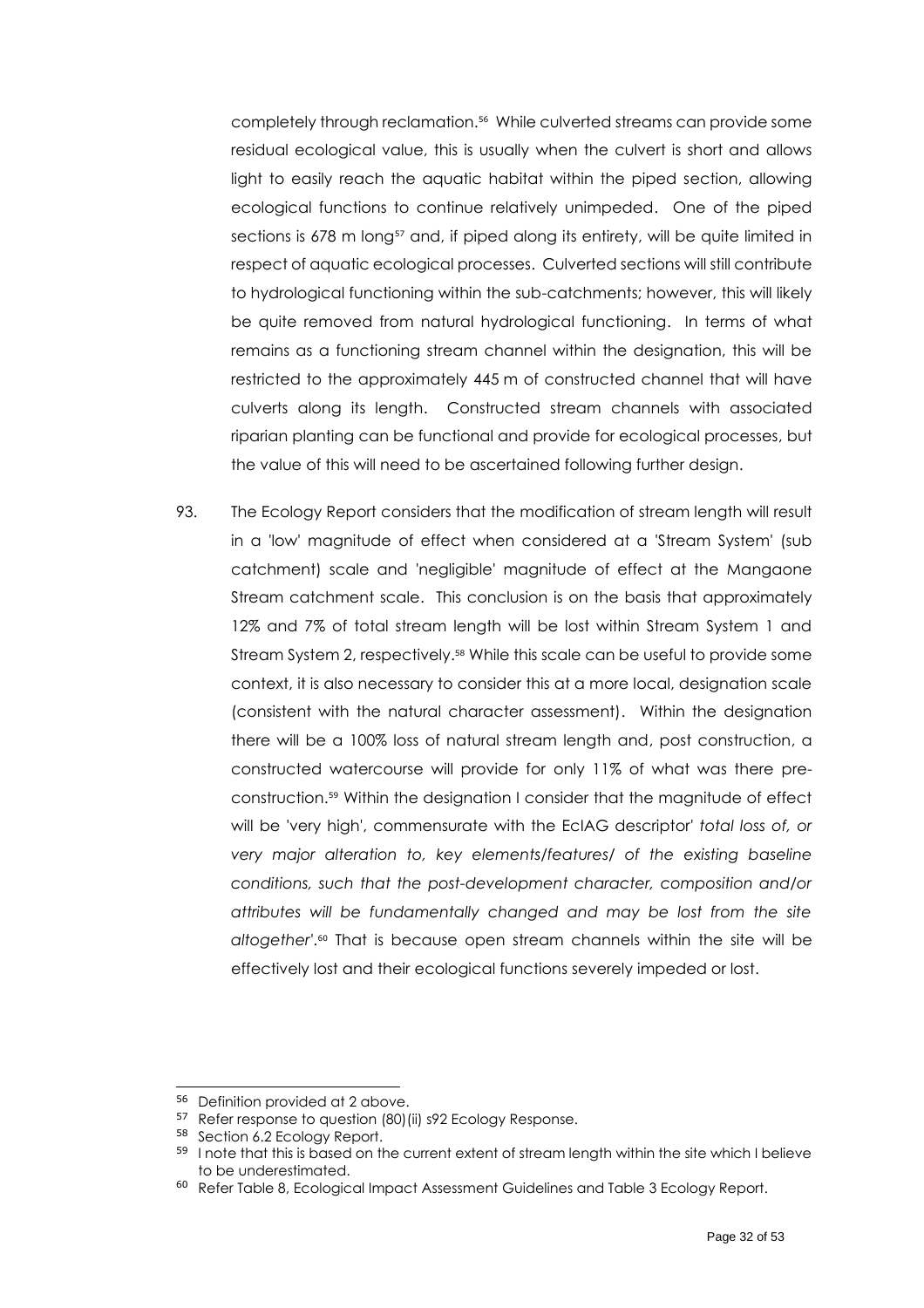completely through reclamation. 56 While culverted streams can provide some residual ecological value, this is usually when the culvert is short and allows light to easily reach the aquatic habitat within the piped section, allowing ecological functions to continue relatively unimpeded. One of the piped sections is 678 m long<sup>57</sup> and, if piped along its entirety, will be quite limited in respect of aquatic ecological processes. Culverted sections will still contribute to hydrological functioning within the sub-catchments; however, this will likely be quite removed from natural hydrological functioning. In terms of what remains as a functioning stream channel within the designation, this will be restricted to the approximately 445 m of constructed channel that will have culverts along its length. Constructed stream channels with associated riparian planting can be functional and provide for ecological processes, but the value of this will need to be ascertained following further design.

93. The Ecology Report considers that the modification of stream length will result in a 'low' magnitude of effect when considered at a 'Stream System' (sub catchment) scale and 'negligible' magnitude of effect at the Mangaone Stream catchment scale. This conclusion is on the basis that approximately 12% and 7% of total stream length will be lost within Stream System 1 and Stream System 2, respectively. <sup>58</sup> While this scale can be useful to provide some context, it is also necessary to consider this at a more local, designation scale (consistent with the natural character assessment). Within the designation there will be a 100% loss of natural stream length and, post construction, a constructed watercourse will provide for only 11% of what was there preconstruction. <sup>59</sup> Within the designation I consider that the magnitude of effect will be 'very high', commensurate with the EcIAG descriptor' *total loss of, or very major alteration to, key elements/features/ of the existing baseline conditions, such that the post-development character, composition and/or attributes will be fundamentally changed and may be lost from the site altogether'*. <sup>60</sup> That is because open stream channels within the site will be effectively lost and their ecological functions severely impeded or lost.

<sup>56</sup> Definition provided a[t 2](#page-8-1) above.

<sup>&</sup>lt;sup>57</sup> Refer response to question (80) (ii) s92 Ecology Response.

<sup>58</sup> Section 6.2 Ecology Report.

<sup>59</sup> I note that this is based on the current extent of stream length within the site which I believe to be underestimated.

<sup>&</sup>lt;sup>60</sup> Refer Table 8, Ecological Impact Assessment Guidelines and Table 3 Ecology Report.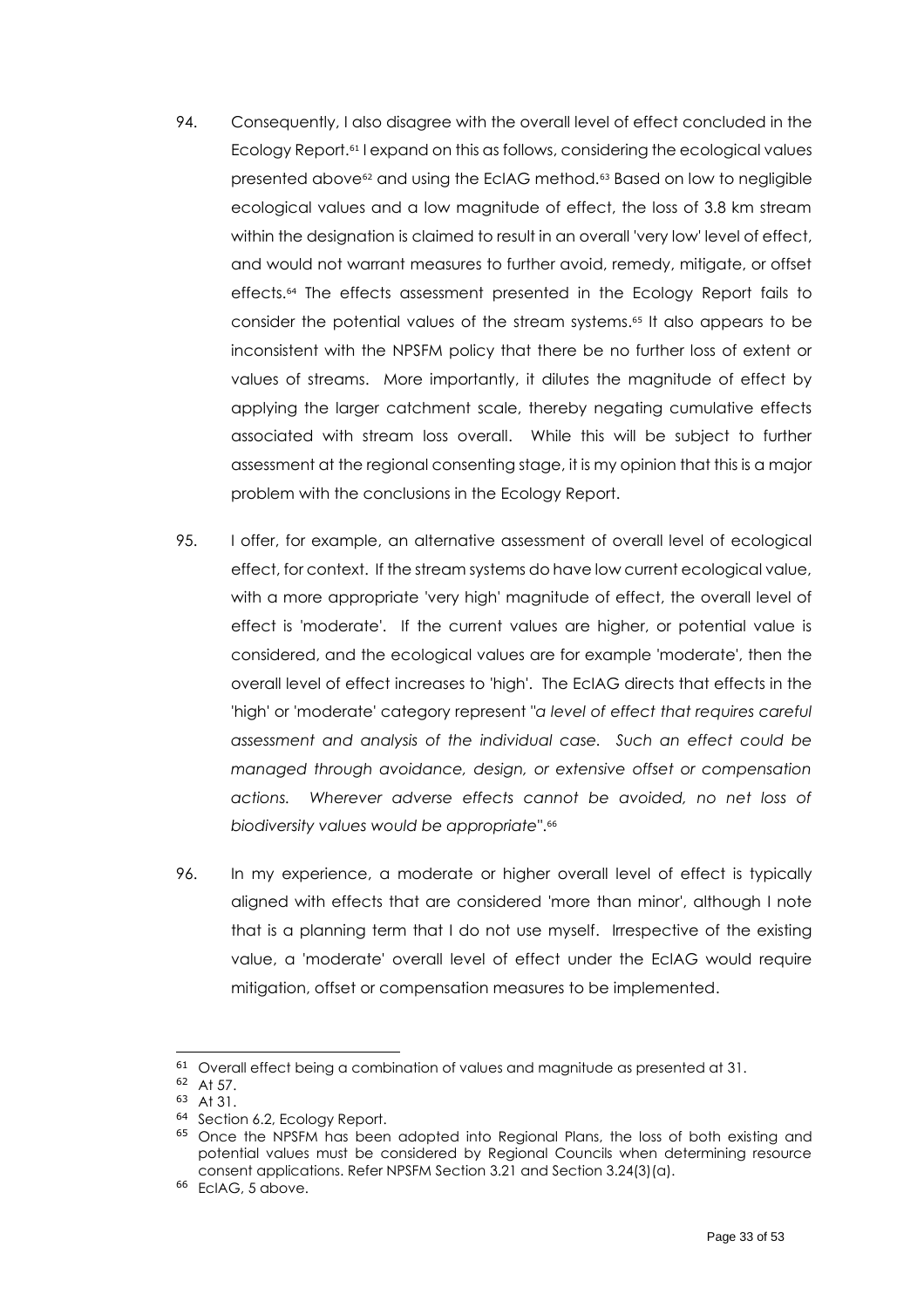- 94. Consequently, I also disagree with the overall level of effect concluded in the Ecology Report. <sup>61</sup> I expand on this as follows, considering the ecological values presented above<sup>62</sup> and using the EcIAG method.<sup>63</sup> Based on low to negligible ecological values and a low magnitude of effect, the loss of 3.8 km stream within the designation is claimed to result in an overall 'very low' level of effect, and would not warrant measures to further avoid, remedy, mitigate, or offset effects.<sup>64</sup> The effects assessment presented in the Ecology Report fails to consider the potential values of the stream systems. <sup>65</sup> It also appears to be inconsistent with the NPSFM policy that there be no further loss of extent or values of streams. More importantly, it dilutes the magnitude of effect by applying the larger catchment scale, thereby negating cumulative effects associated with stream loss overall. While this will be subject to further assessment at the regional consenting stage, it is my opinion that this is a major problem with the conclusions in the Ecology Report.
- 95. I offer, for example, an alternative assessment of overall level of ecological effect, for context. If the stream systems do have low current ecological value, with a more appropriate 'very high' magnitude of effect, the overall level of effect is 'moderate'. If the current values are higher, or potential value is considered, and the ecological values are for example 'moderate', then the overall level of effect increases to 'high'. The EcIAG directs that effects in the 'high' or 'moderate' category represent "*a level of effect that requires careful assessment and analysis of the individual case. Such an effect could be managed through avoidance, design, or extensive offset or compensation actions. Wherever adverse effects cannot be avoided, no net loss of biodiversity values would be appropriate*". 66
- 96. In my experience, a moderate or higher overall level of effect is typically aligned with effects that are considered 'more than minor', although I note that is a planning term that I do not use myself. Irrespective of the existing value, a 'moderate' overall level of effect under the EcIAG would require mitigation, offset or compensation measures to be implemented.

<sup>&</sup>lt;sup>61</sup> Overall effect being a combination of values and magnitude as presented at 31.

<sup>62</sup> At 57.

<sup>63</sup> At 31.

<sup>64</sup> Section 6.2, Ecology Report.

<sup>&</sup>lt;sup>65</sup> Once the NPSFM has been adopted into Regional Plans, the loss of both existing and potential values must be considered by Regional Councils when determining resource consent applications. Refer NPSFM Section 3.21 and Section 3.24(3)(a).

<sup>&</sup>lt;sup>66</sup> EcIAG, [5](#page-12-3) above.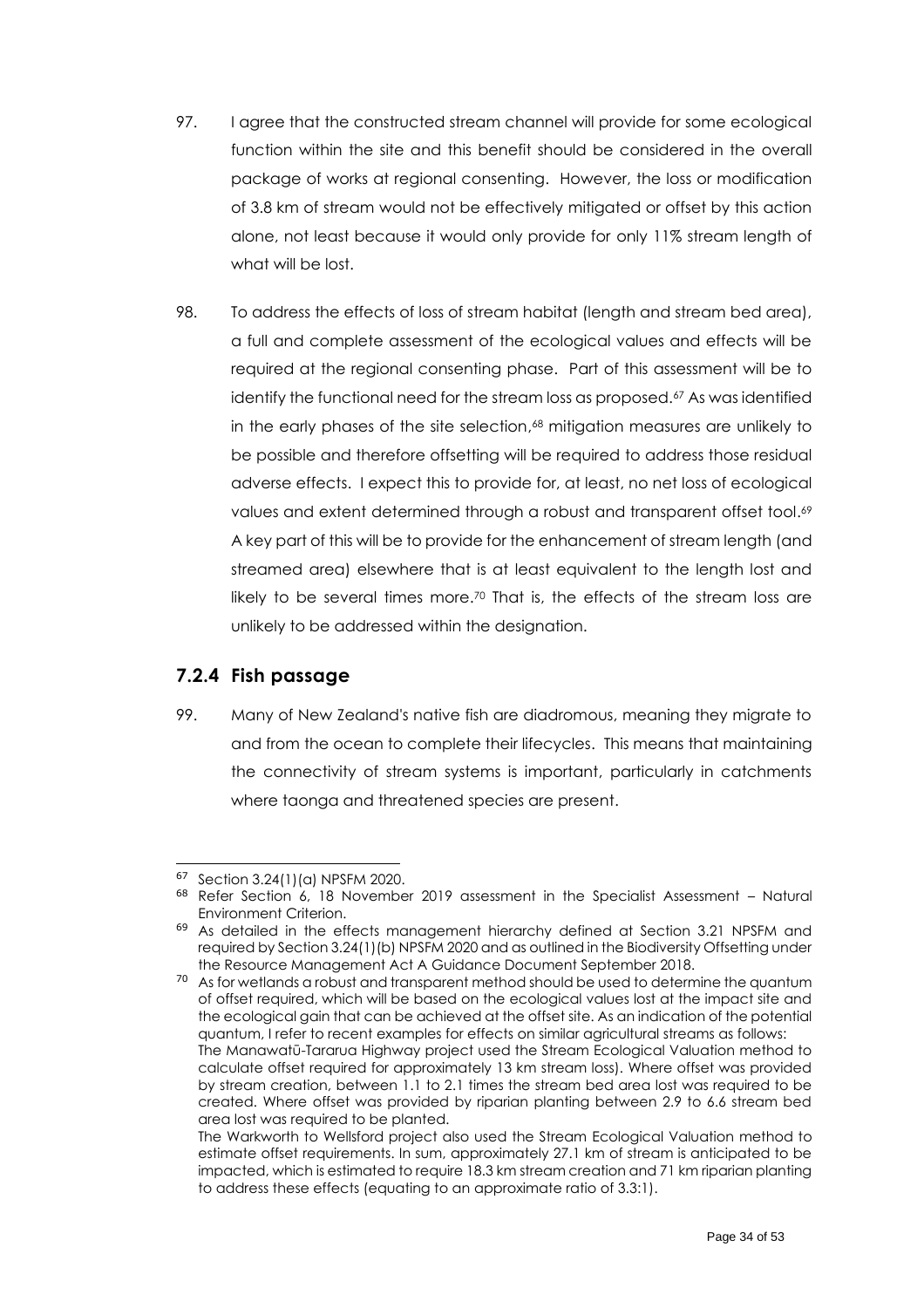- 97. I agree that the constructed stream channel will provide for some ecological function within the site and this benefit should be considered in the overall package of works at regional consenting. However, the loss or modification of 3.8 km of stream would not be effectively mitigated or offset by this action alone, not least because it would only provide for only 11% stream length of what will be lost.
- 98. To address the effects of loss of stream habitat (length and stream bed area), a full and complete assessment of the ecological values and effects will be required at the regional consenting phase. Part of this assessment will be to identify the functional need for the stream loss as proposed. <sup>67</sup> As was identified in the early phases of the site selection, <sup>68</sup> mitigation measures are unlikely to be possible and therefore offsetting will be required to address those residual adverse effects. I expect this to provide for, at least, no net loss of ecological values and extent determined through a robust and transparent offset tool. 69 A key part of this will be to provide for the enhancement of stream length (and streamed area) elsewhere that is at least equivalent to the length lost and likely to be several times more.<sup>70</sup> That is, the effects of the stream loss are unlikely to be addressed within the designation.

#### <span id="page-33-0"></span>**7.2.4 Fish passage**

99. Many of New Zealand's native fish are diadromous, meaning they migrate to and from the ocean to complete their lifecycles. This means that maintaining the connectivity of stream systems is important, particularly in catchments where taonga and threatened species are present.

<sup>67</sup> Section 3.24(1)(a) NPSFM 2020.

<sup>68</sup> Refer Section 6, 18 November 2019 assessment in the Specialist Assessment – Natural Environment Criterion.

<sup>69</sup> As detailed in the effects management hierarchy defined at Section 3.21 NPSFM and required by Section 3.24(1)(b) NPSFM 2020 and as outlined in the Biodiversity Offsetting under the Resource Management Act A Guidance Document September 2018.

<sup>&</sup>lt;sup>70</sup> As for wetlands a robust and transparent method should be used to determine the quantum of offset required, which will be based on the ecological values lost at the impact site and the ecological gain that can be achieved at the offset site. As an indication of the potential quantum, I refer to recent examples for effects on similar agricultural streams as follows: The Manawatū-Tararua Highway project used the Stream Ecological Valuation method to calculate offset required for approximately 13 km stream loss). Where offset was provided by stream creation, between 1.1 to 2.1 times the stream bed area lost was required to be created. Where offset was provided by riparian planting between 2.9 to 6.6 stream bed area lost was required to be planted.

The Warkworth to Wellsford project also used the Stream Ecological Valuation method to estimate offset requirements. In sum, approximately 27.1 km of stream is anticipated to be impacted, which is estimated to require 18.3 km stream creation and 71 km riparian planting to address these effects (equating to an approximate ratio of 3.3:1).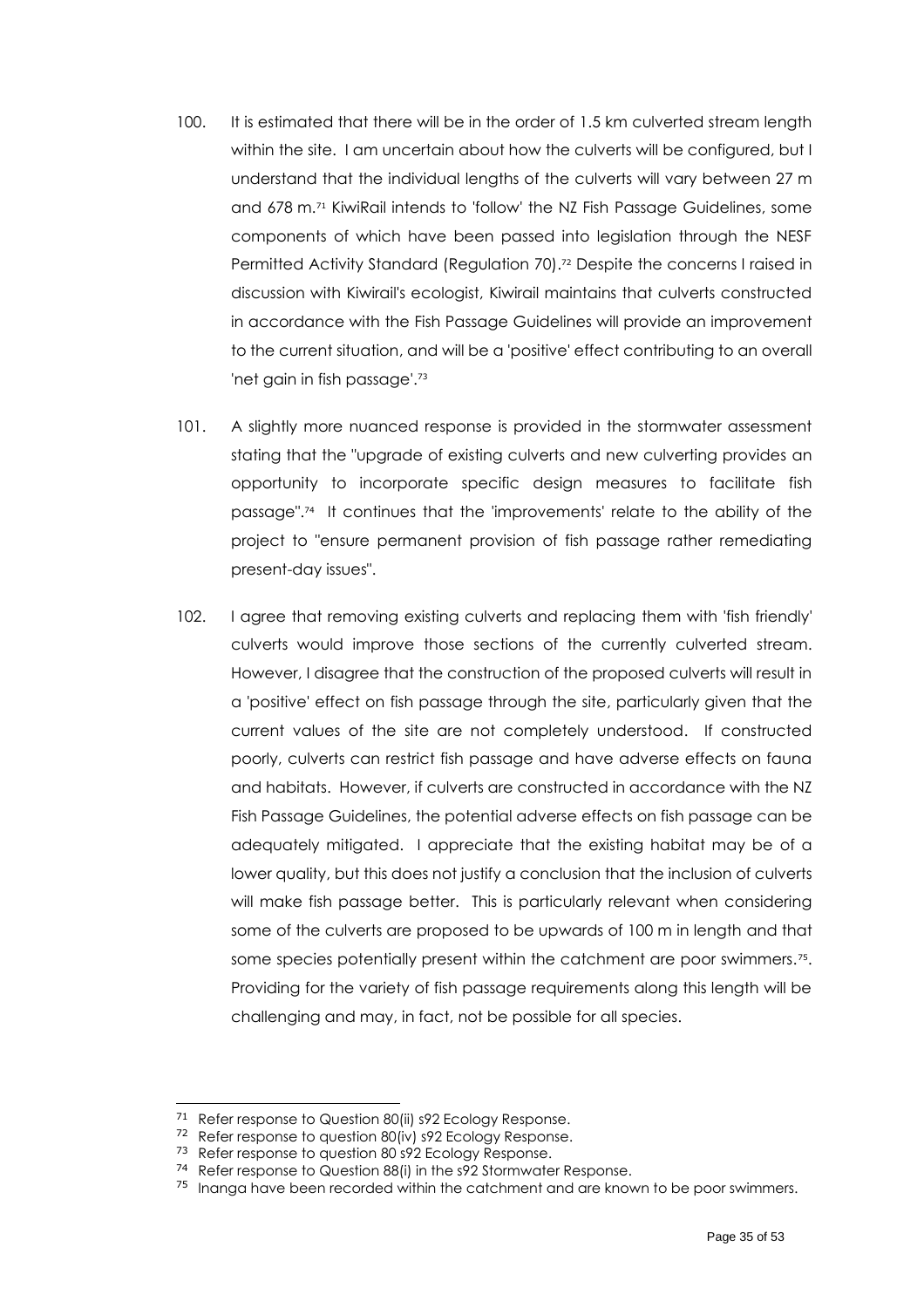- 100. It is estimated that there will be in the order of 1.5 km culverted stream length within the site. I am uncertain about how the culverts will be configured, but I understand that the individual lengths of the culverts will vary between 27 m and 678 m. <sup>71</sup> KiwiRail intends to 'follow' the NZ Fish Passage Guidelines, some components of which have been passed into legislation through the NESF Permitted Activity Standard (Regulation 70). <sup>72</sup> Despite the concerns I raised in discussion with Kiwirail's ecologist, Kiwirail maintains that culverts constructed in accordance with the Fish Passage Guidelines will provide an improvement to the current situation, and will be a 'positive' effect contributing to an overall 'net gain in fish passage'. 73
- 101. A slightly more nuanced response is provided in the stormwater assessment stating that the "upgrade of existing culverts and new culverting provides an opportunity to incorporate specific design measures to facilitate fish passage". 74 It continues that the 'improvements' relate to the ability of the project to "ensure permanent provision of fish passage rather remediating present-day issues".
- 102. I agree that removing existing culverts and replacing them with 'fish friendly' culverts would improve those sections of the currently culverted stream. However, I disagree that the construction of the proposed culverts will result in a 'positive' effect on fish passage through the site, particularly given that the current values of the site are not completely understood. If constructed poorly, culverts can restrict fish passage and have adverse effects on fauna and habitats. However, if culverts are constructed in accordance with the NZ Fish Passage Guidelines, the potential adverse effects on fish passage can be adequately mitigated. I appreciate that the existing habitat may be of a lower quality, but this does not justify a conclusion that the inclusion of culverts will make fish passage better. This is particularly relevant when considering some of the culverts are proposed to be upwards of 100 m in length and that some species potentially present within the catchment are poor swimmers.<sup>75</sup>. Providing for the variety of fish passage requirements along this length will be challenging and may, in fact, not be possible for all species.

<sup>71</sup> Refer response to Question 80(ii) s92 Ecology Response.

<sup>72</sup> Refer response to question 80(iv) s92 Ecology Response.

<sup>73</sup> Refer response to question 80 s92 Ecology Response.

<sup>74</sup> Refer response to Question 88(i) in the s92 Stormwater Response.

<sup>&</sup>lt;sup>75</sup> Inanga have been recorded within the catchment and are known to be poor swimmers.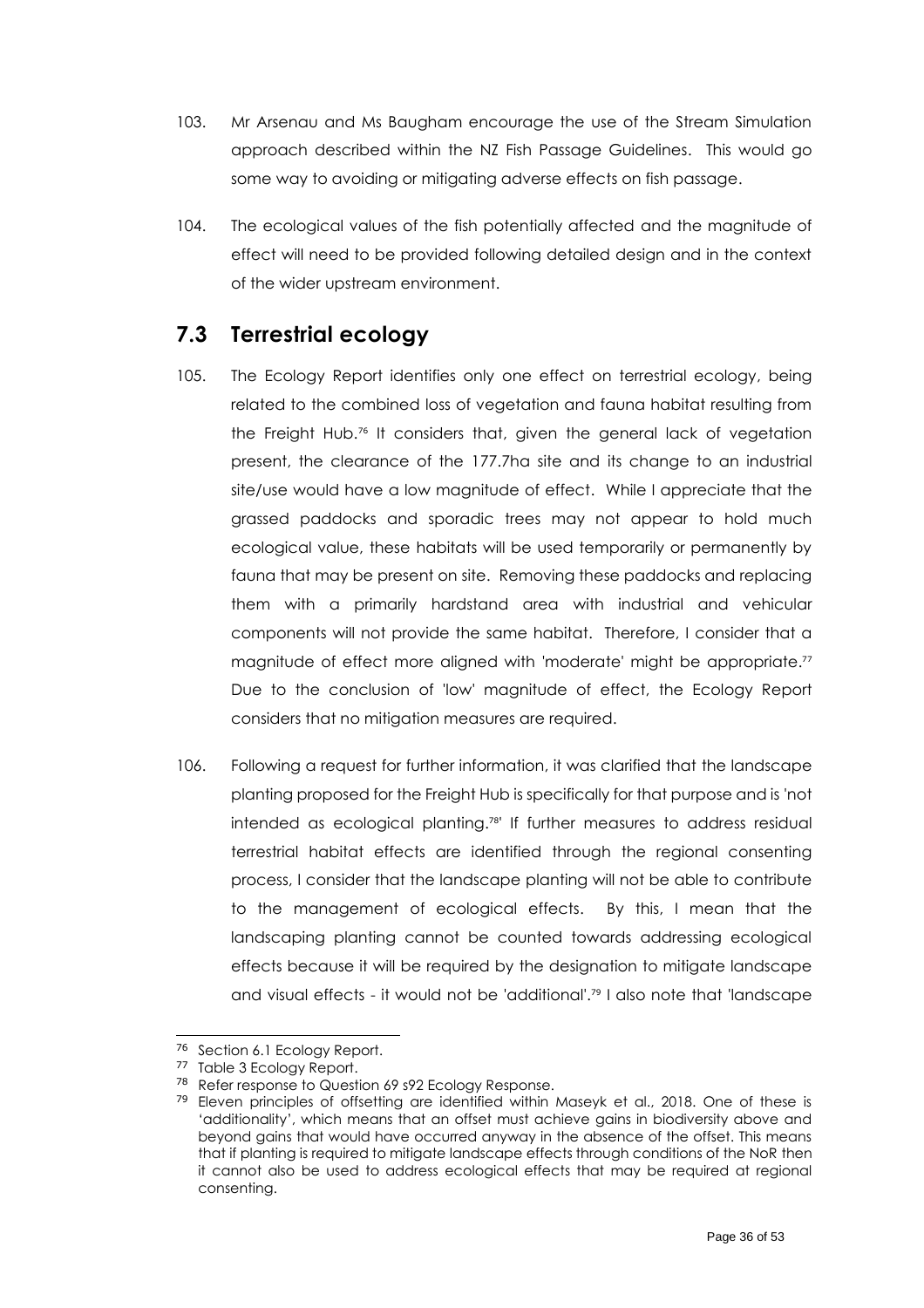- 103. Mr Arsenau and Ms Baugham encourage the use of the Stream Simulation approach described within the NZ Fish Passage Guidelines. This would go some way to avoiding or mitigating adverse effects on fish passage.
- 104. The ecological values of the fish potentially affected and the magnitude of effect will need to be provided following detailed design and in the context of the wider upstream environment.

### <span id="page-35-0"></span>**7.3 Terrestrial ecology**

- 105. The Ecology Report identifies only one effect on terrestrial ecology, being related to the combined loss of vegetation and fauna habitat resulting from the Freight Hub.<sup>76</sup> It considers that, given the general lack of vegetation present, the clearance of the 177.7ha site and its change to an industrial site/use would have a low magnitude of effect. While I appreciate that the grassed paddocks and sporadic trees may not appear to hold much ecological value, these habitats will be used temporarily or permanently by fauna that may be present on site. Removing these paddocks and replacing them with a primarily hardstand area with industrial and vehicular components will not provide the same habitat. Therefore, I consider that a magnitude of effect more aligned with 'moderate' might be appropriate." Due to the conclusion of 'low' magnitude of effect, the Ecology Report considers that no mitigation measures are required.
- 106. Following a request for further information, it was clarified that the landscape planting proposed for the Freight Hub is specifically for that purpose and is 'not intended as ecological planting. 78 ' If further measures to address residual terrestrial habitat effects are identified through the regional consenting process, I consider that the landscape planting will not be able to contribute to the management of ecological effects. By this, I mean that the landscaping planting cannot be counted towards addressing ecological effects because it will be required by the designation to mitigate landscape and visual effects - it would not be 'additional'. <sup>79</sup> I also note that 'landscape

<sup>76</sup> Section 6.1 Ecology Report.

<sup>77</sup> Table 3 Ecology Report.

<sup>78</sup> Refer response to Question 69 s92 Ecology Response.

 $79$  Eleven principles of offsetting are identified within Maseyk et al., 2018. One of these is 'additionality', which means that an offset must achieve gains in biodiversity above and beyond gains that would have occurred anyway in the absence of the offset. This means that if planting is required to mitigate landscape effects through conditions of the NoR then it cannot also be used to address ecological effects that may be required at regional consenting.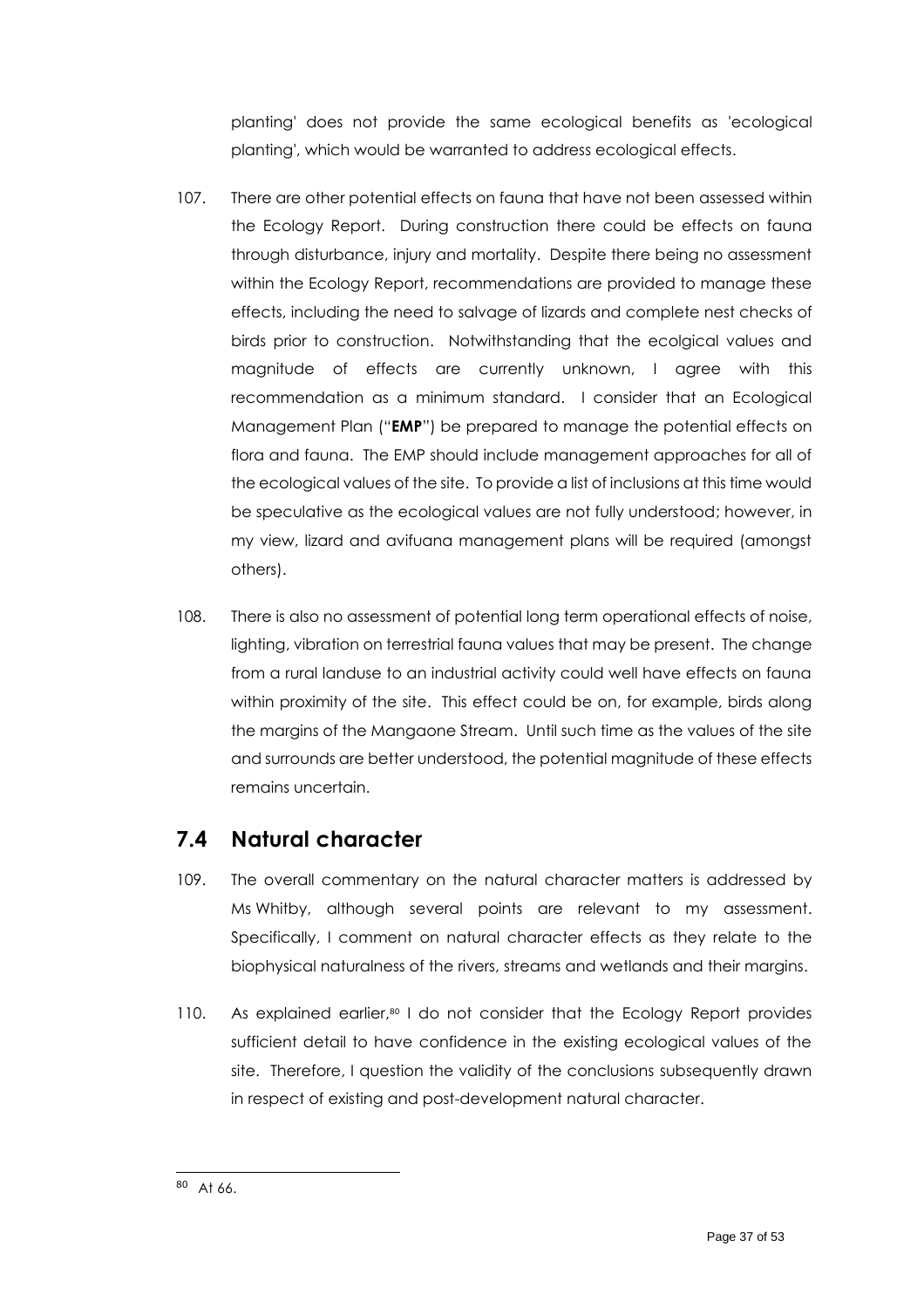planting' does not provide the same ecological benefits as 'ecological planting', which would be warranted to address ecological effects.

- 107. There are other potential effects on fauna that have not been assessed within the Ecology Report. During construction there could be effects on fauna through disturbance, injury and mortality. Despite there being no assessment within the Ecology Report, recommendations are provided to manage these effects, including the need to salvage of lizards and complete nest checks of birds prior to construction. Notwithstanding that the ecolgical values and magnitude of effects are currently unknown, I agree with this recommendation as a minimum standard. I consider that an Ecological Management Plan ("**EMP**") be prepared to manage the potential effects on flora and fauna. The EMP should include management approaches for all of the ecological values of the site. To provide a list of inclusions at this time would be speculative as the ecological values are not fully understood; however, in my view, lizard and avifuana management plans will be required (amongst others).
- 108. There is also no assessment of potential long term operational effects of noise, lighting, vibration on terrestrial fauna values that may be present. The change from a rural landuse to an industrial activity could well have effects on fauna within proximity of the site. This effect could be on, for example, birds along the margins of the Mangaone Stream. Until such time as the values of the site and surrounds are better understood, the potential magnitude of these effects remains uncertain.

### <span id="page-36-0"></span>**7.4 Natural character**

- 109. The overall commentary on the natural character matters is addressed by Ms Whitby, although several points are relevant to my assessment. Specifically, I comment on natural character effects as they relate to the biophysical naturalness of the rivers, streams and wetlands and their margins.
- 110. As explained earlier, <sup>80</sup> I do not consider that the Ecology Report provides sufficient detail to have confidence in the existing ecological values of the site. Therefore, I question the validity of the conclusions subsequently drawn in respect of existing and post-development natural character.

<sup>80</sup> At 66.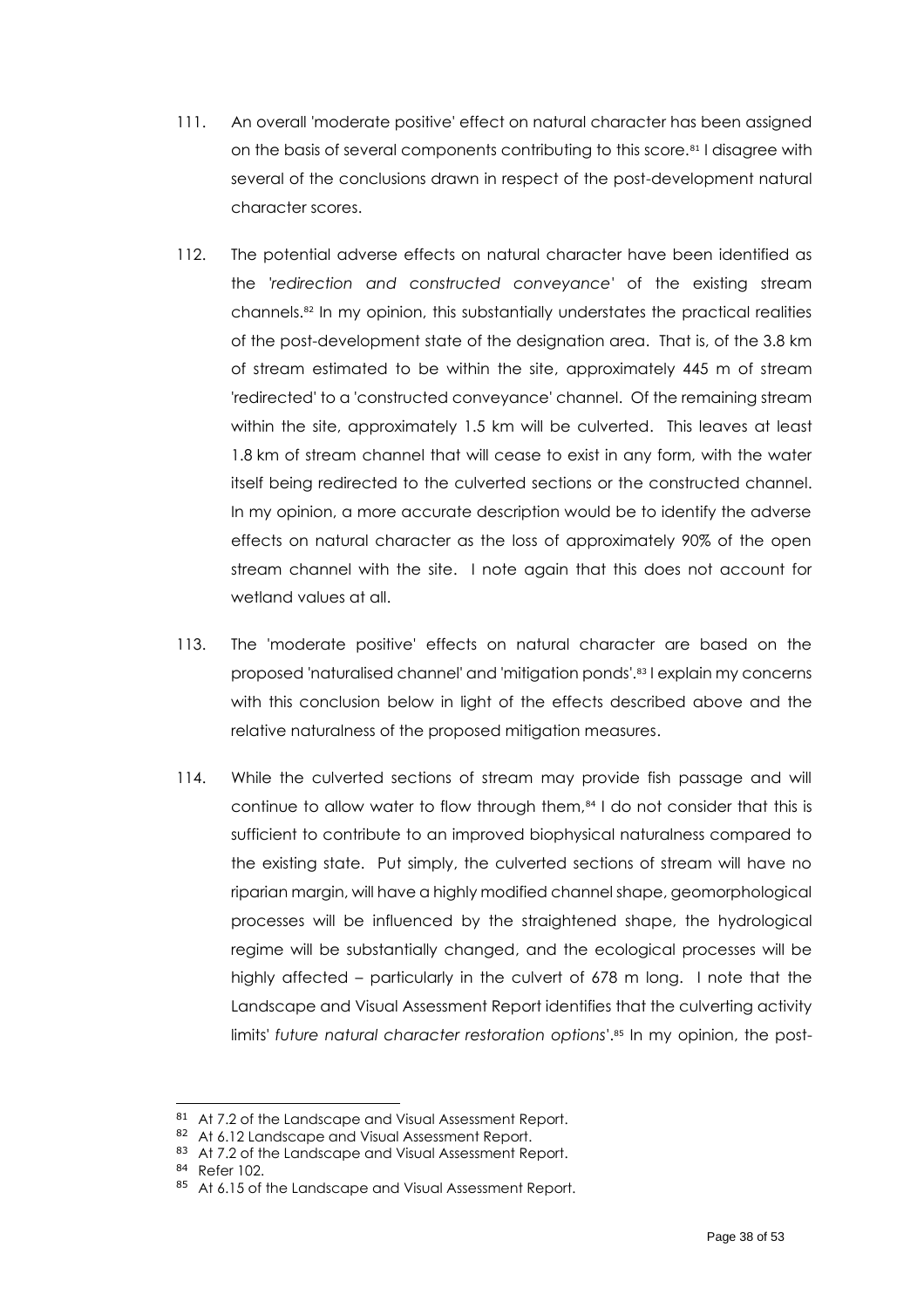- 111. An overall 'moderate positive' effect on natural character has been assigned on the basis of several components contributing to this score.<sup>81</sup> I disagree with several of the conclusions drawn in respect of the post-development natural character scores.
- 112. The potential adverse effects on natural character have been identified as the '*redirection and constructed conveyance'* of the existing stream channels.<sup>82</sup> In my opinion, this substantially understates the practical realities of the post-development state of the designation area. That is, of the 3.8 km of stream estimated to be within the site, approximately 445 m of stream 'redirected' to a 'constructed conveyance' channel. Of the remaining stream within the site, approximately 1.5 km will be culverted. This leaves at least 1.8 km of stream channel that will cease to exist in any form, with the water itself being redirected to the culverted sections or the constructed channel. In my opinion, a more accurate description would be to identify the adverse effects on natural character as the loss of approximately 90% of the open stream channel with the site. I note again that this does not account for wetland values at all.
- 113. The 'moderate positive' effects on natural character are based on the proposed 'naturalised channel' and 'mitigation ponds'. <sup>83</sup> I explain my concerns with this conclusion below in light of the effects described above and the relative naturalness of the proposed mitigation measures.
- 114. While the culverted sections of stream may provide fish passage and will continue to allow water to flow through them,<sup>84</sup> I do not consider that this is sufficient to contribute to an improved biophysical naturalness compared to the existing state. Put simply, the culverted sections of stream will have no riparian margin, will have a highly modified channel shape, geomorphological processes will be influenced by the straightened shape, the hydrological regime will be substantially changed, and the ecological processes will be highly affected – particularly in the culvert of 678 m long. I note that the Landscape and Visual Assessment Report identifies that the culverting activity limits' *future natural character restoration options*'. <sup>85</sup> In my opinion, the post-

<sup>81</sup> At 7.2 of the Landscape and Visual Assessment Report.

<sup>82</sup> At 6.12 Landscape and Visual Assessment Report.

<sup>83</sup> At 7.2 of the Landscape and Visual Assessment Report.

<sup>84</sup> Refer 102.

<sup>85</sup> At 6.15 of the Landscape and Visual Assessment Report.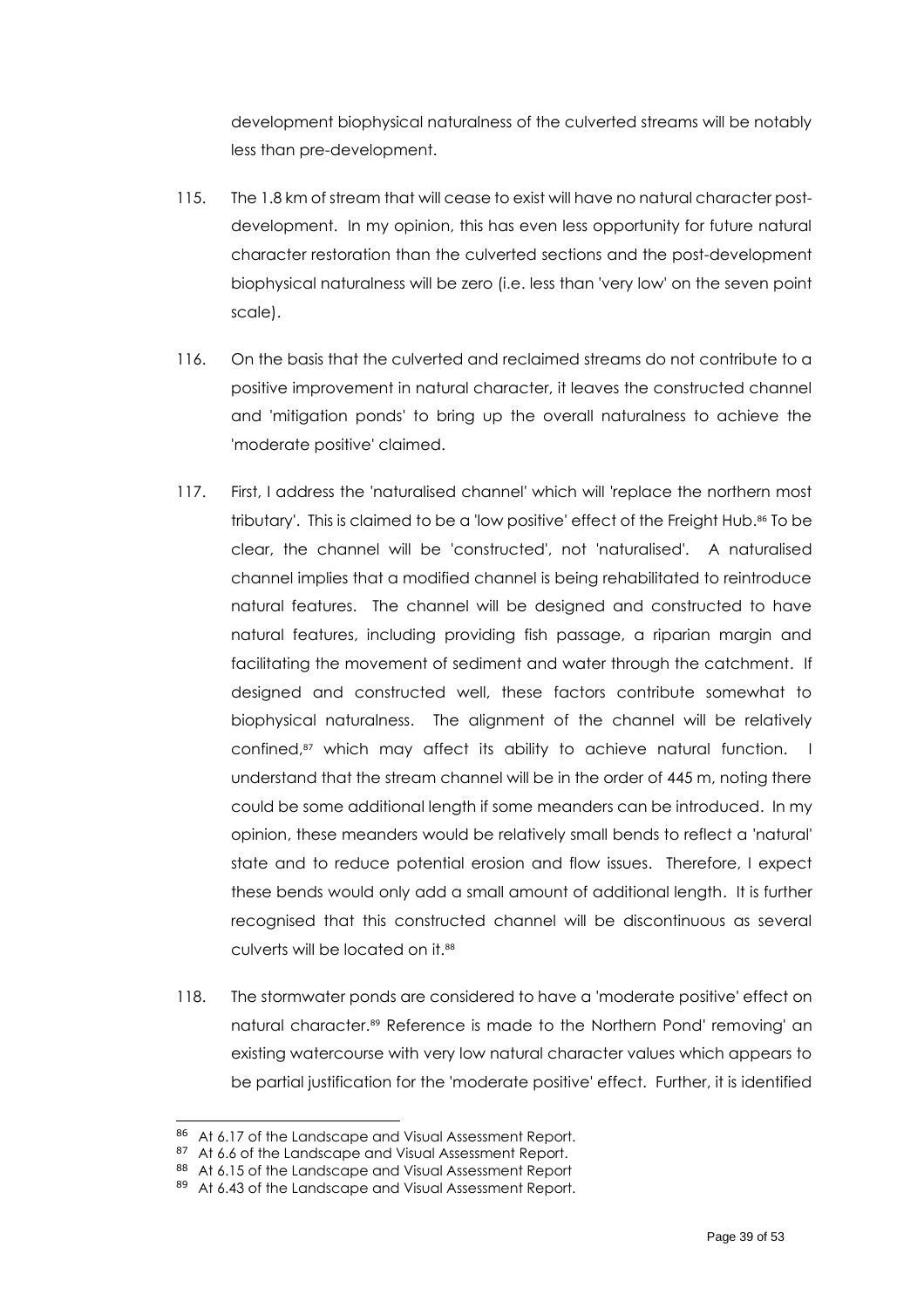development biophysical naturalness of the culverted streams will be notably less than pre-development.

- 115. The 1.8 km of stream that will cease to exist will have no natural character postdevelopment. In my opinion, this has even less opportunity for future natural character restoration than the culverted sections and the post-development biophysical naturalness will be zero (i.e. less than 'very low' on the seven point scale).
- 116. On the basis that the culverted and reclaimed streams do not contribute to a positive improvement in natural character, it leaves the constructed channel and 'mitigation ponds' to bring up the overall naturalness to achieve the 'moderate positive' claimed.
- 117. First, I address the 'naturalised channel' which will 'replace the northern most tributary'. This is claimed to be a 'low positive' effect of the Freight Hub. <sup>86</sup> To be clear, the channel will be 'constructed', not 'naturalised'. A naturalised channel implies that a modified channel is being rehabilitated to reintroduce natural features. The channel will be designed and constructed to have natural features, including providing fish passage, a riparian margin and facilitating the movement of sediment and water through the catchment. If designed and constructed well, these factors contribute somewhat to biophysical naturalness. The alignment of the channel will be relatively confined, <sup>87</sup> which may affect its ability to achieve natural function. I understand that the stream channel will be in the order of 445 m, noting there could be some additional length if some meanders can be introduced. In my opinion, these meanders would be relatively small bends to reflect a 'natural' state and to reduce potential erosion and flow issues. Therefore, I expect these bends would only add a small amount of additional length. It is further recognised that this constructed channel will be discontinuous as several culverts will be located on it.<sup>88</sup>
- 118. The stormwater ponds are considered to have a 'moderate positive' effect on natural character.<sup>89</sup> Reference is made to the Northern Pond' removing' an existing watercourse with very low natural character values which appears to be partial justification for the 'moderate positive' effect. Further, it is identified

<sup>86</sup> At 6.17 of the Landscape and Visual Assessment Report.

<sup>87</sup> At 6.6 of the Landscape and Visual Assessment Report.

<sup>88</sup> At 6.15 of the Landscape and Visual Assessment Report

<sup>89</sup> At 6.43 of the Landscape and Visual Assessment Report.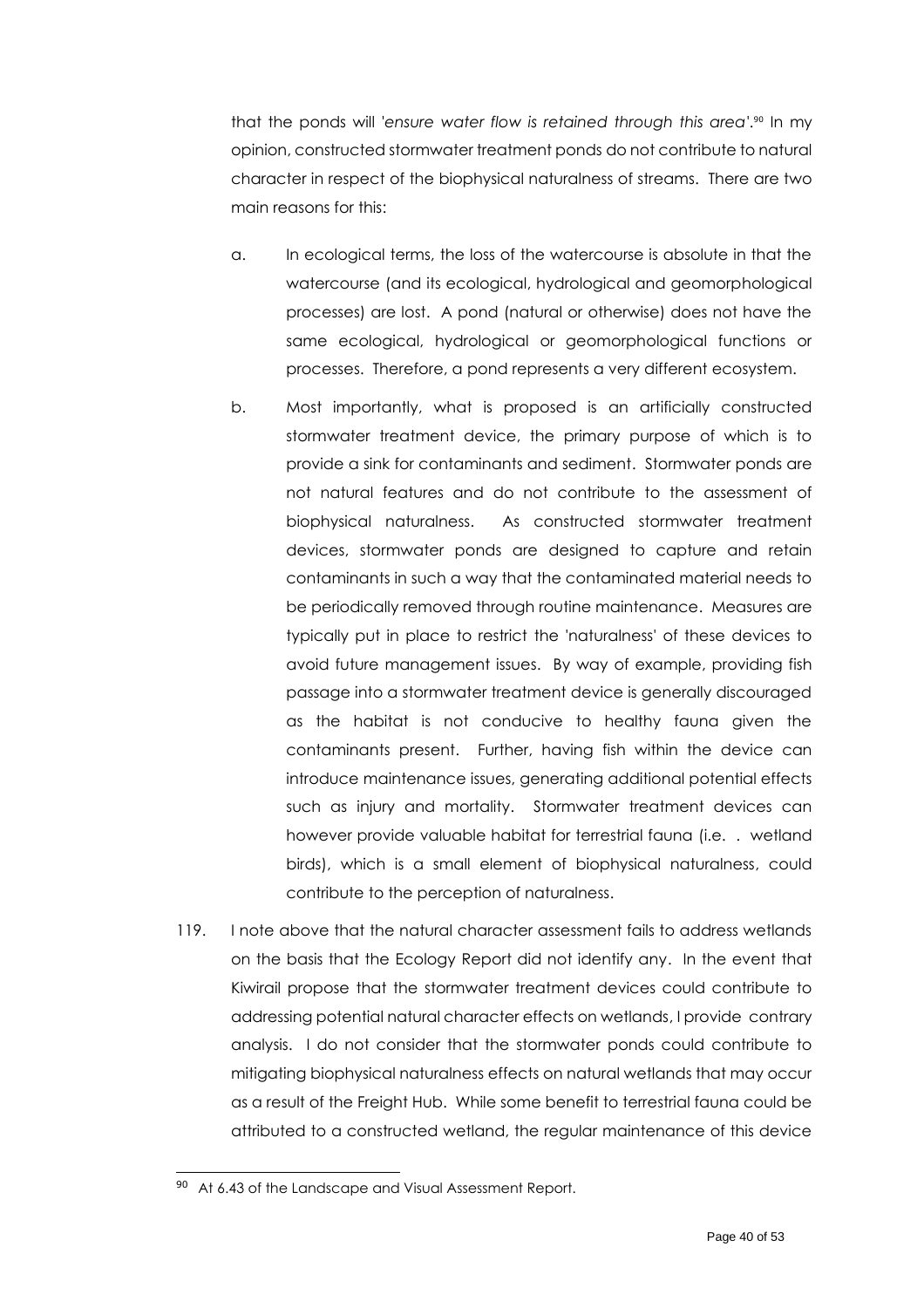that the ponds will '*ensure water flow is retained through this area'*. <sup>90</sup> In my opinion, constructed stormwater treatment ponds do not contribute to natural character in respect of the biophysical naturalness of streams. There are two main reasons for this:

- a. In ecological terms, the loss of the watercourse is absolute in that the watercourse (and its ecological, hydrological and geomorphological processes) are lost. A pond (natural or otherwise) does not have the same ecological, hydrological or geomorphological functions or processes. Therefore, a pond represents a very different ecosystem.
- b. Most importantly, what is proposed is an artificially constructed stormwater treatment device, the primary purpose of which is to provide a sink for contaminants and sediment. Stormwater ponds are not natural features and do not contribute to the assessment of biophysical naturalness. As constructed stormwater treatment devices, stormwater ponds are designed to capture and retain contaminants in such a way that the contaminated material needs to be periodically removed through routine maintenance. Measures are typically put in place to restrict the 'naturalness' of these devices to avoid future management issues. By way of example, providing fish passage into a stormwater treatment device is generally discouraged as the habitat is not conducive to healthy fauna given the contaminants present. Further, having fish within the device can introduce maintenance issues, generating additional potential effects such as injury and mortality. Stormwater treatment devices can however provide valuable habitat for terrestrial fauna (i.e. . wetland birds), which is a small element of biophysical naturalness, could contribute to the perception of naturalness.
- 119. I note above that the natural character assessment fails to address wetlands on the basis that the Ecology Report did not identify any. In the event that Kiwirail propose that the stormwater treatment devices could contribute to addressing potential natural character effects on wetlands, I provide contrary analysis. I do not consider that the stormwater ponds could contribute to mitigating biophysical naturalness effects on natural wetlands that may occur as a result of the Freight Hub. While some benefit to terrestrial fauna could be attributed to a constructed wetland, the regular maintenance of this device

<sup>90</sup> At 6.43 of the Landscape and Visual Assessment Report.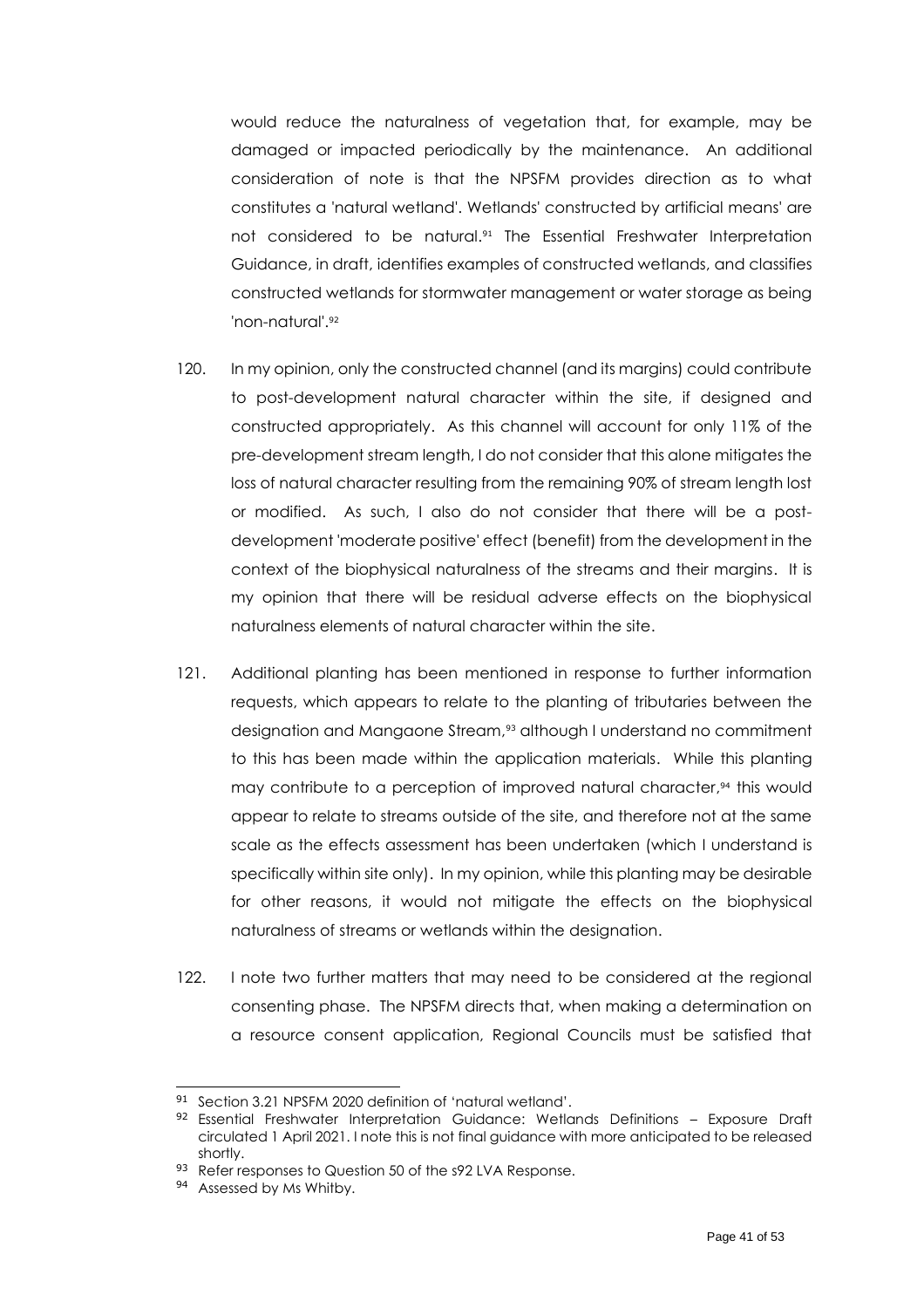would reduce the naturalness of vegetation that, for example, may be damaged or impacted periodically by the maintenance. An additional consideration of note is that the NPSFM provides direction as to what constitutes a 'natural wetland'. Wetlands' constructed by artificial means' are not considered to be natural. <sup>91</sup> The Essential Freshwater Interpretation Guidance, in draft, identifies examples of constructed wetlands, and classifies constructed wetlands for stormwater management or water storage as being 'non-natural'. 92

- 120. In my opinion, only the constructed channel (and its margins) could contribute to post-development natural character within the site, if designed and constructed appropriately. As this channel will account for only 11% of the pre-development stream length, I do not consider that this alone mitigates the loss of natural character resulting from the remaining 90% of stream length lost or modified. As such, I also do not consider that there will be a postdevelopment 'moderate positive' effect (benefit) from the development in the context of the biophysical naturalness of the streams and their margins. It is my opinion that there will be residual adverse effects on the biophysical naturalness elements of natural character within the site.
- 121. Additional planting has been mentioned in response to further information requests, which appears to relate to the planting of tributaries between the designation and Mangaone Stream, <sup>93</sup> although I understand no commitment to this has been made within the application materials. While this planting may contribute to a perception of improved natural character, <sup>94</sup> this would appear to relate to streams outside of the site, and therefore not at the same scale as the effects assessment has been undertaken (which I understand is specifically within site only). In my opinion, while this planting may be desirable for other reasons, it would not mitigate the effects on the biophysical naturalness of streams or wetlands within the designation.
- 122. I note two further matters that may need to be considered at the regional consenting phase. The NPSFM directs that, when making a determination on a resource consent application, Regional Councils must be satisfied that

<sup>91</sup> Section 3.21 NPSFM 2020 definition of 'natural wetland'.

<sup>92</sup> Essential Freshwater Interpretation Guidance: Wetlands Definitions - Exposure Draft circulated 1 April 2021. I note this is not final guidance with more anticipated to be released shortly.

<sup>93</sup> Refer responses to Question 50 of the s92 LVA Response.

<sup>94</sup> Assessed by Ms Whitby.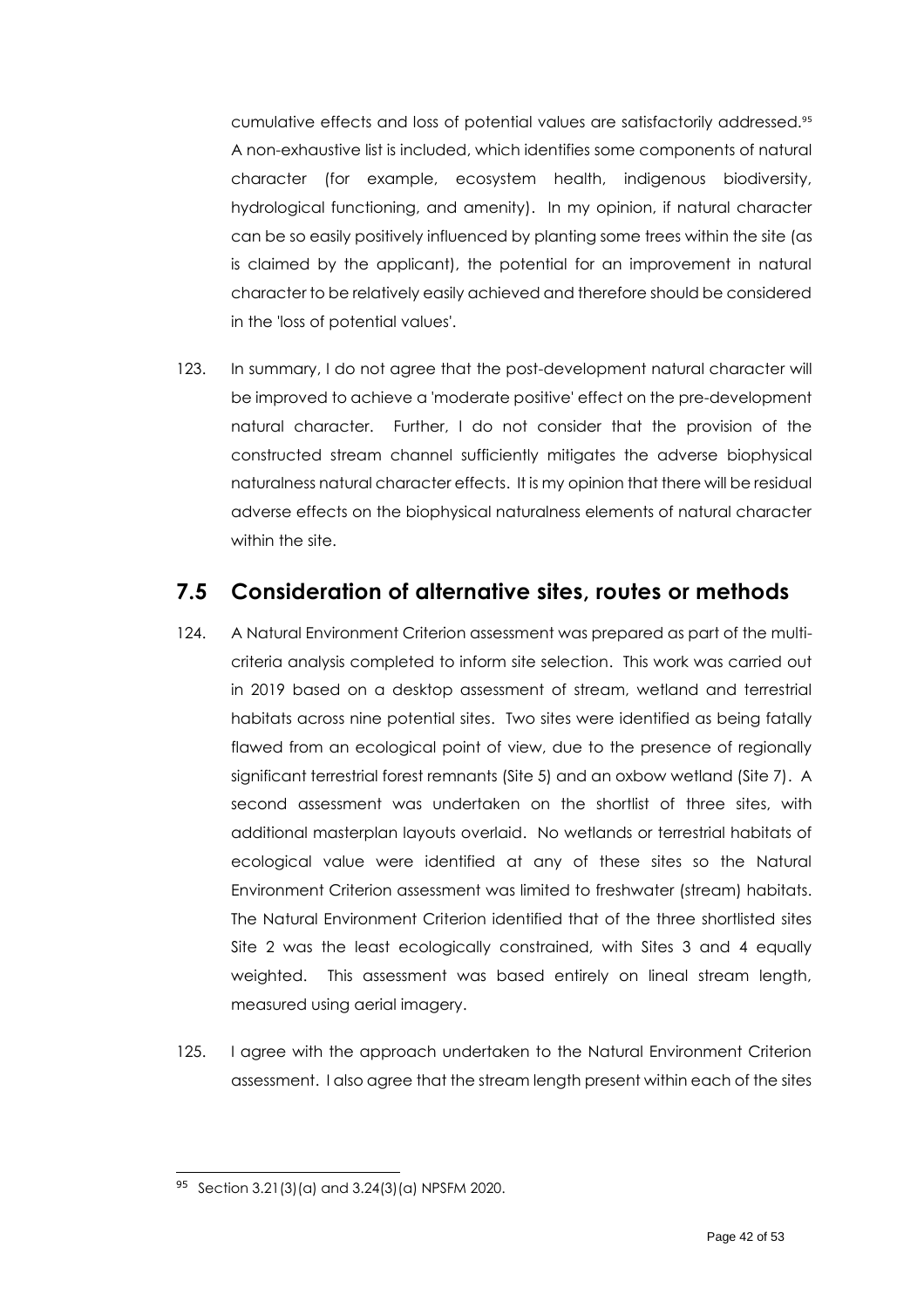cumulative effects and loss of potential values are satisfactorily addressed.<sup>95</sup> A non-exhaustive list is included, which identifies some components of natural character (for example, ecosystem health, indigenous biodiversity, hydrological functioning, and amenity). In my opinion, if natural character can be so easily positively influenced by planting some trees within the site (as is claimed by the applicant), the potential for an improvement in natural character to be relatively easily achieved and therefore should be considered in the 'loss of potential values'.

123. In summary, I do not agree that the post-development natural character will be improved to achieve a 'moderate positive' effect on the pre-development natural character. Further, I do not consider that the provision of the constructed stream channel sufficiently mitigates the adverse biophysical naturalness natural character effects. It is my opinion that there will be residual adverse effects on the biophysical naturalness elements of natural character within the site.

### <span id="page-41-0"></span>**7.5 Consideration of alternative sites, routes or methods**

- 124. A Natural Environment Criterion assessment was prepared as part of the multicriteria analysis completed to inform site selection. This work was carried out in 2019 based on a desktop assessment of stream, wetland and terrestrial habitats across nine potential sites. Two sites were identified as being fatally flawed from an ecological point of view, due to the presence of regionally significant terrestrial forest remnants (Site 5) and an oxbow wetland (Site 7). A second assessment was undertaken on the shortlist of three sites, with additional masterplan layouts overlaid. No wetlands or terrestrial habitats of ecological value were identified at any of these sites so the Natural Environment Criterion assessment was limited to freshwater (stream) habitats. The Natural Environment Criterion identified that of the three shortlisted sites Site 2 was the least ecologically constrained, with Sites 3 and 4 equally weighted. This assessment was based entirely on lineal stream length, measured using aerial imagery.
- 125. I agree with the approach undertaken to the Natural Environment Criterion assessment. I also agree that the stream length present within each of the sites

<sup>95</sup> Section 3.21(3)(a) and 3.24(3)(a) NPSFM 2020.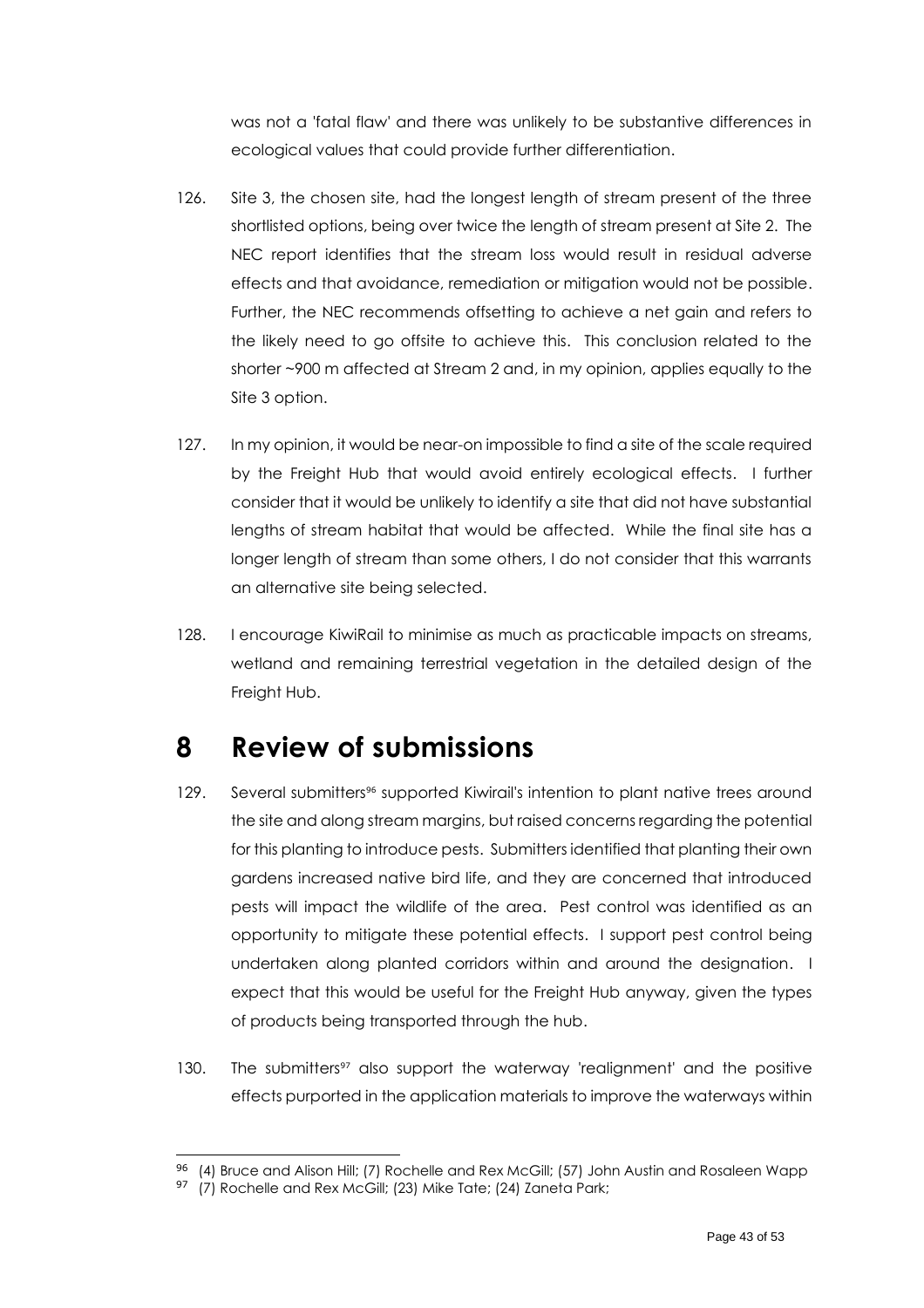was not a 'fatal flaw' and there was unlikely to be substantive differences in ecological values that could provide further differentiation.

- 126. Site 3, the chosen site, had the longest length of stream present of the three shortlisted options, being over twice the length of stream present at Site 2. The NEC report identifies that the stream loss would result in residual adverse effects and that avoidance, remediation or mitigation would not be possible. Further, the NEC recommends offsetting to achieve a net gain and refers to the likely need to go offsite to achieve this. This conclusion related to the shorter ~900 m affected at Stream 2 and, in my opinion, applies equally to the Site 3 option.
- 127. In my opinion, it would be near-on impossible to find a site of the scale required by the Freight Hub that would avoid entirely ecological effects. I further consider that it would be unlikely to identify a site that did not have substantial lengths of stream habitat that would be affected. While the final site has a longer length of stream than some others, I do not consider that this warrants an alternative site being selected.
- 128. I encourage KiwiRail to minimise as much as practicable impacts on streams, wetland and remaining terrestrial vegetation in the detailed design of the Freight Hub.

## <span id="page-42-0"></span>**8 Review of submissions**

- 129. Several submitters<sup>96</sup> supported Kiwirail's intention to plant native trees around the site and along stream margins, but raised concerns regarding the potential for this planting to introduce pests. Submitters identified that planting their own gardens increased native bird life, and they are concerned that introduced pests will impact the wildlife of the area. Pest control was identified as an opportunity to mitigate these potential effects. I support pest control being undertaken along planted corridors within and around the designation. I expect that this would be useful for the Freight Hub anyway, given the types of products being transported through the hub.
- 130. The submitters<sup>97</sup> also support the waterway 'realignment' and the positive effects purported in the application materials to improve the waterways within

<sup>&</sup>lt;sup>96</sup> (4) Bruce and Alison Hill; (7) Rochelle and Rex McGill; (57) John Austin and Rosaleen Wapp

<sup>97 (7)</sup> Rochelle and Rex McGill; (23) Mike Tate; (24) Zaneta Park;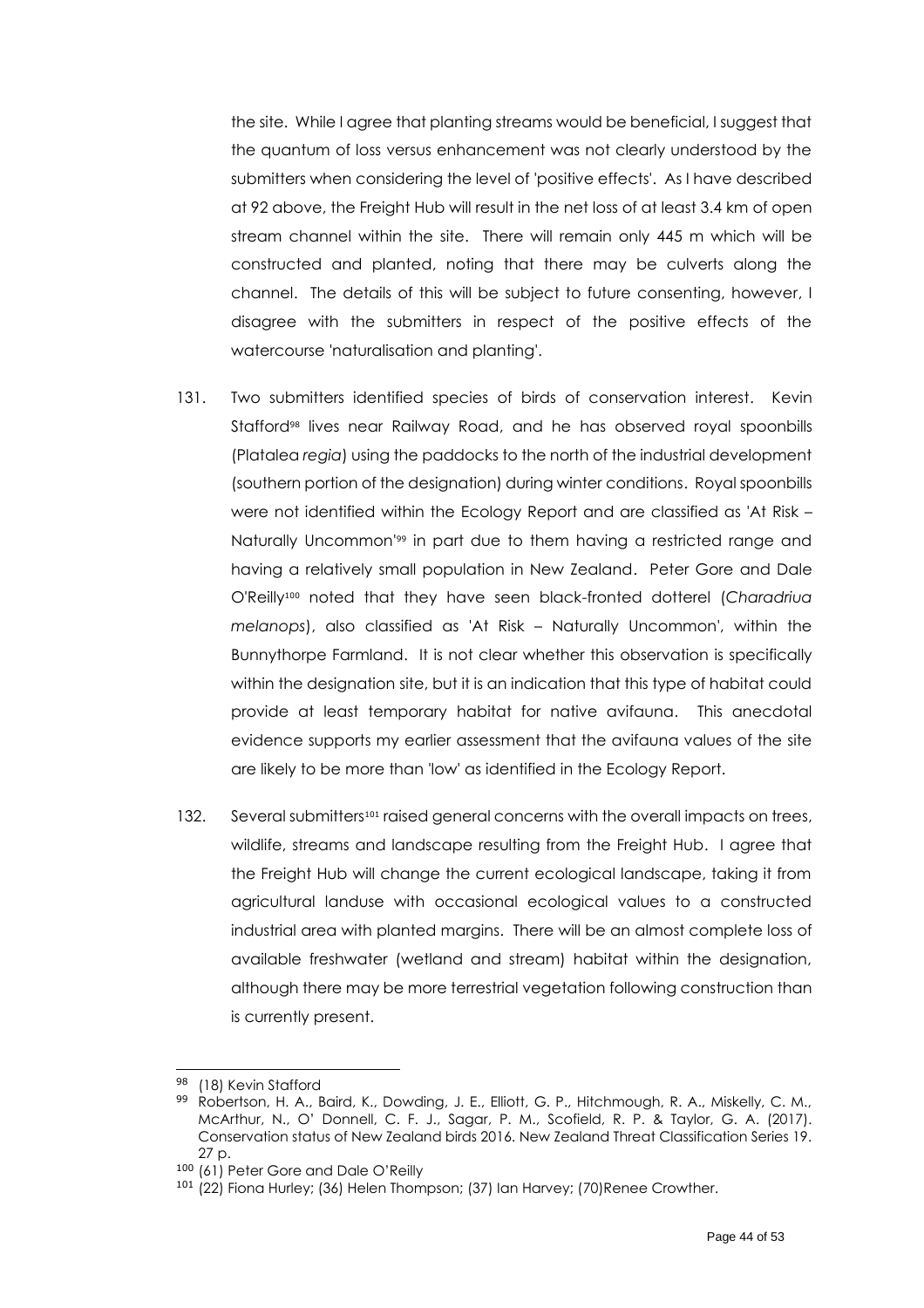the site. While I agree that planting streams would be beneficial, I suggest that the quantum of loss versus enhancement was not clearly understood by the submitters when considering the level of 'positive effects'. As I have described at 92 above, the Freight Hub will result in the net loss of at least 3.4 km of open stream channel within the site. There will remain only 445 m which will be constructed and planted, noting that there may be culverts along the channel. The details of this will be subject to future consenting, however, I disagree with the submitters in respect of the positive effects of the watercourse 'naturalisation and planting'.

- 131. Two submitters identified species of birds of conservation interest. Kevin Stafford<sup>98</sup> lives near Railway Road, and he has observed royal spoonbills (Platalea *regia*) using the paddocks to the north of the industrial development (southern portion of the designation) during winter conditions. Royal spoonbills were not identified within the Ecology Report and are classified as 'At Risk – Naturally Uncommon' <sup>99</sup> in part due to them having a restricted range and having a relatively small population in New Zealand. Peter Gore and Dale O'Reilly<sup>100</sup> noted that they have seen black-fronted dotterel (*Charadriua melanops*), also classified as 'At Risk – Naturally Uncommon', within the Bunnythorpe Farmland. It is not clear whether this observation is specifically within the designation site, but it is an indication that this type of habitat could provide at least temporary habitat for native avifauna. This anecdotal evidence supports my earlier assessment that the avifauna values of the site are likely to be more than 'low' as identified in the Ecology Report.
- 132. Several submitters<sup>101</sup> raised general concerns with the overall impacts on trees, wildlife, streams and landscape resulting from the Freight Hub. I agree that the Freight Hub will change the current ecological landscape, taking it from agricultural landuse with occasional ecological values to a constructed industrial area with planted margins. There will be an almost complete loss of available freshwater (wetland and stream) habitat within the designation, although there may be more terrestrial vegetation following construction than is currently present.

<sup>98 (18)</sup> Kevin Stafford

<sup>99</sup> Robertson, H. A., Baird, K., Dowding, J. E., Elliott, G. P., Hitchmough, R. A., Miskelly, C. M., McArthur, N., O' Donnell, C. F. J., Sagar, P. M., Scofield, R. P. & Taylor, G. A. (2017). Conservation status of New Zealand birds 2016. New Zealand Threat Classification Series 19. 27 p.

<sup>100</sup> (61) Peter Gore and Dale O'Reilly

<sup>&</sup>lt;sup>101</sup> (22) Fiona Hurley; (36) Helen Thompson; (37) Ian Harvey; (70) Renee Crowther.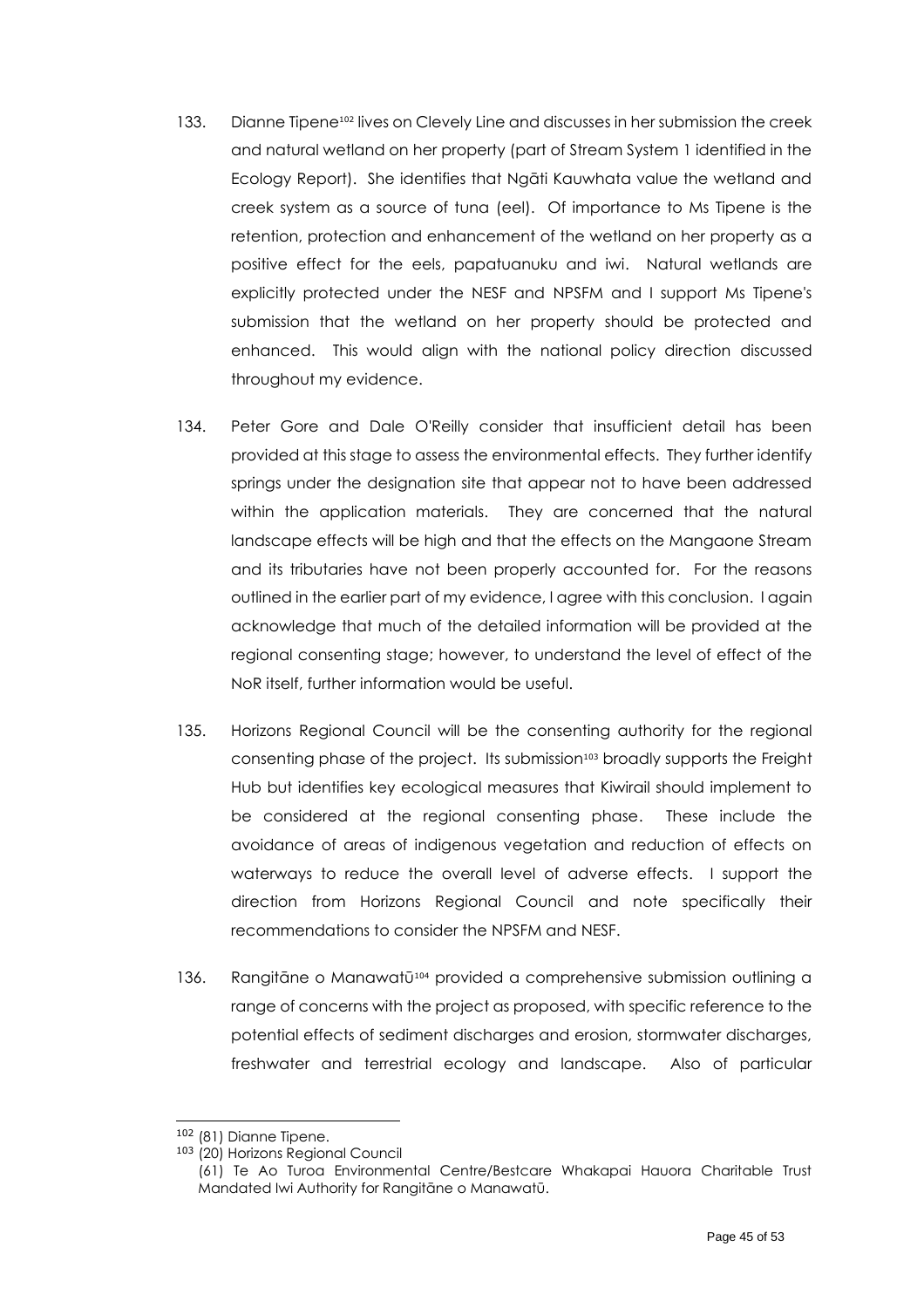- 133. Dianne Tipene<sup>102</sup> lives on Clevely Line and discusses in her submission the creek and natural wetland on her property (part of Stream System 1 identified in the Ecology Report). She identifies that Ngāti Kauwhata value the wetland and creek system as a source of tuna (eel). Of importance to Ms Tipene is the retention, protection and enhancement of the wetland on her property as a positive effect for the eels, papatuanuku and iwi. Natural wetlands are explicitly protected under the NESF and NPSFM and I support Ms Tipene's submission that the wetland on her property should be protected and enhanced. This would align with the national policy direction discussed throughout my evidence.
- 134. Peter Gore and Dale O'Reilly consider that insufficient detail has been provided at this stage to assess the environmental effects. They further identify springs under the designation site that appear not to have been addressed within the application materials. They are concerned that the natural landscape effects will be high and that the effects on the Mangaone Stream and its tributaries have not been properly accounted for. For the reasons outlined in the earlier part of my evidence, I agree with this conclusion. I again acknowledge that much of the detailed information will be provided at the regional consenting stage; however, to understand the level of effect of the NoR itself, further information would be useful.
- 135. Horizons Regional Council will be the consenting authority for the regional consenting phase of the project. Its submission<sup>103</sup> broadly supports the Freight Hub but identifies key ecological measures that Kiwirail should implement to be considered at the regional consenting phase. These include the avoidance of areas of indigenous vegetation and reduction of effects on waterways to reduce the overall level of adverse effects. I support the direction from Horizons Regional Council and note specifically their recommendations to consider the NPSFM and NESF.
- 136. Rangitāne o Manawatū<sup>104</sup> provided a comprehensive submission outlining a range of concerns with the project as proposed, with specific reference to the potential effects of sediment discharges and erosion, stormwater discharges, freshwater and terrestrial ecology and landscape. Also of particular

<sup>102</sup> (81) Dianne Tipene.

<sup>103</sup> (20) Horizons Regional Council

<sup>(61)</sup> Te Ao Turoa Environmental Centre/Bestcare Whakapai Hauora Charitable Trust Mandated Iwi Authority for Rangitāne o Manawatū.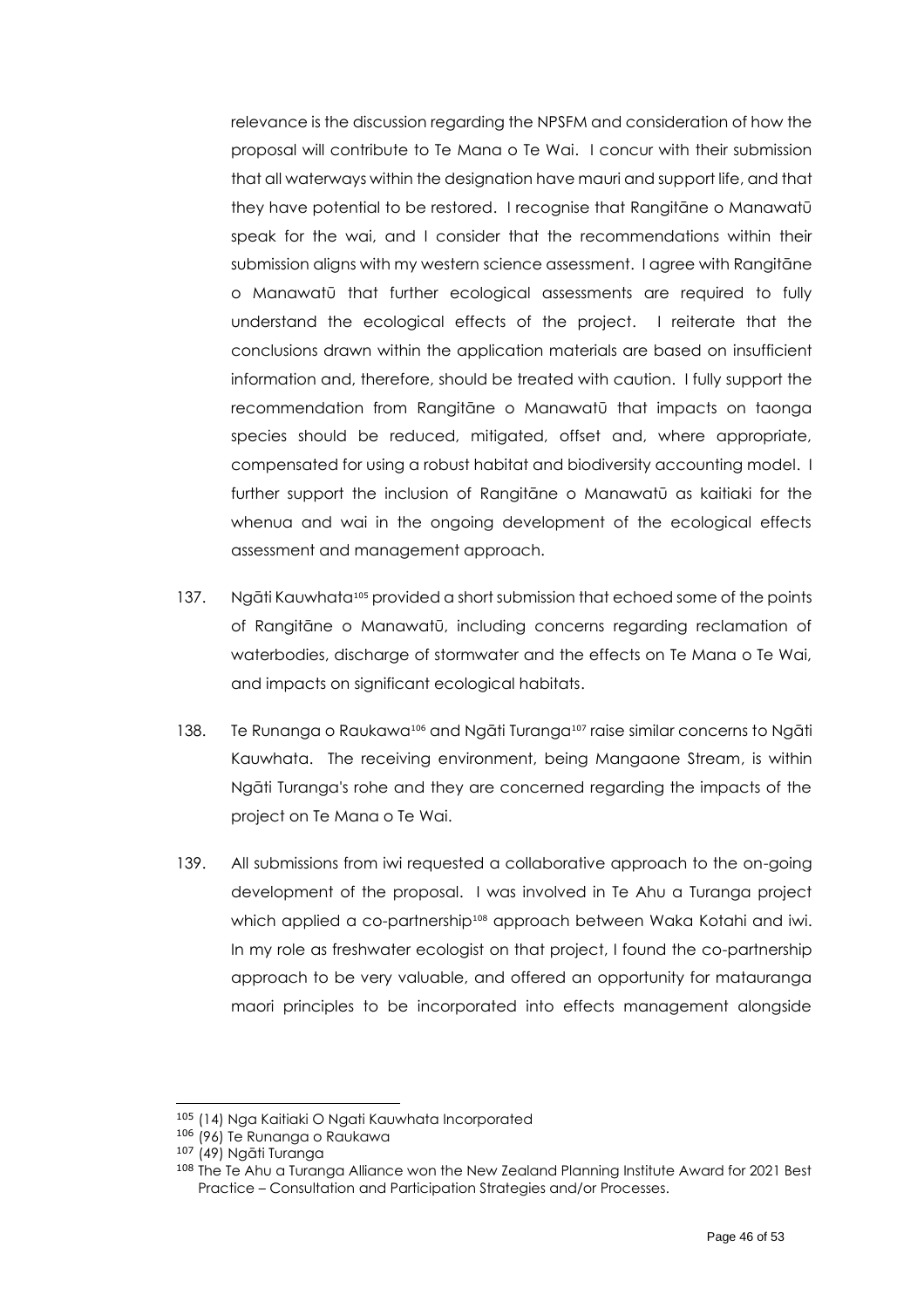relevance is the discussion regarding the NPSFM and consideration of how the proposal will contribute to Te Mana o Te Wai. I concur with their submission that all waterways within the designation have mauri and support life, and that they have potential to be restored. I recognise that Rangitāne o Manawatū speak for the wai, and I consider that the recommendations within their submission aligns with my western science assessment. I agree with Rangitāne o Manawatū that further ecological assessments are required to fully understand the ecological effects of the project. I reiterate that the conclusions drawn within the application materials are based on insufficient information and, therefore, should be treated with caution. I fully support the recommendation from Rangitāne o Manawatū that impacts on taonga species should be reduced, mitigated, offset and, where appropriate, compensated for using a robust habitat and biodiversity accounting model. I further support the inclusion of Rangitāne o Manawatū as kaitiaki for the whenua and wai in the ongoing development of the ecological effects assessment and management approach.

- 137. Ngāti Kauwhata<sup>105</sup> provided a short submission that echoed some of the points of Rangitāne o Manawatū, including concerns regarding reclamation of waterbodies, discharge of stormwater and the effects on Te Mana o Te Wai, and impacts on significant ecological habitats.
- 138. Te Runanga o Raukawa<sup>106</sup> and Ngāti Turanga<sup>107</sup> raise similar concerns to Ngāti Kauwhata. The receiving environment, being Mangaone Stream, is within Ngāti Turanga's rohe and they are concerned regarding the impacts of the project on Te Mana o Te Wai.
- 139. All submissions from iwi requested a collaborative approach to the on-going development of the proposal. I was involved in Te Ahu a Turanga project which applied a co-partnership<sup>108</sup> approach between Waka Kotahi and iwi. In my role as freshwater ecologist on that project, I found the co-partnership approach to be very valuable, and offered an opportunity for matauranga maori principles to be incorporated into effects management alongside

<sup>105</sup> (14) Nga Kaitiaki O Ngati Kauwhata Incorporated

<sup>106</sup> (96) Te Runanga o Raukawa

<sup>107</sup> (49) Ngāti Turanga

<sup>&</sup>lt;sup>108</sup> The Te Ahu a Turanga Alliance won the New Zealand Planning Institute Award for 2021 Best Practice – Consultation and Participation Strategies and/or Processes.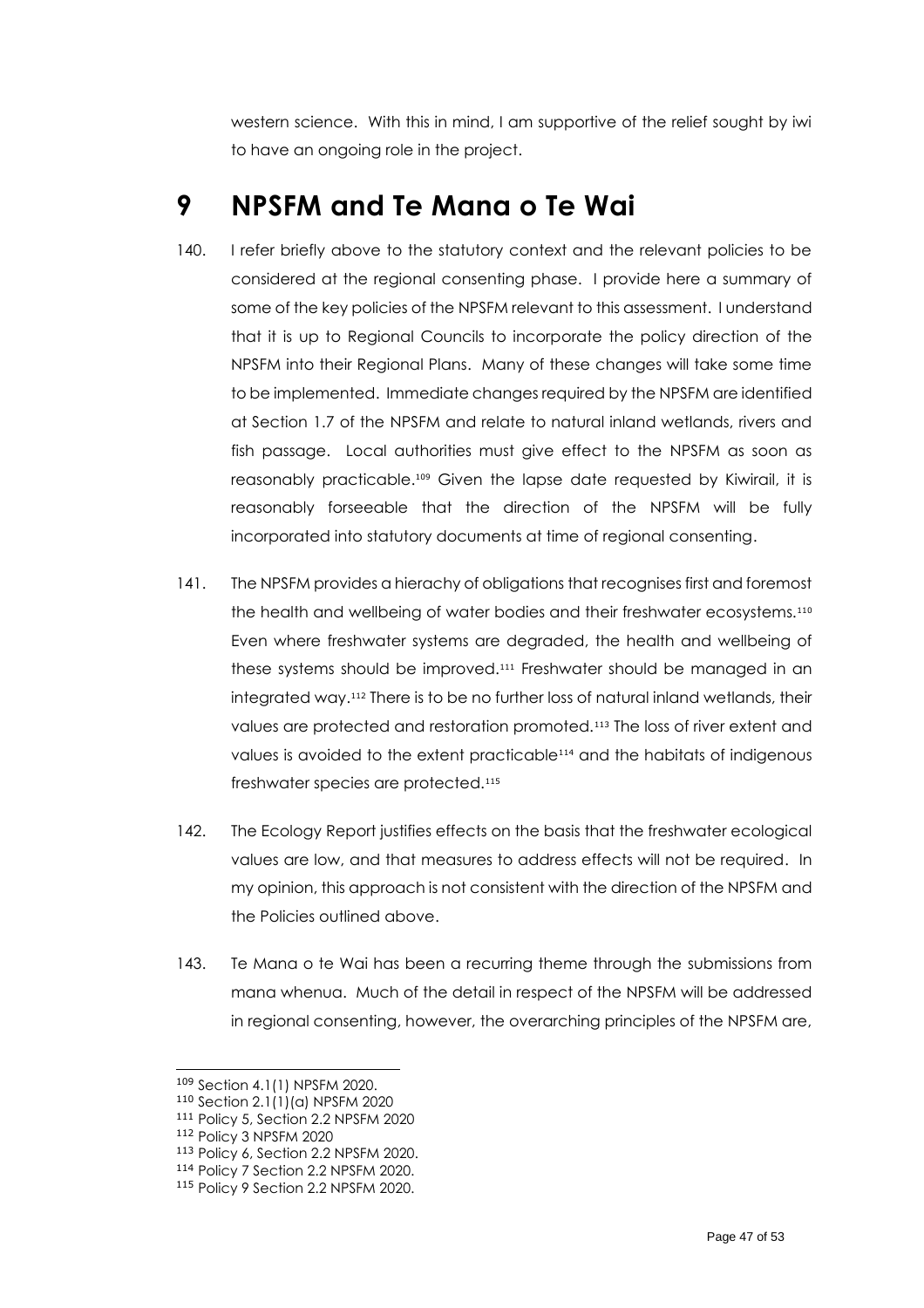western science. With this in mind, I am supportive of the relief sought by iwi to have an ongoing role in the project.

## <span id="page-46-0"></span>**9 NPSFM and Te Mana o Te Wai**

- 140. I refer briefly above to the statutory context and the relevant policies to be considered at the regional consenting phase. I provide here a summary of some of the key policies of the NPSFM relevant to this assessment. I understand that it is up to Regional Councils to incorporate the policy direction of the NPSFM into their Regional Plans. Many of these changes will take some time to be implemented. Immediate changes required by the NPSFM are identified at Section 1.7 of the NPSFM and relate to natural inland wetlands, rivers and fish passage. Local authorities must give effect to the NPSFM as soon as reasonably practicable. <sup>109</sup> Given the lapse date requested by Kiwirail, it is reasonably forseeable that the direction of the NPSFM will be fully incorporated into statutory documents at time of regional consenting.
- 141. The NPSFM provides a hierachy of obligations that recognises first and foremost the health and wellbeing of water bodies and their freshwater ecosystems.<sup>110</sup> Even where freshwater systems are degraded, the health and wellbeing of these systems should be improved.<sup>111</sup> Freshwater should be managed in an integrated way.<sup>112</sup> There is to be no further loss of natural inland wetlands, their values are protected and restoration promoted.<sup>113</sup> The loss of river extent and values is avoided to the extent practicable<sup>114</sup> and the habitats of indigenous freshwater species are protected.<sup>115</sup>
- 142. The Ecology Report justifies effects on the basis that the freshwater ecological values are low, and that measures to address effects will not be required. In my opinion, this approach is not consistent with the direction of the NPSFM and the Policies outlined above.
- 143. Te Mana o te Wai has been a recurring theme through the submissions from mana whenua. Much of the detail in respect of the NPSFM will be addressed in regional consenting, however, the overarching principles of the NPSFM are,

<sup>109</sup> Section 4.1(1) NPSFM 2020.

<sup>110</sup> Section 2.1(1)(a) NPSFM 2020

<sup>111</sup> Policy 5, Section 2.2 NPSFM 2020

<sup>112</sup> Policy 3 NPSFM 2020

<sup>113</sup> Policy 6, Section 2.2 NPSFM 2020.

<sup>114</sup> Policy 7 Section 2.2 NPSFM 2020.

<sup>115</sup> Policy 9 Section 2.2 NPSFM 2020.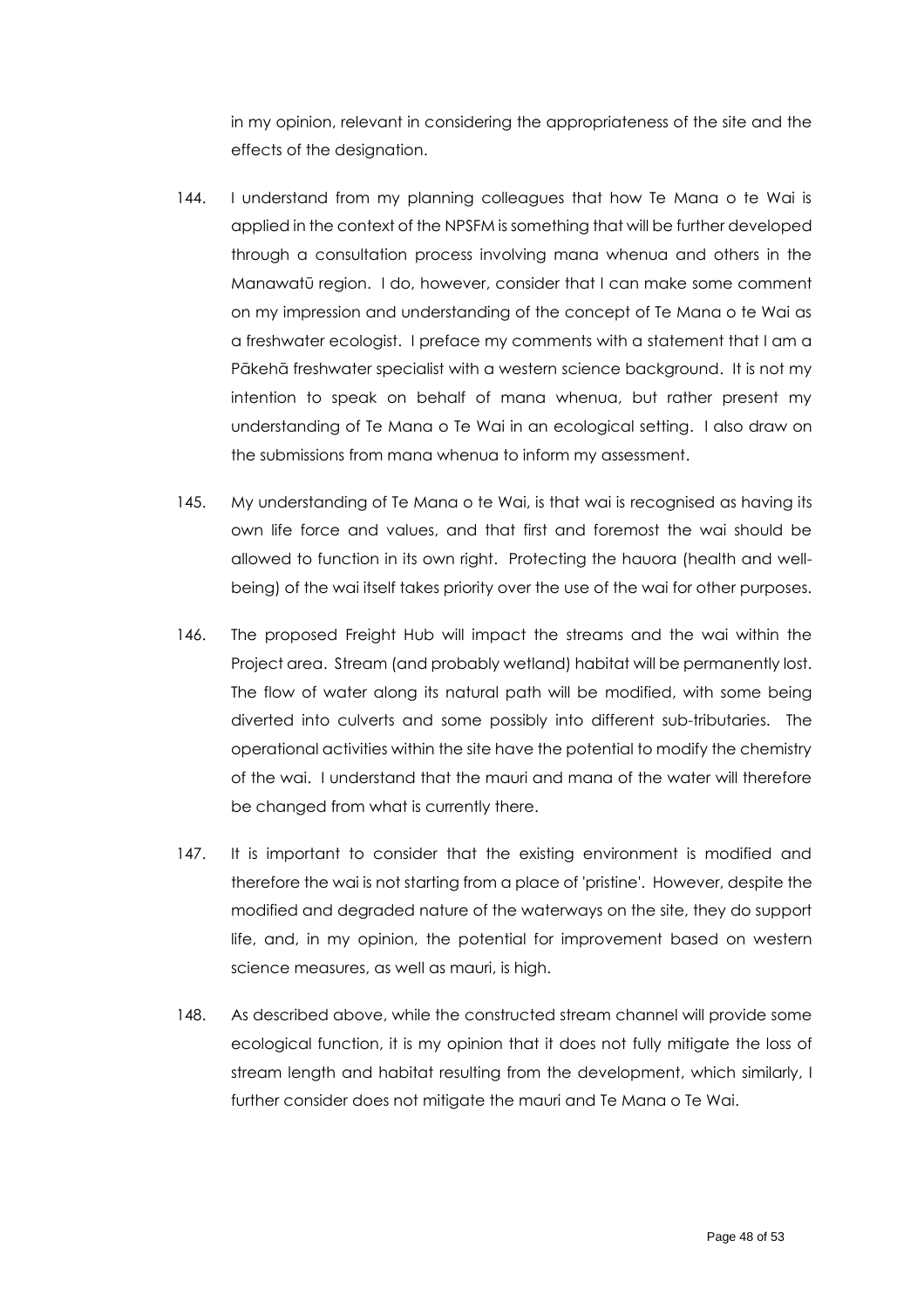in my opinion, relevant in considering the appropriateness of the site and the effects of the designation.

- 144. I understand from my planning colleagues that how Te Mana o te Wai is applied in the context of the NPSFM is something that will be further developed through a consultation process involving mana whenua and others in the Manawatū region. I do, however, consider that I can make some comment on my impression and understanding of the concept of Te Mana o te Wai as a freshwater ecologist. I preface my comments with a statement that I am a Pākehā freshwater specialist with a western science background. It is not my intention to speak on behalf of mana whenua, but rather present my understanding of Te Mana o Te Wai in an ecological setting. I also draw on the submissions from mana whenua to inform my assessment.
- 145. My understanding of Te Mana o te Wai, is that wai is recognised as having its own life force and values, and that first and foremost the wai should be allowed to function in its own right. Protecting the hauora (health and wellbeing) of the wai itself takes priority over the use of the wai for other purposes.
- 146. The proposed Freight Hub will impact the streams and the wai within the Project area. Stream (and probably wetland) habitat will be permanently lost. The flow of water along its natural path will be modified, with some being diverted into culverts and some possibly into different sub-tributaries. The operational activities within the site have the potential to modify the chemistry of the wai. I understand that the mauri and mana of the water will therefore be changed from what is currently there.
- 147. It is important to consider that the existing environment is modified and therefore the wai is not starting from a place of 'pristine'. However, despite the modified and degraded nature of the waterways on the site, they do support life, and, in my opinion, the potential for improvement based on western science measures, as well as mauri, is high.
- 148. As described above, while the constructed stream channel will provide some ecological function, it is my opinion that it does not fully mitigate the loss of stream length and habitat resulting from the development, which similarly, I further consider does not mitigate the mauri and Te Mana o Te Wai.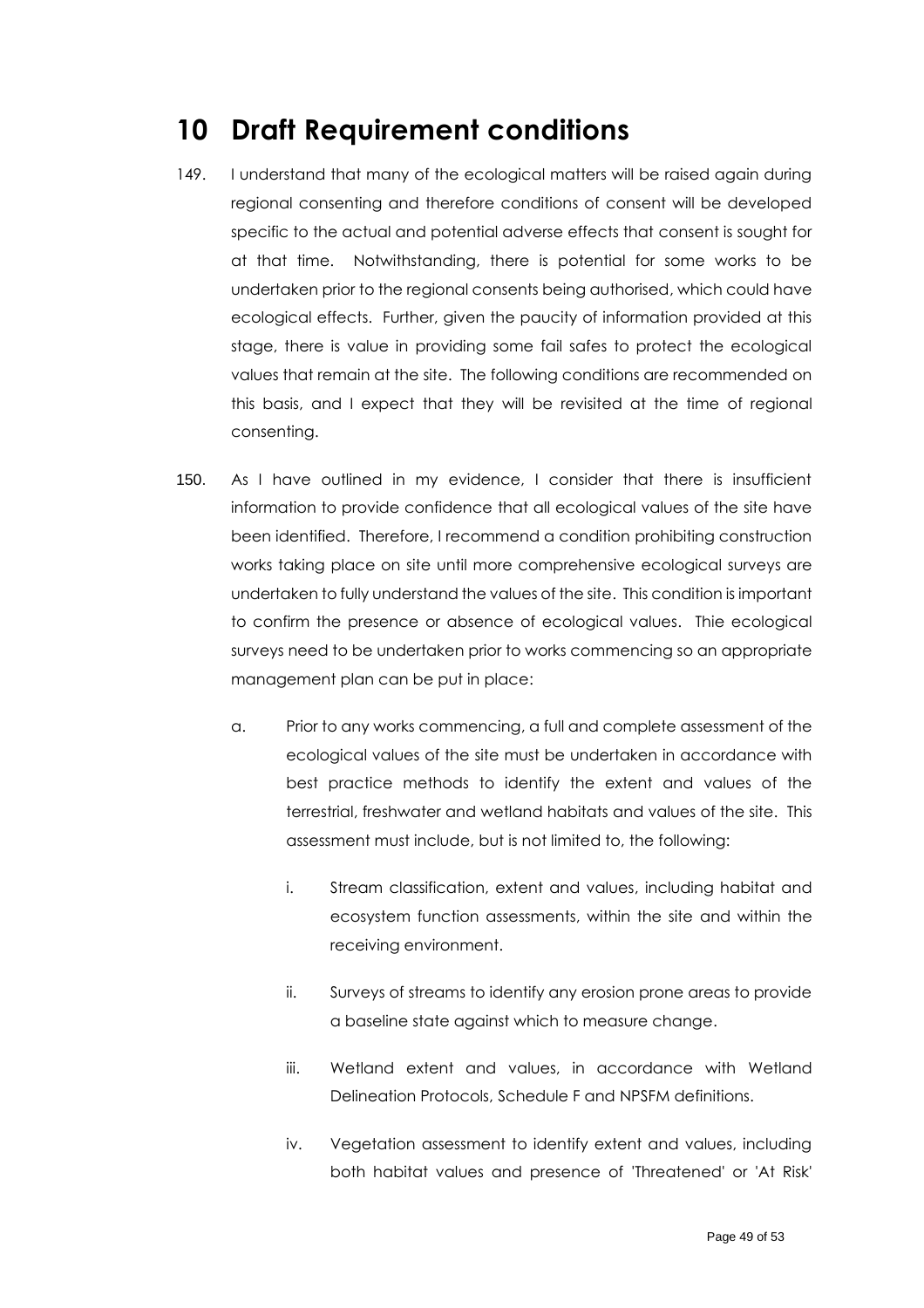## <span id="page-48-0"></span>**10 Draft Requirement conditions**

- 149. I understand that many of the ecological matters will be raised again during regional consenting and therefore conditions of consent will be developed specific to the actual and potential adverse effects that consent is sought for at that time. Notwithstanding, there is potential for some works to be undertaken prior to the regional consents being authorised, which could have ecological effects. Further, given the paucity of information provided at this stage, there is value in providing some fail safes to protect the ecological values that remain at the site. The following conditions are recommended on this basis, and I expect that they will be revisited at the time of regional consenting.
- 150. As I have outlined in my evidence, I consider that there is insufficient information to provide confidence that all ecological values of the site have been identified. Therefore, I recommend a condition prohibiting construction works taking place on site until more comprehensive ecological surveys are undertaken to fully understand the values of the site. This condition is important to confirm the presence or absence of ecological values. Thie ecological surveys need to be undertaken prior to works commencing so an appropriate management plan can be put in place:
	- a. Prior to any works commencing, a full and complete assessment of the ecological values of the site must be undertaken in accordance with best practice methods to identify the extent and values of the terrestrial, freshwater and wetland habitats and values of the site. This assessment must include, but is not limited to, the following:
		- i. Stream classification, extent and values, including habitat and ecosystem function assessments, within the site and within the receiving environment.
		- ii. Surveys of streams to identify any erosion prone areas to provide a baseline state against which to measure change.
		- iii. Wetland extent and values, in accordance with Wetland Delineation Protocols, Schedule F and NPSFM definitions.
		- iv. Vegetation assessment to identify extent and values, including both habitat values and presence of 'Threatened' or 'At Risk'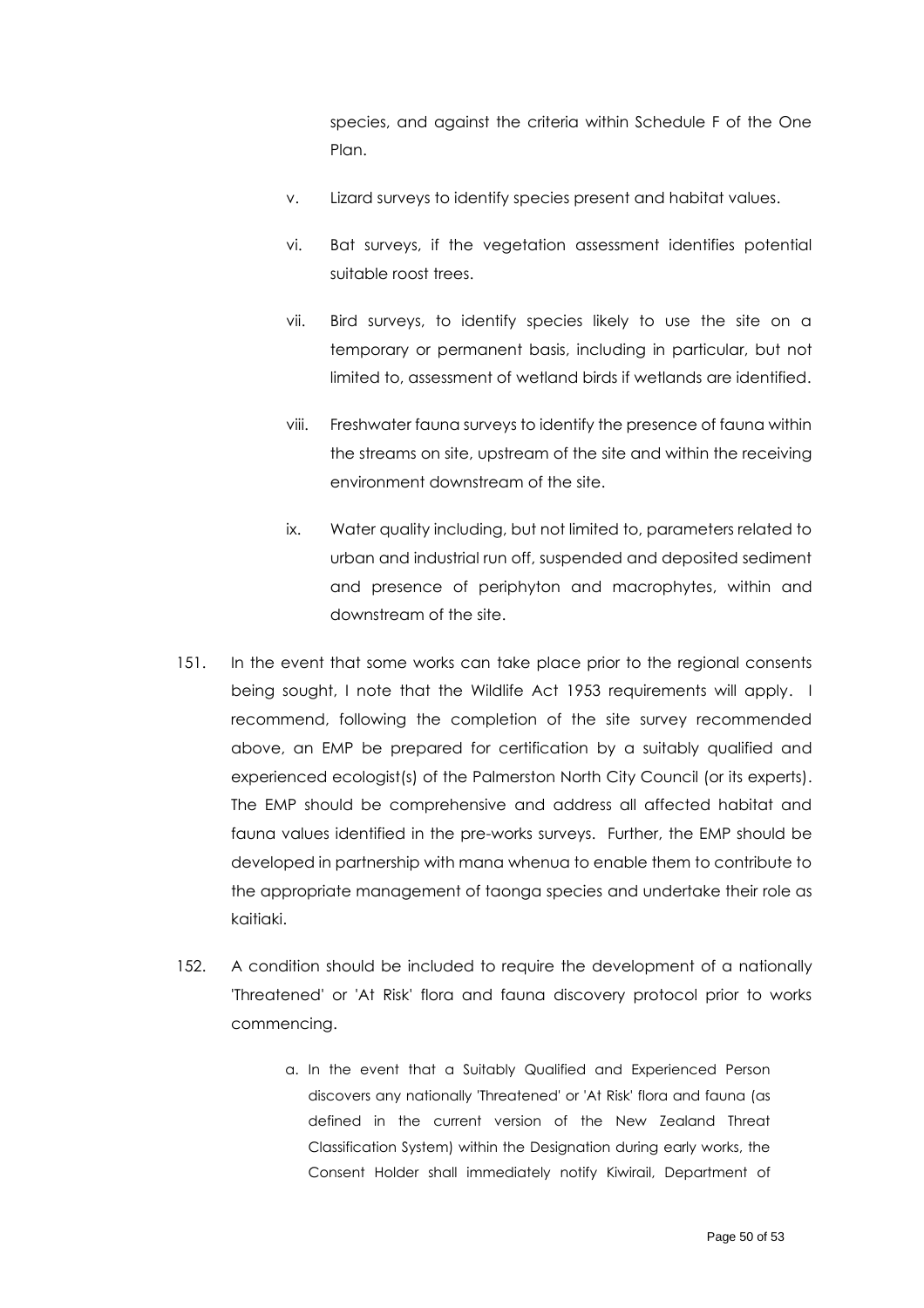species, and against the criteria within Schedule F of the One Plan.

- v. Lizard surveys to identify species present and habitat values.
- vi. Bat surveys, if the vegetation assessment identifies potential suitable roost trees.
- vii. Bird surveys, to identify species likely to use the site on a temporary or permanent basis, including in particular, but not limited to, assessment of wetland birds if wetlands are identified.
- viii. Freshwater fauna surveys to identify the presence of fauna within the streams on site, upstream of the site and within the receiving environment downstream of the site.
- ix. Water quality including, but not limited to, parameters related to urban and industrial run off, suspended and deposited sediment and presence of periphyton and macrophytes, within and downstream of the site.
- 151. In the event that some works can take place prior to the regional consents being sought, I note that the Wildlife Act 1953 requirements will apply. I recommend, following the completion of the site survey recommended above, an EMP be prepared for certification by a suitably qualified and experienced ecologist(s) of the Palmerston North City Council (or its experts). The EMP should be comprehensive and address all affected habitat and fauna values identified in the pre-works surveys. Further, the EMP should be developed in partnership with mana whenua to enable them to contribute to the appropriate management of taonga species and undertake their role as kaitiaki.
- 152. A condition should be included to require the development of a nationally 'Threatened' or 'At Risk' flora and fauna discovery protocol prior to works commencing.
	- a. In the event that a Suitably Qualified and Experienced Person discovers any nationally 'Threatened' or 'At Risk' flora and fauna (as defined in the current version of the New Zealand Threat Classification System) within the Designation during early works, the Consent Holder shall immediately notify Kiwirail, Department of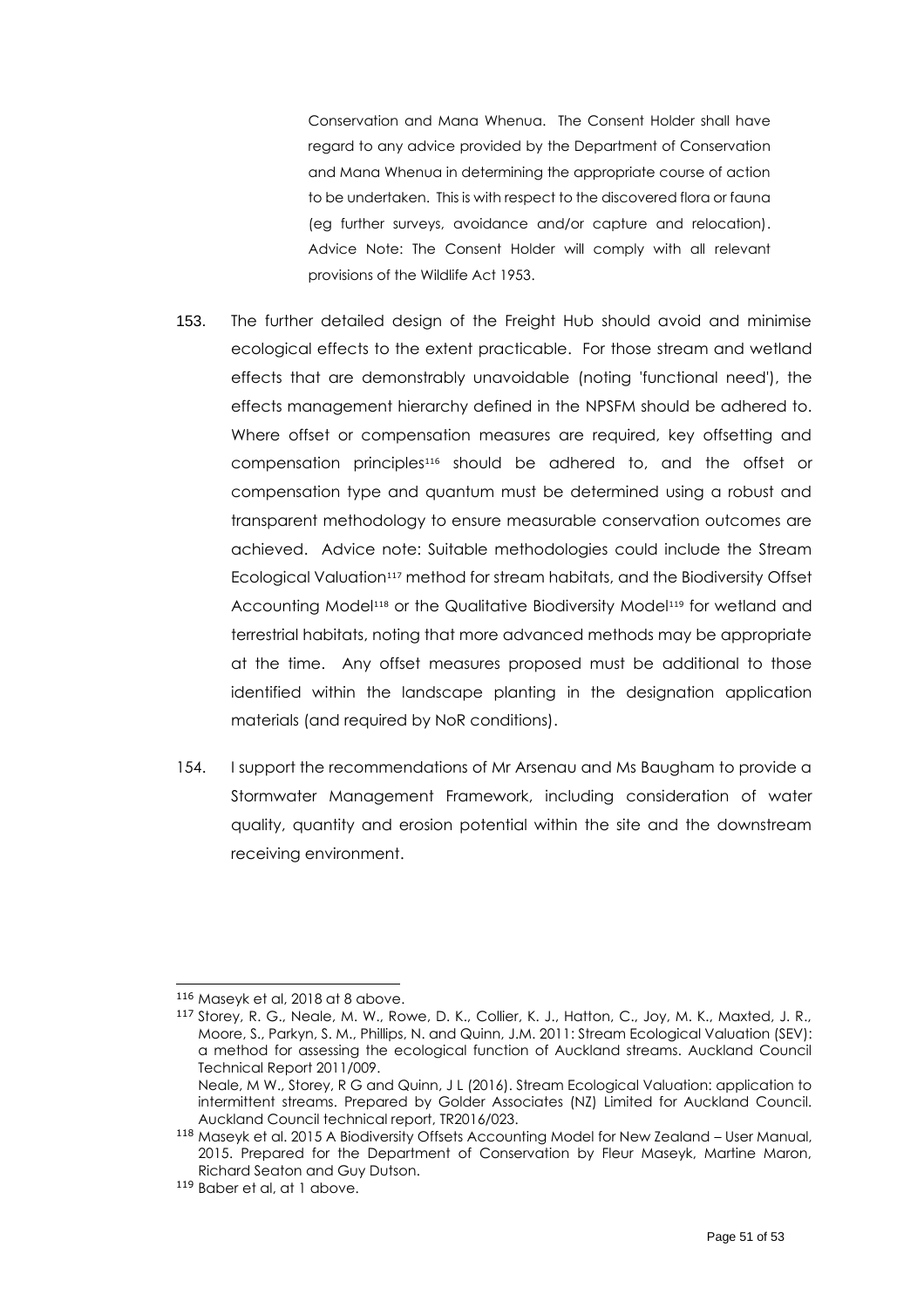Conservation and Mana Whenua. The Consent Holder shall have regard to any advice provided by the Department of Conservation and Mana Whenua in determining the appropriate course of action to be undertaken. This is with respect to the discovered flora or fauna (eg further surveys, avoidance and/or capture and relocation). Advice Note: The Consent Holder will comply with all relevant provisions of the Wildlife Act 1953.

- 153. The further detailed design of the Freight Hub should avoid and minimise ecological effects to the extent practicable. For those stream and wetland effects that are demonstrably unavoidable (noting 'functional need'), the effects management hierarchy defined in the NPSFM should be adhered to. Where offset or compensation measures are required, key offsetting and compensation principles<sup>116</sup> should be adhered to, and the offset or compensation type and quantum must be determined using a robust and transparent methodology to ensure measurable conservation outcomes are achieved. Advice note: Suitable methodologies could include the Stream Ecological Valuation<sup>117</sup> method for stream habitats, and the Biodiversity Offset Accounting Model<sup>118</sup> or the Qualitative Biodiversity Model<sup>119</sup> for wetland and terrestrial habitats, noting that more advanced methods may be appropriate at the time. Any offset measures proposed must be additional to those identified within the landscape planting in the designation application materials (and required by NoR conditions).
- 154. I support the recommendations of Mr Arsenau and Ms Baugham to provide a Stormwater Management Framework, including consideration of water quality, quantity and erosion potential within the site and the downstream receiving environment.

<sup>116</sup> Maseyk et al, 2018 a[t 8](#page-14-1) above.

<sup>117</sup> Storey, R. G., Neale, M. W., Rowe, D. K., Collier, K. J., Hatton, C., Joy, M. K., Maxted, J. R., Moore, S., Parkyn, S. M., Phillips, N. and Quinn, J.M. 2011: Stream Ecological Valuation (SEV): a method for assessing the ecological function of Auckland streams. Auckland Council Technical Report 2011/009.

Neale, M W., Storey, R G and Quinn, J L (2016). Stream Ecological Valuation: application to intermittent streams. Prepared by Golder Associates (NZ) Limited for Auckland Council. Auckland Council technical report, TR2016/023.

<sup>118</sup> Maseyk et al. 2015 A Biodiversity Offsets Accounting Model for New Zealand – User Manual, 2015. Prepared for the Department of Conservation by Fleur Maseyk, Martine Maron, Richard Seaton and Guy Dutson.

<sup>119</sup> Baber et al, at [1](#page-7-3) above.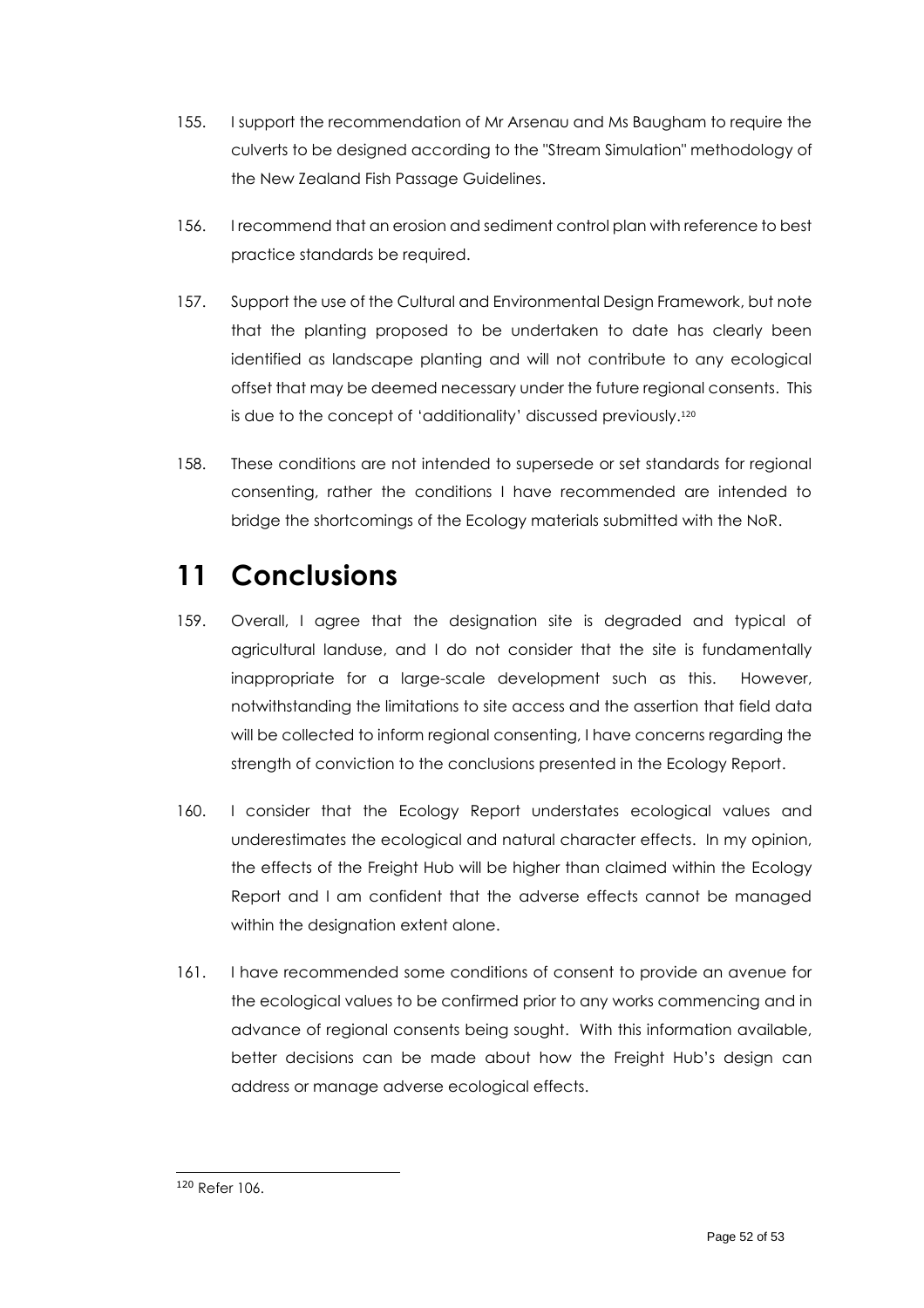- 155. I support the recommendation of Mr Arsenau and Ms Baugham to require the culverts to be designed according to the "Stream Simulation" methodology of the New Zealand Fish Passage Guidelines.
- 156. I recommend that an erosion and sediment control plan with reference to best practice standards be required.
- 157. Support the use of the Cultural and Environmental Design Framework, but note that the planting proposed to be undertaken to date has clearly been identified as landscape planting and will not contribute to any ecological offset that may be deemed necessary under the future regional consents. This is due to the concept of 'additionality' discussed previously. 120
- 158. These conditions are not intended to supersede or set standards for regional consenting, rather the conditions I have recommended are intended to bridge the shortcomings of the Ecology materials submitted with the NoR.

# <span id="page-51-0"></span>**11 Conclusions**

- 159. Overall, I agree that the designation site is degraded and typical of agricultural landuse, and I do not consider that the site is fundamentally inappropriate for a large-scale development such as this. However, notwithstanding the limitations to site access and the assertion that field data will be collected to inform regional consenting, I have concerns regarding the strength of conviction to the conclusions presented in the Ecology Report.
- 160. I consider that the Ecology Report understates ecological values and underestimates the ecological and natural character effects. In my opinion, the effects of the Freight Hub will be higher than claimed within the Ecology Report and I am confident that the adverse effects cannot be managed within the designation extent alone.
- 161. I have recommended some conditions of consent to provide an avenue for the ecological values to be confirmed prior to any works commencing and in advance of regional consents being sought. With this information available, better decisions can be made about how the Freight Hub's design can address or manage adverse ecological effects.

<sup>120</sup> Refer 106.